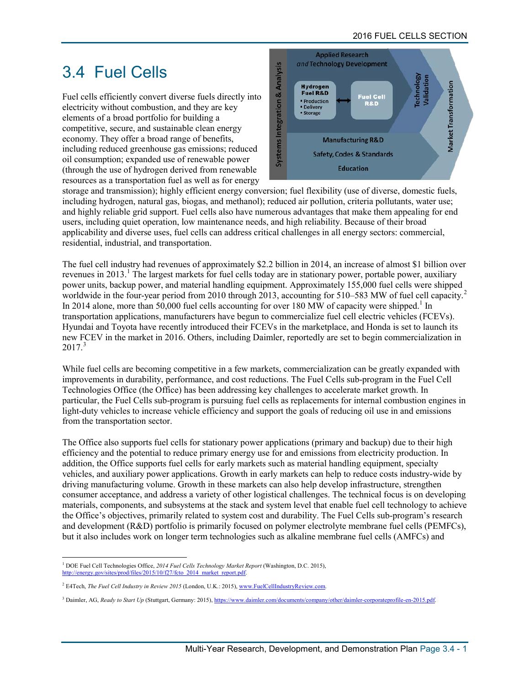## 2016 FUEL CELLS SECTION

# 3.4 Fuel Cells

Fuel cells efficiently convert diverse fuels directly into electricity without combustion, and they are key elements of a broad portfolio for building a competitive, secure, and sustainable clean energy economy. They offer a broad range of benefits, including reduced greenhouse gas emissions; reduced oil consumption; expanded use of renewable power (through the use of hydrogen derived from renewable resources as a transportation fuel as well as for energy



storage and transmission); highly efficient energy conversion; fuel flexibility (use of diverse, domestic fuels, including hydrogen, natural gas, biogas, and methanol); reduced air pollution, criteria pollutants, water use; and highly reliable grid support. Fuel cells also have numerous advantages that make them appealing for end users, including quiet operation, low maintenance needs, and high reliability. Because of their broad applicability and diverse uses, fuel cells can address critical challenges in all energy sectors: commercial, residential, industrial, and transportation.

<span id="page-0-0"></span>The fuel cell industry had revenues of approximately \$2.2 billion in 2014, an increase of almost \$1 billion over revenues in 20[1](#page-0-1)3.<sup>1</sup> The largest markets for fuel cells today are in stationary power, portable power, auxiliary power units, backup power, and material handling equipment. Approximately 155,000 fuel cells were shipped worldwide in the four-year period from 2010 through 2013, accounting for 510–583 MW of fuel cell capacity. [2](#page-0-2) In 2014 alone, more than 50,000 fuel cells accounting for over 180 MW of capacity were shipped.<sup>1</sup> In transportation applications, manufacturers have begun to commercialize fuel cell electric vehicles (FCEVs). Hyundai and Toyota have recently introduced their FCEVs in the marketplace, and Honda is set to launch its new FCEV in the market in 2016. Others, including Daimler, reportedly are set to begin commercialization in 2017. [3](#page-0-3)

While fuel cells are becoming competitive in a few markets, commercialization can be greatly expanded with improvements in durability, performance, and cost reductions. The Fuel Cells sub-program in the Fuel Cell Technologies Office (the Office) has been addressing key challenges to accelerate market growth. In particular, the Fuel Cells sub-program is pursuing fuel cells as replacements for internal combustion engines in light-duty vehicles to increase vehicle efficiency and support the goals of reducing oil use in and emissions from the transportation sector.

The Office also supports fuel cells for stationary power applications (primary and backup) due to their high efficiency and the potential to reduce primary energy use for and emissions from electricity production. In addition, the Office supports fuel cells for early markets such as material handling equipment, specialty vehicles, and auxiliary power applications. Growth in early markets can help to reduce costs industry-wide by driving manufacturing volume. Growth in these markets can also help develop infrastructure, strengthen consumer acceptance, and address a variety of other logistical challenges. The technical focus is on developing materials, components, and subsystems at the stack and system level that enable fuel cell technology to achieve the Office's objectives, primarily related to system cost and durability. The Fuel Cells sub-program's research and development (R&D) portfolio is primarily focused on polymer electrolyte membrane fuel cells (PEMFCs), but it also includes work on longer term technologies such as alkaline membrane fuel cells (AMFCs) and

<span id="page-0-1"></span> <sup>1</sup> DOE Fuel Cell Technologies Office, *2014 Fuel Cells Technology Market Report* (Washington, D.C. 2015), http://energy.gov/sites/prod/files/2015/10/f27/fcto\_2014\_market\_report.pdf.

<span id="page-0-2"></span><sup>&</sup>lt;sup>2</sup> E4Tech, *The Fuel Cell Industry in Review 2015* (London, U.K.: 2015), [www.FuelCellIndustryReview.com.](http://www.fuelcellindustryreview.com/)

<span id="page-0-3"></span><sup>3</sup> Daimler, AG, *Ready to Start Up* (Stuttgart, Germany: 2015)[, https://www.daimler.com/documents/company/other/daimler-corporateprofile-en-2015.pdf.](https://www.daimler.com/documents/company/other/daimler-corporateprofile-en-2015.pdf)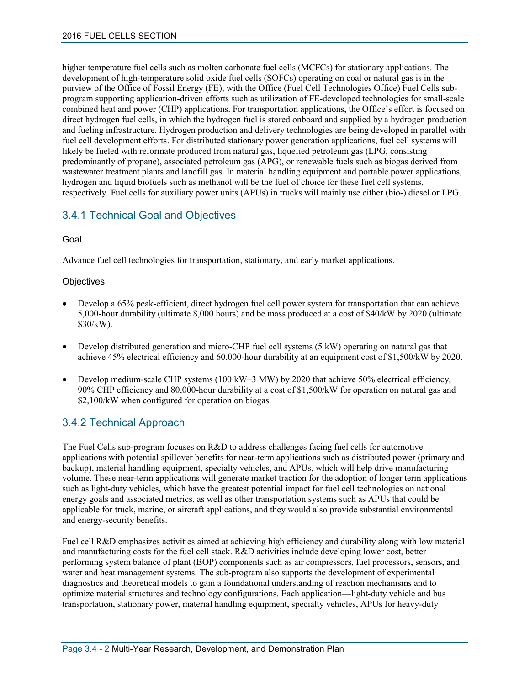higher temperature fuel cells such as molten carbonate fuel cells (MCFCs) for stationary applications. The development of high-temperature solid oxide fuel cells (SOFCs) operating on coal or natural gas is in the purview of the Office of Fossil Energy (FE), with the Office (Fuel Cell Technologies Office) Fuel Cells subprogram supporting application-driven efforts such as utilization of FE-developed technologies for small-scale combined heat and power (CHP) applications. For transportation applications, the Office's effort is focused on direct hydrogen fuel cells, in which the hydrogen fuel is stored onboard and supplied by a hydrogen production and fueling infrastructure. Hydrogen production and delivery technologies are being developed in parallel with fuel cell development efforts. For distributed stationary power generation applications, fuel cell systems will likely be fueled with reformate produced from natural gas, liquefied petroleum gas (LPG, consisting predominantly of propane), associated petroleum gas (APG), or renewable fuels such as biogas derived from wastewater treatment plants and landfill gas. In material handling equipment and portable power applications, hydrogen and liquid biofuels such as methanol will be the fuel of choice for these fuel cell systems, respectively. Fuel cells for auxiliary power units (APUs) in trucks will mainly use either (bio-) diesel or LPG.

# 3.4.1 Technical Goal and Objectives

## Goal

Advance fuel cell technologies for transportation, stationary, and early market applications.

## **Objectives**

- Develop a 65% peak-efficient, direct hydrogen fuel cell power system for transportation that can achieve 5,000-hour durability (ultimate 8,000 hours) and be mass produced at a cost of \$40/kW by 2020 (ultimate \$30/kW).
- Develop distributed generation and micro-CHP fuel cell systems (5 kW) operating on natural gas that achieve 45% electrical efficiency and 60,000-hour durability at an equipment cost of \$1,500/kW by 2020.
- Develop medium-scale CHP systems (100 kW–3 MW) by 2020 that achieve 50% electrical efficiency, 90% CHP efficiency and 80,000-hour durability at a cost of \$1,500/kW for operation on natural gas and \$2,100/kW when configured for operation on biogas.

# 3.4.2 Technical Approach

The Fuel Cells sub-program focuses on R&D to address challenges facing fuel cells for automotive applications with potential spillover benefits for near-term applications such as distributed power (primary and backup), material handling equipment, specialty vehicles, and APUs, which will help drive manufacturing volume. These near-term applications will generate market traction for the adoption of longer term applications such as light-duty vehicles, which have the greatest potential impact for fuel cell technologies on national energy goals and associated metrics, as well as other transportation systems such as APUs that could be applicable for truck, marine, or aircraft applications, and they would also provide substantial environmental and energy-security benefits.

Fuel cell R&D emphasizes activities aimed at achieving high efficiency and durability along with low material and manufacturing costs for the fuel cell stack. R&D activities include developing lower cost, better performing system balance of plant (BOP) components such as air compressors, fuel processors, sensors, and water and heat management systems. The sub-program also supports the development of experimental diagnostics and theoretical models to gain a foundational understanding of reaction mechanisms and to optimize material structures and technology configurations. Each application—light-duty vehicle and bus transportation, stationary power, material handling equipment, specialty vehicles, APUs for heavy-duty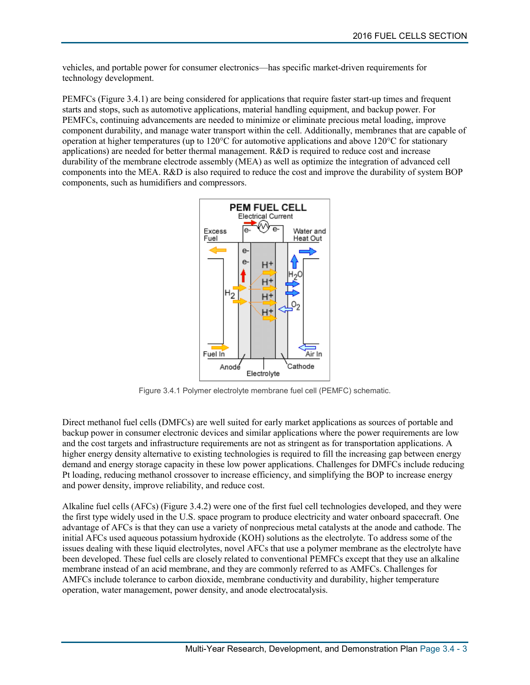vehicles, and portable power for consumer electronics—has specific market-driven requirements for technology development.

PEMFCs (Figure 3.4.1) are being considered for applications that require faster start-up times and frequent starts and stops, such as automotive applications, material handling equipment, and backup power. For PEMFCs, continuing advancements are needed to minimize or eliminate precious metal loading, improve component durability, and manage water transport within the cell. Additionally, membranes that are capable of operation at higher temperatures (up to 120°C for automotive applications and above 120°C for stationary applications) are needed for better thermal management. R&D is required to reduce cost and increase durability of the membrane electrode assembly (MEA) as well as optimize the integration of advanced cell components into the MEA. R&D is also required to reduce the cost and improve the durability of system BOP components, such as humidifiers and compressors.



Figure 3.4.1 Polymer electrolyte membrane fuel cell (PEMFC) schematic.

Direct methanol fuel cells (DMFCs) are well suited for early market applications as sources of portable and backup power in consumer electronic devices and similar applications where the power requirements are low and the cost targets and infrastructure requirements are not as stringent as for transportation applications. A higher energy density alternative to existing technologies is required to fill the increasing gap between energy demand and energy storage capacity in these low power applications. Challenges for DMFCs include reducing Pt loading, reducing methanol crossover to increase efficiency, and simplifying the BOP to increase energy and power density, improve reliability, and reduce cost.

Alkaline fuel cells (AFCs) (Figure 3.4.2) were one of the first fuel cell technologies developed, and they were the first type widely used in the U.S. space program to produce electricity and water onboard spacecraft. One advantage of AFCs is that they can use a variety of nonprecious metal catalysts at the anode and cathode. The initial AFCs used aqueous potassium hydroxide (KOH) solutions as the electrolyte. To address some of the issues dealing with these liquid electrolytes, novel AFCs that use a polymer membrane as the electrolyte have been developed. These fuel cells are closely related to conventional PEMFCs except that they use an alkaline membrane instead of an acid membrane, and they are commonly referred to as AMFCs. Challenges for AMFCs include tolerance to carbon dioxide, membrane conductivity and durability, higher temperature operation, water management, power density, and anode electrocatalysis.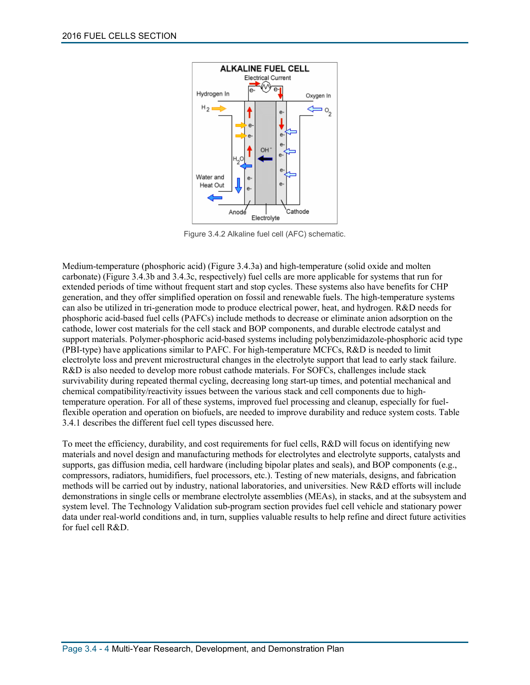

Figure 3.4.2 Alkaline fuel cell (AFC) schematic.

Medium-temperature (phosphoric acid) (Figure 3.4.3a) and high-temperature (solid oxide and molten carbonate) (Figure 3.4.3b and 3.4.3c, respectively) fuel cells are more applicable for systems that run for extended periods of time without frequent start and stop cycles. These systems also have benefits for CHP generation, and they offer simplified operation on fossil and renewable fuels. The high-temperature systems can also be utilized in tri-generation mode to produce electrical power, heat, and hydrogen. R&D needs for phosphoric acid-based fuel cells (PAFCs) include methods to decrease or eliminate anion adsorption on the cathode, lower cost materials for the cell stack and BOP components, and durable electrode catalyst and support materials. Polymer-phosphoric acid-based systems including polybenzimidazole-phosphoric acid type (PBI-type) have applications similar to PAFC. For high-temperature MCFCs, R&D is needed to limit electrolyte loss and prevent microstructural changes in the electrolyte support that lead to early stack failure. R&D is also needed to develop more robust cathode materials. For SOFCs, challenges include stack survivability during repeated thermal cycling, decreasing long start-up times, and potential mechanical and chemical compatibility/reactivity issues between the various stack and cell components due to hightemperature operation. For all of these systems, improved fuel processing and cleanup, especially for fuelflexible operation and operation on biofuels, are needed to improve durability and reduce system costs. Table 3.4.1 describes the different fuel cell types discussed here.

To meet the efficiency, durability, and cost requirements for fuel cells, R&D will focus on identifying new materials and novel design and manufacturing methods for electrolytes and electrolyte supports, catalysts and supports, gas diffusion media, cell hardware (including bipolar plates and seals), and BOP components (e.g., compressors, radiators, humidifiers, fuel processors, etc.). Testing of new materials, designs, and fabrication methods will be carried out by industry, national laboratories, and universities. New R&D efforts will include demonstrations in single cells or membrane electrolyte assemblies (MEAs), in stacks, and at the subsystem and system level. The Technology Validation sub-program section provides fuel cell vehicle and stationary power data under real-world conditions and, in turn, supplies valuable results to help refine and direct future activities for fuel cell R&D.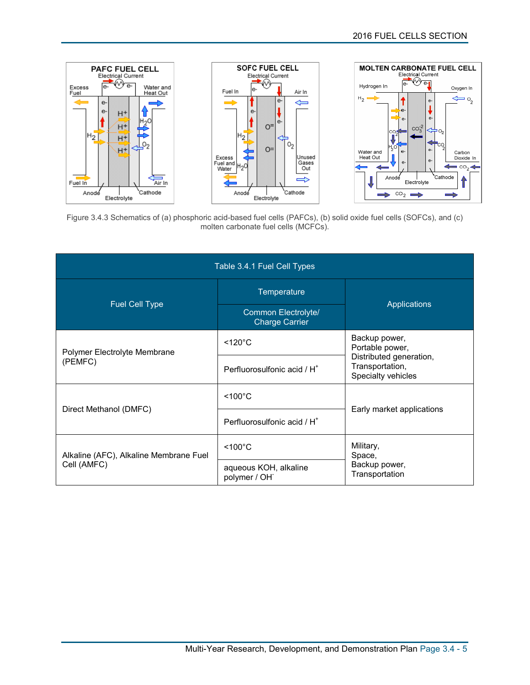

Figure 3.4.3 Schematics of (a) phosphoric acid-based fuel cells (PAFCs), (b) solid oxide fuel cells (SOFCs), and (c) molten carbonate fuel cells (MCFCs).

| Table 3.4.1 Fuel Cell Types                           |                                                    |                                                                  |  |  |
|-------------------------------------------------------|----------------------------------------------------|------------------------------------------------------------------|--|--|
|                                                       | Temperature                                        |                                                                  |  |  |
| <b>Fuel Cell Type</b>                                 | Common Electrolyte/<br><b>Charge Carrier</b>       | <b>Applications</b>                                              |  |  |
| Polymer Electrolyte Membrane<br>(PEMFC)               | $<$ 120 $^{\circ}$ C                               | Backup power,<br>Portable power,                                 |  |  |
|                                                       | Perfluorosulfonic acid / H <sup>+</sup>            | Distributed generation,<br>Transportation,<br>Specialty vehicles |  |  |
|                                                       | $< 100^{\circ}$ C                                  |                                                                  |  |  |
| Direct Methanol (DMFC)                                | Perfluorosulfonic acid / H <sup>+</sup>            | Early market applications                                        |  |  |
| Alkaline (AFC), Alkaline Membrane Fuel<br>Cell (AMFC) | $< 100^{\circ}$ C                                  | Military,<br>Space,                                              |  |  |
|                                                       | aqueous KOH, alkaline<br>polymer / OH <sup>-</sup> | Backup power,<br>Transportation                                  |  |  |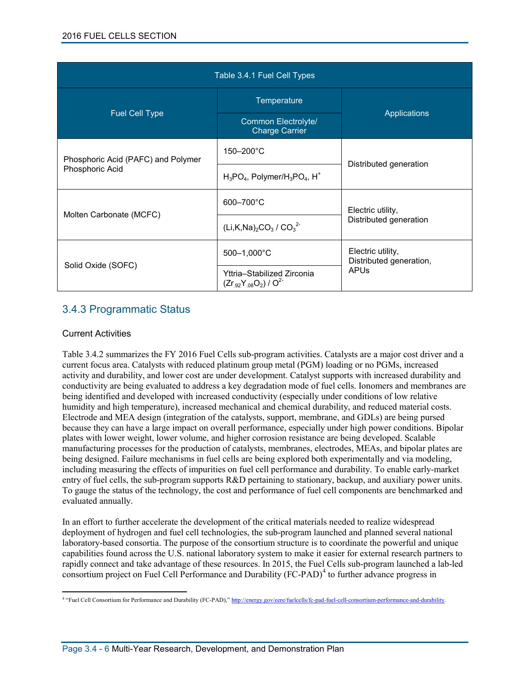| Table 3.4.1 Fuel Cell Types                           |                                                            |                                              |  |  |
|-------------------------------------------------------|------------------------------------------------------------|----------------------------------------------|--|--|
| <b>Fuel Cell Type</b>                                 | Temperature                                                |                                              |  |  |
|                                                       | Common Electrolyte/<br><b>Charge Carrier</b>               | <b>Applications</b>                          |  |  |
| Phosphoric Acid (PAFC) and Polymer<br>Phosphoric Acid | $150 - 200^{\circ}$ C                                      |                                              |  |  |
|                                                       | $H_3PO_4$ , Polymer/ $H_3PO_4$ , H <sup>+</sup>            | Distributed generation                       |  |  |
| Molten Carbonate (MCFC)                               | 600-700°C                                                  | Electric utility,                            |  |  |
|                                                       | $(Li,K,Na)_{2}CO_{3} / CO_{3}^{2}$                         | Distributed generation                       |  |  |
| Solid Oxide (SOFC)                                    | $500 - 1,000^{\circ}$ C                                    | Electric utility,<br>Distributed generation, |  |  |
|                                                       | Yttria-Stabilized Zirconia<br>$(Zr_{.92}Y_{.08}O_2)/O^{2}$ | <b>APUs</b>                                  |  |  |

# 3.4.3 Programmatic Status

## Current Activities

Table 3.4.2 summarizes the FY 2016 Fuel Cells sub-program activities. Catalysts are a major cost driver and a current focus area. Catalysts with reduced platinum group metal (PGM) loading or no PGMs, increased activity and durability, and lower cost are under development. Catalyst supports with increased durability and conductivity are being evaluated to address a key degradation mode of fuel cells. Ionomers and membranes are being identified and developed with increased conductivity (especially under conditions of low relative humidity and high temperature), increased mechanical and chemical durability, and reduced material costs. Electrode and MEA design (integration of the catalysts, support, membrane, and GDLs) are being pursed because they can have a large impact on overall performance, especially under high power conditions. Bipolar plates with lower weight, lower volume, and higher corrosion resistance are being developed. Scalable manufacturing processes for the production of catalysts, membranes, electrodes, MEAs, and bipolar plates are being designed. Failure mechanisms in fuel cells are being explored both experimentally and via modeling, including measuring the effects of impurities on fuel cell performance and durability. To enable early-market entry of fuel cells, the sub-program supports R&D pertaining to stationary, backup, and auxiliary power units. To gauge the status of the technology, the cost and performance of fuel cell components are benchmarked and evaluated annually.

In an effort to further accelerate the development of the critical materials needed to realize widespread deployment of hydrogen and fuel cell technologies, the sub-program launched and planned several national laboratory-based consortia. The purpose of the consortium structure is to coordinate the powerful and unique capabilities found across the U.S. national laboratory system to make it easier for external research partners to rapidly connect and take advantage of these resources. In 2015, the Fuel Cells sub-program launched a lab-led consortium project on Fuel Cell Performance and Durability (FC-PAD)<sup>[4](#page-5-0)</sup> to further advance progress in

<span id="page-5-0"></span><sup>&</sup>lt;sup>4</sup> "Fuel Cell Consortium for Performance and Durability (FC-PAD)," http://energy.gov/eere/fuelcells/fc-pad-fuel-cell-consortium-performance-and-durability.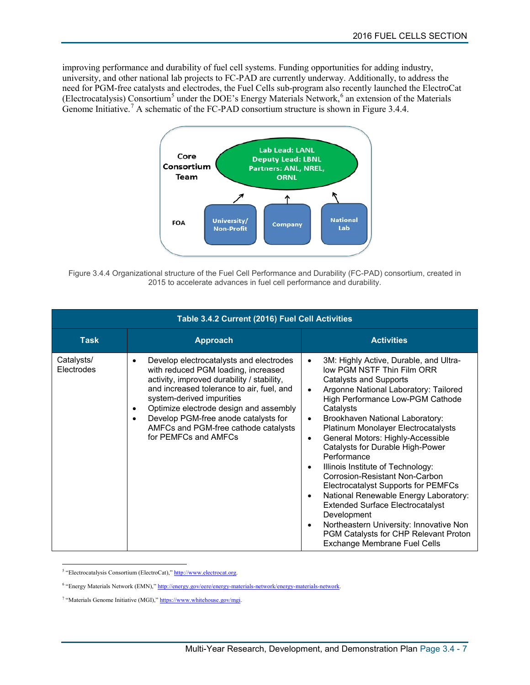improving performance and durability of fuel cell systems. Funding opportunities for adding industry, university, and other national lab projects to FC-PAD are currently underway. Additionally, to address the need for PGM-free catalysts and electrodes, the Fuel Cells sub-program also recently launched the ElectroCat (Electrocatalysis) Consortium<sup>[5](#page-6-0)</sup> under the DOE's Energy Materials Network,<sup>[6](#page-6-1)</sup> an extension of the Materials Genome Initiative.<sup>[7](#page-6-2)</sup> A schematic of the FC-PAD consortium structure is shown in Figure 3.4.4.



Figure 3.4.4 Organizational structure of the Fuel Cell Performance and Durability (FC-PAD) consortium, created in 2015 to accelerate advances in fuel cell performance and durability.

| Table 3.4.2 Current (2016) Fuel Cell Activities |                                                                                                                                                                                                                                                                                                                                                                                                 |                                                                                                                                                                                                                                                                                                                                                                                                                                                                                                                                                                                                                                                                                                                                                                                             |  |  |  |
|-------------------------------------------------|-------------------------------------------------------------------------------------------------------------------------------------------------------------------------------------------------------------------------------------------------------------------------------------------------------------------------------------------------------------------------------------------------|---------------------------------------------------------------------------------------------------------------------------------------------------------------------------------------------------------------------------------------------------------------------------------------------------------------------------------------------------------------------------------------------------------------------------------------------------------------------------------------------------------------------------------------------------------------------------------------------------------------------------------------------------------------------------------------------------------------------------------------------------------------------------------------------|--|--|--|
| <b>Task</b>                                     | <b>Approach</b>                                                                                                                                                                                                                                                                                                                                                                                 | <b>Activities</b>                                                                                                                                                                                                                                                                                                                                                                                                                                                                                                                                                                                                                                                                                                                                                                           |  |  |  |
| Catalysts/<br>Electrodes                        | Develop electrocatalysts and electrodes<br>$\bullet$<br>with reduced PGM loading, increased<br>activity, improved durability / stability,<br>and increased tolerance to air, fuel, and<br>system-derived impurities<br>Optimize electrode design and assembly<br>$\bullet$<br>Develop PGM-free anode catalysts for<br>$\bullet$<br>AMFCs and PGM-free cathode catalysts<br>for PEMFCs and AMFCs | 3M: Highly Active, Durable, and Ultra-<br>$\bullet$<br>low PGM NSTF Thin Film ORR<br><b>Catalysts and Supports</b><br>Argonne National Laboratory: Tailored<br>$\bullet$<br>High Performance Low-PGM Cathode<br>Catalysts<br>Brookhaven National Laboratory:<br>$\bullet$<br>Platinum Monolayer Electrocatalysts<br>General Motors: Highly-Accessible<br>$\bullet$<br>Catalysts for Durable High-Power<br>Performance<br>Illinois Institute of Technology:<br>$\bullet$<br>Corrosion-Resistant Non-Carbon<br><b>Electrocatalyst Supports for PEMFCs</b><br>National Renewable Energy Laboratory:<br><b>Extended Surface Electrocatalyst</b><br>Development<br>Northeastern University: Innovative Non<br>$\bullet$<br>PGM Catalysts for CHP Relevant Proton<br>Exchange Membrane Fuel Cells |  |  |  |

<span id="page-6-0"></span><sup>&</sup>lt;sup>5</sup> "Electrocatalysis Consortium (ElectroCat)," http://www.electrocat.org.

<span id="page-6-1"></span><sup>&</sup>lt;sup>6</sup> "Energy Materials Network (EMN)," http://energy\_gov/eere/energy-materials-network/energy-materials-network.

<span id="page-6-2"></span><sup>7</sup> "Materials Genome Initiative (MGI),[" https://www.whitehouse.gov/mgi.](https://www.whitehouse.gov/mgi)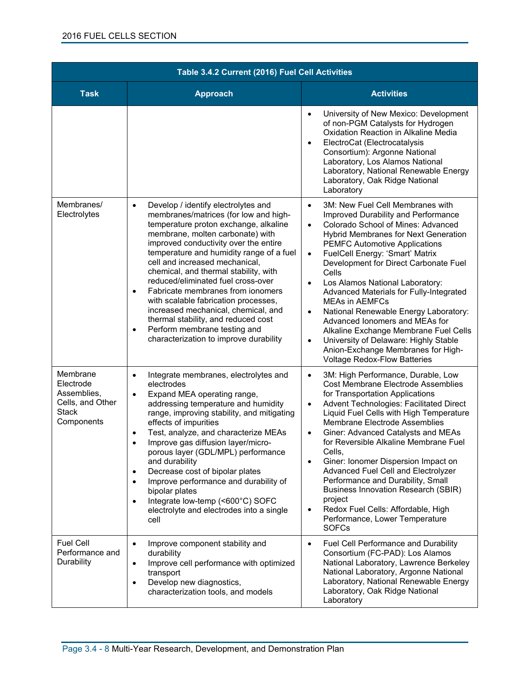| Table 3.4.2 Current (2016) Fuel Cell Activities                                        |                                                                                                                                                                                                                                                                                                                                                                                                                                                                                                                                                                                                                                             |                                                                                                                                                                                                                                                                                                                                                                                                                                                                                                                                                                                                                                                                                                                          |  |
|----------------------------------------------------------------------------------------|---------------------------------------------------------------------------------------------------------------------------------------------------------------------------------------------------------------------------------------------------------------------------------------------------------------------------------------------------------------------------------------------------------------------------------------------------------------------------------------------------------------------------------------------------------------------------------------------------------------------------------------------|--------------------------------------------------------------------------------------------------------------------------------------------------------------------------------------------------------------------------------------------------------------------------------------------------------------------------------------------------------------------------------------------------------------------------------------------------------------------------------------------------------------------------------------------------------------------------------------------------------------------------------------------------------------------------------------------------------------------------|--|
| <b>Task</b>                                                                            | <b>Approach</b>                                                                                                                                                                                                                                                                                                                                                                                                                                                                                                                                                                                                                             | <b>Activities</b>                                                                                                                                                                                                                                                                                                                                                                                                                                                                                                                                                                                                                                                                                                        |  |
|                                                                                        |                                                                                                                                                                                                                                                                                                                                                                                                                                                                                                                                                                                                                                             | University of New Mexico: Development<br>$\bullet$<br>of non-PGM Catalysts for Hydrogen<br>Oxidation Reaction in Alkaline Media<br>ElectroCat (Electrocatalysis<br>$\bullet$<br>Consortium): Argonne National<br>Laboratory, Los Alamos National<br>Laboratory, National Renewable Energy<br>Laboratory, Oak Ridge National<br>Laboratory                                                                                                                                                                                                                                                                                                                                                                                |  |
| Membranes/<br>Electrolytes                                                             | Develop / identify electrolytes and<br>$\bullet$<br>membranes/matrices (for low and high-<br>temperature proton exchange, alkaline<br>membrane, molten carbonate) with<br>improved conductivity over the entire<br>temperature and humidity range of a fuel<br>cell and increased mechanical,<br>chemical, and thermal stability, with<br>reduced/eliminated fuel cross-over<br>Fabricate membranes from ionomers<br>$\bullet$<br>with scalable fabrication processes,<br>increased mechanical, chemical, and<br>thermal stability, and reduced cost<br>Perform membrane testing and<br>$\bullet$<br>characterization to improve durability | 3M: New Fuel Cell Membranes with<br>$\bullet$<br>Improved Durability and Performance<br>Colorado School of Mines: Advanced<br>$\bullet$<br><b>Hybrid Membranes for Next Generation</b><br><b>PEMFC Automotive Applications</b><br>FuelCell Energy: 'Smart' Matrix<br>$\bullet$<br>Development for Direct Carbonate Fuel<br>Cells<br>Los Alamos National Laboratory:<br>$\bullet$<br>Advanced Materials for Fully-Integrated<br><b>MEAs in AEMFCs</b><br>National Renewable Energy Laboratory:<br>$\bullet$<br>Advanced Ionomers and MEAs for<br>Alkaline Exchange Membrane Fuel Cells<br>University of Delaware: Highly Stable<br>$\bullet$<br>Anion-Exchange Membranes for High-<br><b>Voltage Redox-Flow Batteries</b> |  |
| Membrane<br>Electrode<br>Assemblies,<br>Cells, and Other<br><b>Stack</b><br>Components | Integrate membranes, electrolytes and<br>$\bullet$<br>electrodes<br>Expand MEA operating range,<br>$\bullet$<br>addressing temperature and humidity<br>range, improving stability, and mitigating<br>effects of impurities<br>Test, analyze, and characterize MEAs<br>$\bullet$<br>Improve gas diffusion layer/micro-<br>$\bullet$<br>porous layer (GDL/MPL) performance<br>and durability<br>Decrease cost of bipolar plates<br>$\bullet$<br>Improve performance and durability of<br>$\bullet$<br>bipolar plates<br>Integrate low-temp (<600°C) SOFC<br>$\bullet$<br>electrolyte and electrodes into a single<br>cell                     | 3M: High Performance, Durable, Low<br>$\bullet$<br>Cost Membrane Electrode Assemblies<br>for Transportation Applications<br>Advent Technologies: Facilitated Direct<br>$\bullet$<br>Liquid Fuel Cells with High Temperature<br><b>Membrane Electrode Assemblies</b><br>Giner: Advanced Catalysts and MEAs<br>$\bullet$<br>for Reversible Alkaline Membrane Fuel<br>Cells,<br>Giner: Ionomer Dispersion Impact on<br>$\bullet$<br>Advanced Fuel Cell and Electrolyzer<br>Performance and Durability, Small<br><b>Business Innovation Research (SBIR)</b><br>project<br>Redox Fuel Cells: Affordable, High<br>$\bullet$<br>Performance, Lower Temperature<br><b>SOFCs</b>                                                  |  |
| <b>Fuel Cell</b><br>Performance and<br>Durability                                      | Improve component stability and<br>$\bullet$<br>durability<br>Improve cell performance with optimized<br>$\bullet$<br>transport<br>Develop new diagnostics,<br>$\bullet$<br>characterization tools, and models                                                                                                                                                                                                                                                                                                                                                                                                                              | Fuel Cell Performance and Durability<br>$\bullet$<br>Consortium (FC-PAD): Los Alamos<br>National Laboratory, Lawrence Berkeley<br>National Laboratory, Argonne National<br>Laboratory, National Renewable Energy<br>Laboratory, Oak Ridge National<br>Laboratory                                                                                                                                                                                                                                                                                                                                                                                                                                                         |  |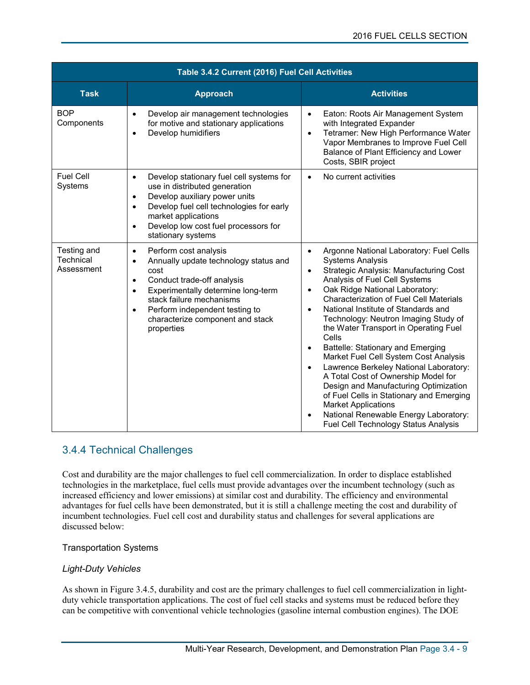| Table 3.4.2 Current (2016) Fuel Cell Activities |                                                                                                                                                                                                                                                                                                                             |                                                                                                                                                                                                                                                                                                                                                                                                                                                                                                                                                                                                                                                                                                                                                                                                                     |  |  |
|-------------------------------------------------|-----------------------------------------------------------------------------------------------------------------------------------------------------------------------------------------------------------------------------------------------------------------------------------------------------------------------------|---------------------------------------------------------------------------------------------------------------------------------------------------------------------------------------------------------------------------------------------------------------------------------------------------------------------------------------------------------------------------------------------------------------------------------------------------------------------------------------------------------------------------------------------------------------------------------------------------------------------------------------------------------------------------------------------------------------------------------------------------------------------------------------------------------------------|--|--|
| <b>Task</b>                                     | <b>Approach</b>                                                                                                                                                                                                                                                                                                             | <b>Activities</b>                                                                                                                                                                                                                                                                                                                                                                                                                                                                                                                                                                                                                                                                                                                                                                                                   |  |  |
| <b>BOP</b><br>Components                        | Develop air management technologies<br>$\bullet$<br>for motive and stationary applications<br>Develop humidifiers<br>$\bullet$                                                                                                                                                                                              | Eaton: Roots Air Management System<br>$\bullet$<br>with Integrated Expander<br>Tetramer: New High Performance Water<br>$\bullet$<br>Vapor Membranes to Improve Fuel Cell<br>Balance of Plant Efficiency and Lower<br>Costs, SBIR project                                                                                                                                                                                                                                                                                                                                                                                                                                                                                                                                                                            |  |  |
| <b>Fuel Cell</b><br>Systems                     | Develop stationary fuel cell systems for<br>$\bullet$<br>use in distributed generation<br>Develop auxiliary power units<br>$\bullet$<br>Develop fuel cell technologies for early<br>$\bullet$<br>market applications<br>Develop low cost fuel processors for<br>$\bullet$<br>stationary systems                             | No current activities<br>$\bullet$                                                                                                                                                                                                                                                                                                                                                                                                                                                                                                                                                                                                                                                                                                                                                                                  |  |  |
| Testing and<br>Technical<br>Assessment          | Perform cost analysis<br>$\bullet$<br>Annually update technology status and<br>$\bullet$<br>cost<br>Conduct trade-off analysis<br>$\bullet$<br>Experimentally determine long-term<br>$\bullet$<br>stack failure mechanisms<br>Perform independent testing to<br>$\bullet$<br>characterize component and stack<br>properties | Argonne National Laboratory: Fuel Cells<br>$\bullet$<br><b>Systems Analysis</b><br>Strategic Analysis: Manufacturing Cost<br>$\bullet$<br>Analysis of Fuel Cell Systems<br>Oak Ridge National Laboratory:<br>$\bullet$<br><b>Characterization of Fuel Cell Materials</b><br>National Institute of Standards and<br>$\bullet$<br>Technology: Neutron Imaging Study of<br>the Water Transport in Operating Fuel<br>Cells<br>Battelle: Stationary and Emerging<br>$\bullet$<br>Market Fuel Cell System Cost Analysis<br>Lawrence Berkeley National Laboratory:<br>$\bullet$<br>A Total Cost of Ownership Model for<br>Design and Manufacturing Optimization<br>of Fuel Cells in Stationary and Emerging<br><b>Market Applications</b><br>National Renewable Energy Laboratory:<br>Fuel Cell Technology Status Analysis |  |  |

# 3.4.4 Technical Challenges

Cost and durability are the major challenges to fuel cell commercialization. In order to displace established technologies in the marketplace, fuel cells must provide advantages over the incumbent technology (such as increased efficiency and lower emissions) at similar cost and durability. The efficiency and environmental advantages for fuel cells have been demonstrated, but it is still a challenge meeting the cost and durability of incumbent technologies. Fuel cell cost and durability status and challenges for several applications are discussed below:

## Transportation Systems

## *Light-Duty Vehicles*

As shown in Figure 3.4.5, durability and cost are the primary challenges to fuel cell commercialization in lightduty vehicle transportation applications. The cost of fuel cell stacks and systems must be reduced before they can be competitive with conventional vehicle technologies (gasoline internal combustion engines). The DOE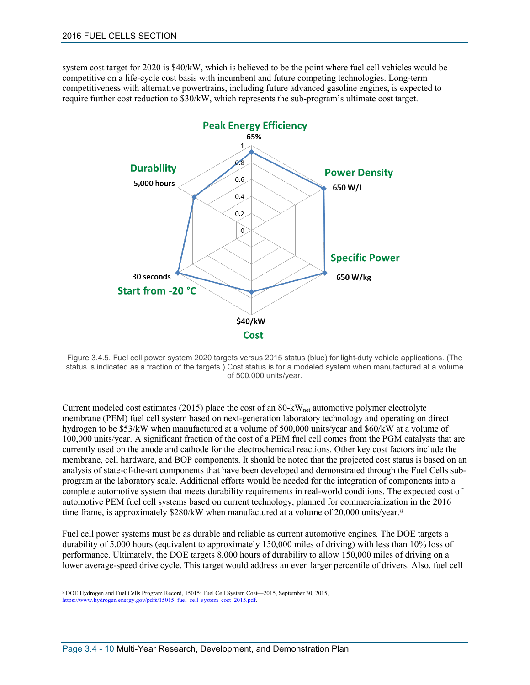system cost target for 2020 is \$40/kW, which is believed to be the point where fuel cell vehicles would be competitive on a life-cycle cost basis with incumbent and future competing technologies. Long-term competitiveness with alternative powertrains, including future advanced gasoline engines, is expected to require further cost reduction to \$30/kW, which represents the sub-program's ultimate cost target.



Figure 3.4.5. Fuel cell power system 2020 targets versus 2015 status (blue) for light-duty vehicle applications. (The status is indicated as a fraction of the targets.) Cost status is for a modeled system when manufactured at a volume of 500,000 units/year.

Current modeled cost estimates (2015) place the cost of an 80-kWnet automotive polymer electrolyte membrane (PEM) fuel cell system based on next-generation laboratory technology and operating on direct hydrogen to be \$53/kW when manufactured at a volume of 500,000 units/year and \$60/kW at a volume of 100,000 units/year. A significant fraction of the cost of a PEM fuel cell comes from the PGM catalysts that are currently used on the anode and cathode for the electrochemical reactions. Other key cost factors include the membrane, cell hardware, and BOP components. It should be noted that the projected cost status is based on an analysis of state-of-the-art components that have been developed and demonstrated through the Fuel Cells subprogram at the laboratory scale. Additional efforts would be needed for the integration of components into a complete automotive system that meets durability requirements in real-world conditions. The expected cost of automotive PEM fuel cell systems based on current technology, planned for commercialization in the 2016 time frame, is approximately \$2[8](#page-9-0)0/kW when manufactured at a volume of 20,000 units/year.<sup>8</sup>

Fuel cell power systems must be as durable and reliable as current automotive engines. The DOE targets a durability of 5,000 hours (equivalent to approximately 150,000 miles of driving) with less than 10% loss of performance. Ultimately, the DOE targets 8,000 hours of durability to allow 150,000 miles of driving on a lower average-speed drive cycle. This target would address an even larger percentile of drivers. Also, fuel cell

<span id="page-9-0"></span><sup>8</sup> DOE Hydrogen and Fuel Cells Program Record, 15015: Fuel Cell System Cost—2015, September 30, 2015, https://www.hydrogen.energy.gov/pdfs/15015\_fuel\_cell\_system\_cost\_2015.pdf.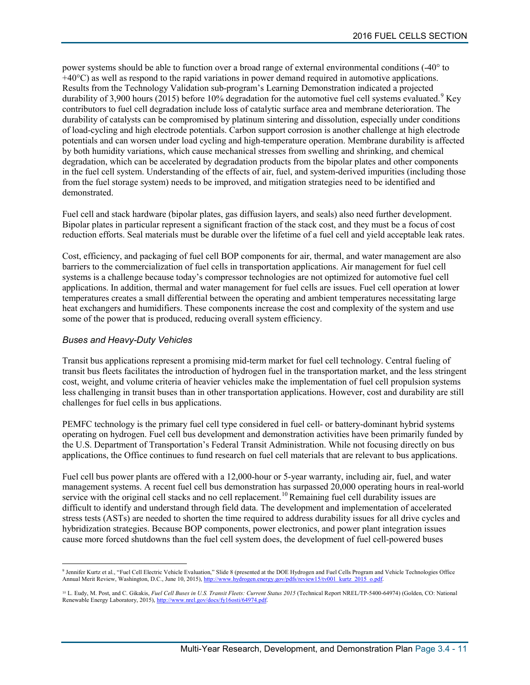power systems should be able to function over a broad range of external environmental conditions (-40° to  $+40^{\circ}$ C) as well as respond to the rapid variations in power demand required in automotive applications. Results from the Technology Validation sub-program's Learning Demonstration indicated a projected durability of 3,[9](#page-10-0)00 hours (2015) before 10% degradation for the automotive fuel cell systems evaluated. <sup>9</sup> Key contributors to fuel cell degradation include loss of catalytic surface area and membrane deterioration. The durability of catalysts can be compromised by platinum sintering and dissolution, especially under conditions of load-cycling and high electrode potentials. Carbon support corrosion is another challenge at high electrode potentials and can worsen under load cycling and high-temperature operation. Membrane durability is affected by both humidity variations, which cause mechanical stresses from swelling and shrinking, and chemical degradation, which can be accelerated by degradation products from the bipolar plates and other components in the fuel cell system. Understanding of the effects of air, fuel, and system-derived impurities (including those from the fuel storage system) needs to be improved, and mitigation strategies need to be identified and demonstrated.

Fuel cell and stack hardware (bipolar plates, gas diffusion layers, and seals) also need further development. Bipolar plates in particular represent a significant fraction of the stack cost, and they must be a focus of cost reduction efforts. Seal materials must be durable over the lifetime of a fuel cell and yield acceptable leak rates.

Cost, efficiency, and packaging of fuel cell BOP components for air, thermal, and water management are also barriers to the commercialization of fuel cells in transportation applications. Air management for fuel cell systems is a challenge because today's compressor technologies are not optimized for automotive fuel cell applications. In addition, thermal and water management for fuel cells are issues. Fuel cell operation at lower temperatures creates a small differential between the operating and ambient temperatures necessitating large heat exchangers and humidifiers. These components increase the cost and complexity of the system and use some of the power that is produced, reducing overall system efficiency.

#### *Buses and Heavy-Duty Vehicles*

Transit bus applications represent a promising mid-term market for fuel cell technology. Central fueling of transit bus fleets facilitates the introduction of hydrogen fuel in the transportation market, and the less stringent cost, weight, and volume criteria of heavier vehicles make the implementation of fuel cell propulsion systems less challenging in transit buses than in other transportation applications. However, cost and durability are still challenges for fuel cells in bus applications.

PEMFC technology is the primary fuel cell type considered in fuel cell- or battery-dominant hybrid systems operating on hydrogen. Fuel cell bus development and demonstration activities have been primarily funded by the U.S. Department of Transportation's Federal Transit Administration. While not focusing directly on bus applications, the Office continues to fund research on fuel cell materials that are relevant to bus applications.

Fuel cell bus power plants are offered with a 12,000-hour or 5-year warranty, including air, fuel, and water management systems. A recent fuel cell bus demonstration has surpassed 20,000 operating hours in real-world service with the original cell stacks and no cell replacement.<sup>[10](#page-10-1)</sup> Remaining fuel cell durability issues are difficult to identify and understand through field data. The development and implementation of accelerated stress tests (ASTs) are needed to shorten the time required to address durability issues for all drive cycles and hybridization strategies. Because BOP components, power electronics, and power plant integration issues cause more forced shutdowns than the fuel cell system does, the development of fuel cell-powered buses

<span id="page-10-0"></span><sup>9</sup> Jennifer Kurtz et al., "Fuel Cell Electric Vehicle Evaluation," Slide 8 (presented at the DOE Hydrogen and Fuel Cells Program and Vehicle Technologies Office Annual Merit Review, Washington, D.C., June 10, 2015), http://www.hydrogen.energy.gov/pdfs/review15/tv001\_kurtz\_2015\_o.pdf.

<span id="page-10-1"></span><sup>10</sup> L. Eudy, M. Post, and C. Gikakis, *Fuel Cell Buses in U.S. Transit Fleets: Current Status 2015* (Technical Report NREL/TP-5400-64974) (Golden, CO: National Renewable Energy Laboratory, 2015), [http://www.nrel.gov/docs/fy16osti/64974.pdf.](http://www.nrel.gov/docs/fy16osti/64974.pdf)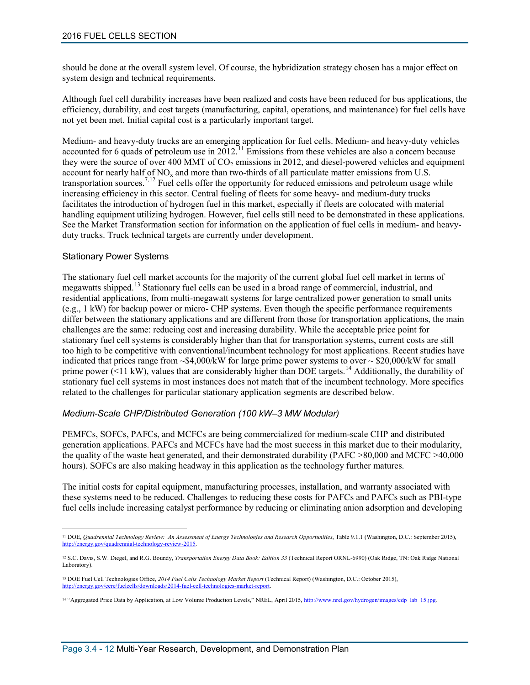should be done at the overall system level. Of course, the hybridization strategy chosen has a major effect on system design and technical requirements.

Although fuel cell durability increases have been realized and costs have been reduced for bus applications, the efficiency, durability, and cost targets (manufacturing, capital, operations, and maintenance) for fuel cells have not yet been met. Initial capital cost is a particularly important target.

Medium- and heavy-duty trucks are an emerging application for fuel cells. Medium- and heavy-duty vehicles accounted for 6 quads of petroleum use in  $2012$ .<sup>[11](#page-11-0)</sup> Emissions from these vehicles are also a concern because they were the source of over 400 MMT of  $CO<sub>2</sub>$  emissions in 2012, and diesel-powered vehicles and equipment account for nearly half of  $NO<sub>x</sub>$  and more than two-thirds of all particulate matter emissions from U.S. transportation sources.<sup>7,12</sup> Fuel cells offer the opportunity for reduced emissions and petroleum usage while increasing efficiency in this sector. Central fueling of fleets for some heavy- and medium-duty trucks facilitates the introduction of hydrogen fuel in this market, especially if fleets are colocated with material handling equipment utilizing hydrogen. However, fuel cells still need to be demonstrated in these applications. See the Market Transformation section for information on the application of fuel cells in medium- and heavyduty trucks. Truck technical targets are currently under development.

## Stationary Power Systems

The stationary fuel cell market accounts for the majority of the current global fuel cell market in terms of megawatts shipped.[13](#page-11-2) Stationary fuel cells can be used in a broad range of commercial, industrial, and residential applications, from multi-megawatt systems for large centralized power generation to small units (e.g., 1 kW) for backup power or micro- CHP systems. Even though the specific performance requirements differ between the stationary applications and are different from those for transportation applications, the main challenges are the same: reducing cost and increasing durability. While the acceptable price point for stationary fuel cell systems is considerably higher than that for transportation systems, current costs are still too high to be competitive with conventional/incumbent technology for most applications. Recent studies have indicated that prices range from  $\sim 4,000/kW$  for large prime power systems to over  $\sim 20,000/kW$  for small prime power (<11 kW), values that are considerably higher than DOE targets.<sup>[14](#page-11-3)</sup> Additionally, the durability of stationary fuel cell systems in most instances does not match that of the incumbent technology. More specifics related to the challenges for particular stationary application segments are described below.

#### *Medium-Scale CHP/Distributed Generation (100 kW–3 MW Modular)*

PEMFCs, SOFCs, PAFCs, and MCFCs are being commercialized for medium-scale CHP and distributed generation applications. PAFCs and MCFCs have had the most success in this market due to their modularity, the quality of the waste heat generated, and their demonstrated durability (PAFC >80,000 and MCFC >40,000 hours). SOFCs are also making headway in this application as the technology further matures.

The initial costs for capital equipment, manufacturing processes, installation, and warranty associated with these systems need to be reduced. Challenges to reducing these costs for PAFCs and PAFCs such as PBI-type fuel cells include increasing catalyst performance by reducing or eliminating anion adsorption and developing

<span id="page-11-0"></span><sup>11</sup> DOE, *Quadrennial Technology Review: An Assessment of Energy Technologies and Research Opportunities*, Table 9.1.1 (Washington, D.C.: September 2015), [http://energy.gov/quadrennial-technology-review-2015.](http://energy.gov/quadrennial-technology-review-2015) 

<span id="page-11-1"></span><sup>12</sup> S.C. Davis, S.W. Diegel, and R.G. Boundy, *Transportation Energy Data Book: Edition 33* (Technical Report ORNL-6990) (Oak Ridge, TN: Oak Ridge National Laboratory).

<span id="page-11-2"></span><sup>13</sup> DOE Fuel Cell Technologies Office, *2014 Fuel Cells Technology Market Report* (Technical Report) (Washington, D.C.: October 2015), [http://energy.gov/eere/fuelcells/downloads/2014-fuel-cell-technologies-market-report.](http://energy.gov/eere/fuelcells/downloads/2014-fuel-cell-technologies-market-report) 

<span id="page-11-3"></span><sup>&</sup>lt;sup>14 "</sup>Aggregated Price Data by Application, at Low Volume Production Levels," NREL, April 2015[, http://www.nrel.gov/hydrogen/images/cdp\\_lab\\_15.jpg.](http://www.nrel.gov/hydrogen/images/cdp_lab_15.jpg)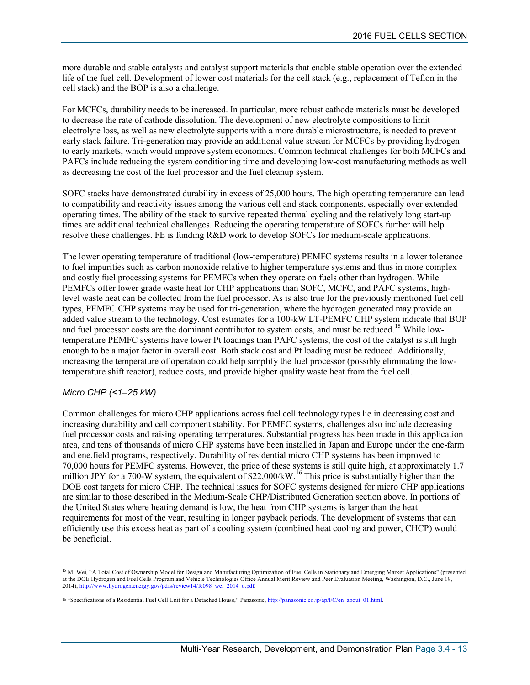more durable and stable catalysts and catalyst support materials that enable stable operation over the extended life of the fuel cell. Development of lower cost materials for the cell stack (e.g., replacement of Teflon in the cell stack) and the BOP is also a challenge.

For MCFCs, durability needs to be increased. In particular, more robust cathode materials must be developed to decrease the rate of cathode dissolution. The development of new electrolyte compositions to limit electrolyte loss, as well as new electrolyte supports with a more durable microstructure, is needed to prevent early stack failure. Tri-generation may provide an additional value stream for MCFCs by providing hydrogen to early markets, which would improve system economics. Common technical challenges for both MCFCs and PAFCs include reducing the system conditioning time and developing low-cost manufacturing methods as well as decreasing the cost of the fuel processor and the fuel cleanup system.

SOFC stacks have demonstrated durability in excess of 25,000 hours. The high operating temperature can lead to compatibility and reactivity issues among the various cell and stack components, especially over extended operating times. The ability of the stack to survive repeated thermal cycling and the relatively long start-up times are additional technical challenges. Reducing the operating temperature of SOFCs further will help resolve these challenges. FE is funding R&D work to develop SOFCs for medium-scale applications.

The lower operating temperature of traditional (low-temperature) PEMFC systems results in a lower tolerance to fuel impurities such as carbon monoxide relative to higher temperature systems and thus in more complex and costly fuel processing systems for PEMFCs when they operate on fuels other than hydrogen. While PEMFCs offer lower grade waste heat for CHP applications than SOFC, MCFC, and PAFC systems, highlevel waste heat can be collected from the fuel processor. As is also true for the previously mentioned fuel cell types, PEMFC CHP systems may be used for tri-generation, where the hydrogen generated may provide an added value stream to the technology. Cost estimates for a 100-kW LT-PEMFC CHP system indicate that BOP and fuel processor costs are the dominant contributor to system costs, and must be reduced.<sup>[15](#page-12-0)</sup> While lowtemperature PEMFC systems have lower Pt loadings than PAFC systems, the cost of the catalyst is still high enough to be a major factor in overall cost. Both stack cost and Pt loading must be reduced. Additionally, increasing the temperature of operation could help simplify the fuel processor (possibly eliminating the lowtemperature shift reactor), reduce costs, and provide higher quality waste heat from the fuel cell.

## *Micro CHP (<1–25 kW)*

Common challenges for micro CHP applications across fuel cell technology types lie in decreasing cost and increasing durability and cell component stability. For PEMFC systems, challenges also include decreasing fuel processor costs and raising operating temperatures. Substantial progress has been made in this application area, and tens of thousands of micro CHP systems have been installed in Japan and Europe under the ene-farm and ene.field programs, respectively. Durability of residential micro CHP systems has been improved to 70,000 hours for PEMFC systems. However, the price of these systems is still quite high, at approximately 1.7 million JPY for a 700-W system, the equivalent of  $22,000/kW$ .<sup>[16](#page-12-1)</sup> This price is substantially higher than the DOE cost targets for micro CHP. The technical issues for SOFC systems designed for micro CHP applications are similar to those described in the Medium-Scale CHP/Distributed Generation section above. In portions of the United States where heating demand is low, the heat from CHP systems is larger than the heat requirements for most of the year, resulting in longer payback periods. The development of systems that can efficiently use this excess heat as part of a cooling system (combined heat cooling and power, CHCP) would be beneficial.

<span id="page-12-0"></span><sup>&</sup>lt;sup>15</sup> M. Wei, "A Total Cost of Ownership Model for Design and Manufacturing Optimization of Fuel Cells in Stationary and Emerging Market Applications" (presented at the DOE Hydrogen and Fuel Cells Program and Vehicle Technologies Office Annual Merit Review and Peer Evaluation Meeting, Washington, D.C., June 19, 2014), http://www.hydrogen.energy.gov/pdfs/review14/fc098\_wei\_2014\_o.pdf.

<span id="page-12-1"></span><sup>16 &</sup>quot;Specifications of a Residential Fuel Cell Unit for a Detached House," Panasonic, http://panasonic.co.jp/ap/FC/en\_about\_01.html.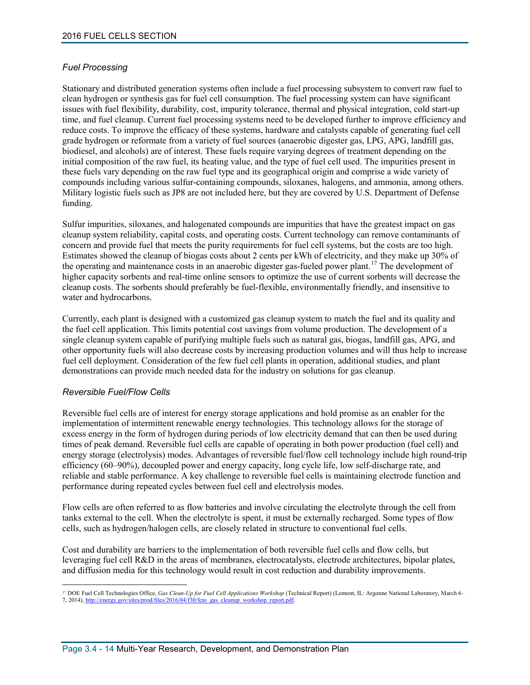## *Fuel Processing*

Stationary and distributed generation systems often include a fuel processing subsystem to convert raw fuel to clean hydrogen or synthesis gas for fuel cell consumption. The fuel processing system can have significant issues with fuel flexibility, durability, cost, impurity tolerance, thermal and physical integration, cold start-up time, and fuel cleanup. Current fuel processing systems need to be developed further to improve efficiency and reduce costs. To improve the efficacy of these systems, hardware and catalysts capable of generating fuel cell grade hydrogen or reformate from a variety of fuel sources (anaerobic digester gas, LPG, APG, landfill gas, biodiesel, and alcohols) are of interest. These fuels require varying degrees of treatment depending on the initial composition of the raw fuel, its heating value, and the type of fuel cell used. The impurities present in these fuels vary depending on the raw fuel type and its geographical origin and comprise a wide variety of compounds including various sulfur-containing compounds, siloxanes, halogens, and ammonia, among others. Military logistic fuels such as JP8 are not included here, but they are covered by U.S. Department of Defense funding.

Sulfur impurities, siloxanes, and halogenated compounds are impurities that have the greatest impact on gas cleanup system reliability, capital costs, and operating costs. Current technology can remove contaminants of concern and provide fuel that meets the purity requirements for fuel cell systems, but the costs are too high. Estimates showed the cleanup of biogas costs about 2 cents per kWh of electricity, and they make up 30% of the operating and maintenance costs in an anaerobic digester gas-fueled power plant.<sup>[17](#page-13-0)</sup> The development of higher capacity sorbents and real-time online sensors to optimize the use of current sorbents will decrease the cleanup costs. The sorbents should preferably be fuel-flexible, environmentally friendly, and insensitive to water and hydrocarbons.

Currently, each plant is designed with a customized gas cleanup system to match the fuel and its quality and the fuel cell application. This limits potential cost savings from volume production. The development of a single cleanup system capable of purifying multiple fuels such as natural gas, biogas, landfill gas, APG, and other opportunity fuels will also decrease costs by increasing production volumes and will thus help to increase fuel cell deployment. Consideration of the few fuel cell plants in operation, additional studies, and plant demonstrations can provide much needed data for the industry on solutions for gas cleanup.

## *Reversible Fuel/Flow Cells*

Reversible fuel cells are of interest for energy storage applications and hold promise as an enabler for the implementation of intermittent renewable energy technologies. This technology allows for the storage of excess energy in the form of hydrogen during periods of low electricity demand that can then be used during times of peak demand. Reversible fuel cells are capable of operating in both power production (fuel cell) and energy storage (electrolysis) modes. Advantages of reversible fuel/flow cell technology include high round-trip efficiency (60–90%), decoupled power and energy capacity, long cycle life, low self-discharge rate, and reliable and stable performance. A key challenge to reversible fuel cells is maintaining electrode function and performance during repeated cycles between fuel cell and electrolysis modes.

Flow cells are often referred to as flow batteries and involve circulating the electrolyte through the cell from tanks external to the cell. When the electrolyte is spent, it must be externally recharged. Some types of flow cells, such as hydrogen/halogen cells, are closely related in structure to conventional fuel cells.

Cost and durability are barriers to the implementation of both reversible fuel cells and flow cells, but leveraging fuel cell R&D in the areas of membranes, electrocatalysts, electrode architectures, bipolar plates, and diffusion media for this technology would result in cost reduction and durability improvements.

<span id="page-13-0"></span><sup>&</sup>lt;sup>17</sup> DOE Fuel Cell Technologies Office, *Gas Clean-Up for Fuel Cell Applications Workshop* (Technical Report) (Lemont, IL: Argonne National Laboratory, March 6– 7, 2014)[, http://energy.gov/sites/prod/files/2016/04/f30/fcto\\_gas\\_cleanup\\_workshop\\_report.pdf.](http://energy.gov/sites/prod/files/2016/04/f30/fcto_gas_cleanup_workshop_report.pdf)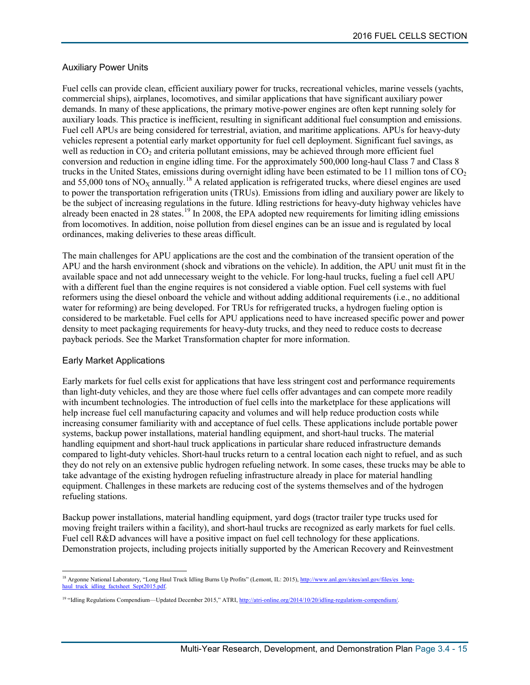## Auxiliary Power Units

Fuel cells can provide clean, efficient auxiliary power for trucks, recreational vehicles, marine vessels (yachts, commercial ships), airplanes, locomotives, and similar applications that have significant auxiliary power demands. In many of these applications, the primary motive-power engines are often kept running solely for auxiliary loads. This practice is inefficient, resulting in significant additional fuel consumption and emissions. Fuel cell APUs are being considered for terrestrial, aviation, and maritime applications. APUs for heavy-duty vehicles represent a potential early market opportunity for fuel cell deployment. Significant fuel savings, as well as reduction in CO<sub>2</sub> and criteria pollutant emissions, may be achieved through more efficient fuel conversion and reduction in engine idling time. For the approximately 500,000 long-haul Class 7 and Class 8 trucks in the United States, emissions during overnight idling have been estimated to be 11 million tons of  $CO<sub>2</sub>$ and 55,000 tons of  $NO<sub>X</sub>$  annually.<sup>[18](#page-14-0)</sup> A related application is refrigerated trucks, where diesel engines are used to power the transportation refrigeration units (TRUs). Emissions from idling and auxiliary power are likely to be the subject of increasing regulations in the future. Idling restrictions for heavy-duty highway vehicles have already been enacted in 28 states.<sup>19</sup> In 2008, the EPA adopted new requirements for limiting idling emissions from locomotives. In addition, noise pollution from diesel engines can be an issue and is regulated by local ordinances, making deliveries to these areas difficult.

The main challenges for APU applications are the cost and the combination of the transient operation of the APU and the harsh environment (shock and vibrations on the vehicle). In addition, the APU unit must fit in the available space and not add unnecessary weight to the vehicle. For long-haul trucks, fueling a fuel cell APU with a different fuel than the engine requires is not considered a viable option. Fuel cell systems with fuel reformers using the diesel onboard the vehicle and without adding additional requirements (i.e., no additional water for reforming) are being developed. For TRUs for refrigerated trucks, a hydrogen fueling option is considered to be marketable. Fuel cells for APU applications need to have increased specific power and power density to meet packaging requirements for heavy-duty trucks, and they need to reduce costs to decrease payback periods. See the Market Transformation chapter for more information.

## Early Market Applications

Early markets for fuel cells exist for applications that have less stringent cost and performance requirements than light-duty vehicles, and they are those where fuel cells offer advantages and can compete more readily with incumbent technologies. The introduction of fuel cells into the marketplace for these applications will help increase fuel cell manufacturing capacity and volumes and will help reduce production costs while increasing consumer familiarity with and acceptance of fuel cells. These applications include portable power systems, backup power installations, material handling equipment, and short-haul trucks. The material handling equipment and short-haul truck applications in particular share reduced infrastructure demands compared to light-duty vehicles. Short-haul trucks return to a central location each night to refuel, and as such they do not rely on an extensive public hydrogen refueling network. In some cases, these trucks may be able to take advantage of the existing hydrogen refueling infrastructure already in place for material handling equipment. Challenges in these markets are reducing cost of the systems themselves and of the hydrogen refueling stations.

Backup power installations, material handling equipment, yard dogs (tractor trailer type trucks used for moving freight trailers within a facility), and short-haul trucks are recognized as early markets for fuel cells. Fuel cell R&D advances will have a positive impact on fuel cell technology for these applications. Demonstration projects, including projects initially supported by the American Recovery and Reinvestment

<span id="page-14-0"></span><sup>&</sup>lt;sup>18</sup> Argonne National Laboratory, "Long Haul Truck Idling Burns Up Profits" (Lemont, IL: 2015)[, http://www.anl.gov/sites/anl.gov/files/es\\_long](http://www.anl.gov/sites/anl.gov/files/es_long-haul_truck_idling_factsheet_Sept2015.pdf)[haul\\_truck\\_idling\\_factsheet\\_Sept2015.pdf.](http://www.anl.gov/sites/anl.gov/files/es_long-haul_truck_idling_factsheet_Sept2015.pdf) 

<span id="page-14-1"></span><sup>&</sup>lt;sup>19</sup> "Idling Regulations Compendium—Updated December 2015," ATRI, http://atri-online.org/2014/10/20/idling-regulations-compendium/.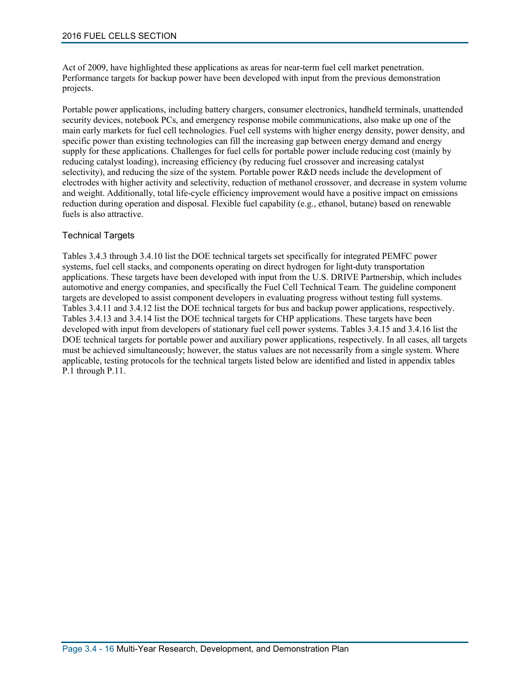Act of 2009, have highlighted these applications as areas for near-term fuel cell market penetration. Performance targets for backup power have been developed with input from the previous demonstration projects.

Portable power applications, including battery chargers, consumer electronics, handheld terminals, unattended security devices, notebook PCs, and emergency response mobile communications, also make up one of the main early markets for fuel cell technologies. Fuel cell systems with higher energy density, power density, and specific power than existing technologies can fill the increasing gap between energy demand and energy supply for these applications. Challenges for fuel cells for portable power include reducing cost (mainly by reducing catalyst loading), increasing efficiency (by reducing fuel crossover and increasing catalyst selectivity), and reducing the size of the system. Portable power R&D needs include the development of electrodes with higher activity and selectivity, reduction of methanol crossover, and decrease in system volume and weight. Additionally, total life-cycle efficiency improvement would have a positive impact on emissions reduction during operation and disposal. Flexible fuel capability (e.g., ethanol, butane) based on renewable fuels is also attractive.

## Technical Targets

Tables 3.4.3 through 3.4.10 list the DOE technical targets set specifically for integrated PEMFC power systems, fuel cell stacks, and components operating on direct hydrogen for light-duty transportation applications. These targets have been developed with input from the U.S. DRIVE Partnership, which includes automotive and energy companies, and specifically the Fuel Cell Technical Team. The guideline component targets are developed to assist component developers in evaluating progress without testing full systems. Tables 3.4.11 and 3.4.12 list the DOE technical targets for bus and backup power applications, respectively. Tables 3.4.13 and 3.4.14 list the DOE technical targets for CHP applications. These targets have been developed with input from developers of stationary fuel cell power systems. Tables 3.4.15 and 3.4.16 list the DOE technical targets for portable power and auxiliary power applications, respectively. In all cases, all targets must be achieved simultaneously; however, the status values are not necessarily from a single system. Where applicable, testing protocols for the technical targets listed below are identified and listed in appendix tables P.1 through P.11.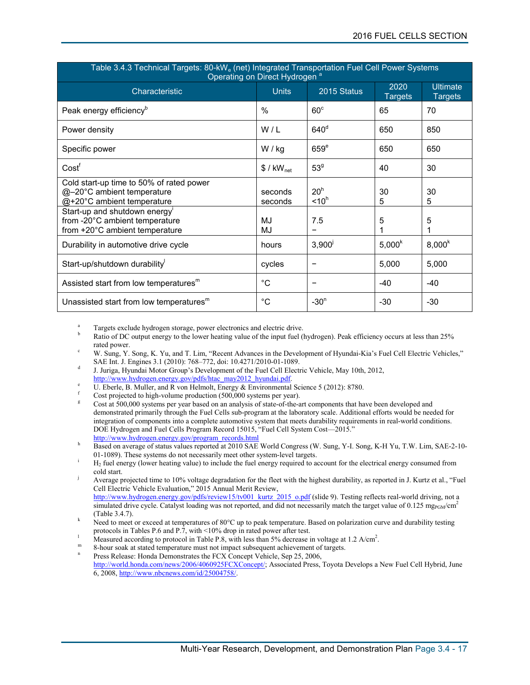| Table 3.4.3 Technical Targets: 80-kW <sub>e</sub> (net) Integrated Transportation Fuel Cell Power Systems<br>Operating on Direct Hydrogen <sup>a</sup> |                    |                            |                        |                                   |  |
|--------------------------------------------------------------------------------------------------------------------------------------------------------|--------------------|----------------------------|------------------------|-----------------------------------|--|
| Characteristic                                                                                                                                         | <b>Units</b>       | 2015 Status                | 2020<br><b>Targets</b> | <b>Ultimate</b><br><b>Targets</b> |  |
| Peak energy efficiency <sup>b</sup>                                                                                                                    | $\frac{0}{0}$      | $60^\circ$                 | 65                     | 70                                |  |
| Power density                                                                                                                                          | W/L                | 640 <sup>d</sup>           | 650                    | 850                               |  |
| Specific power                                                                                                                                         | W / kg             | 659 <sup>e</sup>           | 650                    | 650                               |  |
| Cost <sup>f</sup>                                                                                                                                      | $$ / kW_{net}$     | 53 <sup>9</sup>            | 40                     | 30                                |  |
| Cold start-up time to 50% of rated power<br>@-20°C ambient temperature<br>@+20°C ambient temperature                                                   | seconds<br>seconds | 20 <sup>h</sup><br>$~10^h$ | 30<br>5                | 30<br>5                           |  |
| Start-up and shutdown energy<br>from -20°C ambient temperature<br>from +20°C ambient temperature                                                       | MJ<br>MJ           | 7.5                        | 5                      | 5                                 |  |
| Durability in automotive drive cycle                                                                                                                   | hours              | $3,900^{\circ}$            | $5,000^k$              | $8,000^k$                         |  |
| Start-up/shutdown durability                                                                                                                           | cycles             |                            | 5,000                  | 5,000                             |  |
| Assisted start from low temperatures <sup>m</sup>                                                                                                      | $^{\circ}C$        |                            | -40                    | $-40$                             |  |
| Unassisted start from low temperatures $m$                                                                                                             | $^{\circ}C$        | $-30n$                     | -30                    | $-30$                             |  |

- Targets exclude hydrogen storage, power electronics and electric drive.<br>  $\frac{b}{c}$  Ratio of DC output energy to the lower heating value of the input fuel (hydrogen). Peak efficiency occurs at less than 25%
- rated power.<br>
c W. Sung, Y. Song, K. Yu, and T. Lim, "Recent Advances in the Development of Hyundai-Kia's Fuel Cell Electric Vehicles,"<br>
SAE Int. J. Engines 3.1 (2010): 768–772, doi: 10.4271/2010-01-1089.
- SAE Int. J. Engines 3.1 (2010): 768–772, doi: 10.4271/2010-01-1089. <sup>d</sup> J. Juriga, Hyundai Motor Group's Development of the Fuel Cell Electric Vehicle, May 10th, 2012,
- 
- 
- 
- http://www.hydrogen.energy.gov/pdfs/htac\_may2012\_hyundai.pdf.<br>
U. Eberle, B. Muller, and R von Helmolt, Energy & Environmental Science 5 (2012): 8780.<br>
Cost projected to high-volume production (500,000 systems per year).<br> demonstrated primarily through the Fuel Cells sub-program at the laboratory scale. Additional efforts would be needed for integration of components into a complete automotive system that meets durability requirements in real-world conditions. DOE Hydrogen and Fuel Cells Program Record 15015, "Fuel Cell System Cost—2015."<br>http://www.hydrogen.energy.gov/program\_records.html
- h Based on average of status values reported at 2010 SAE World Congress (W. Sung, Y-I. Song, K-H Yu, T.W. Lim, SAE-2-10-
- 01-1089). These systems do not necessarily meet other system-level targets.<br> $\frac{1}{2}$  H<sub>2</sub> fuel energy (lower heating value) to include the fuel energy required to account for the electrical energy consumed from cold start.
- Average projected time to 10% voltage degradation for the fleet with the highest durability, as reported in J. Kurtz et al., "Fuel Cell Electric Vehicle Evaluation," 2015 Annual Merit Review, [http://www.hydrogen.energy.gov/pdfs/review15/tv001\\_kurtz\\_2015\\_o.pdf](http://www.hydrogen.energy.gov/pdfs/review15/tv001_kurtz_2015_o.pdf) (slide 9). Testing reflects real-world driving, not a simulated drive cycle. Catalyst loading was not reported, and did not necessarily match the target value of  $0.125 \text{ m}g_{\text{PGM}}/\text{cm}^2$ <br>(Table 3.4.7).
- <sup>k</sup> Need to meet or exceed at temperatures of 80°C up to peak temperature. Based on polarization curve and durability testing protocols in Tables P.6 and P.7, with <10% drop in rated power after test.
- protocols in Tables P.6 and P.7, with Trop and power and Power after test. Measured according to protocol in Table P.8, with less than 5% decrease in voltage at 1.2 A/cm<sup>2</sup>.
- 
- <sup>m</sup> 8-hour soak at stated temperature must not impact subsequent achievement of targets.<br><sup>n</sup> Press Release: Honda Demonstrates the FCX Concept Vehicle, Sep 25, 2006, [http://world.honda.com/news/2006/4060925FCXConcept/;](http://world.honda.com/news/2006/4060925FCXConcept/) Associated Press, Toyota Develops a New Fuel Cell Hybrid, June 6, 2008, [http://www.nbcnews.com/id/25004758/.](http://www.nbcnews.com/id/25004758/)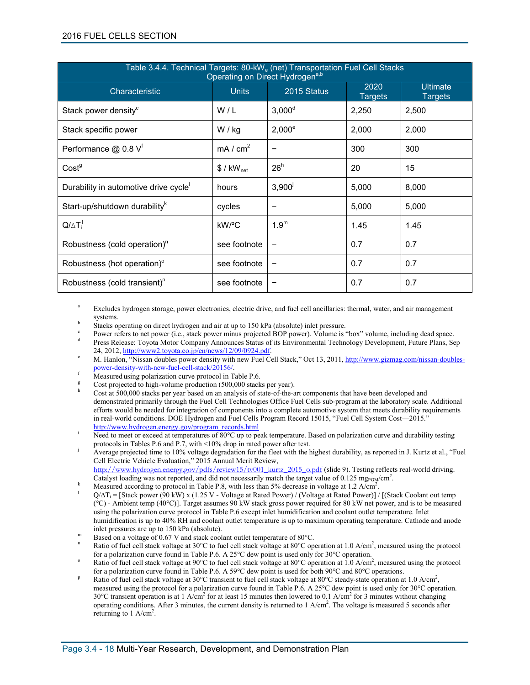| Table 3.4.4. Technical Targets: 80-kW <sub>e</sub> (net) Transportation Fuel Cell Stacks<br>Operating on Direct Hydrogen <sup>a,b</sup> |                    |                 |       |       |  |
|-----------------------------------------------------------------------------------------------------------------------------------------|--------------------|-----------------|-------|-------|--|
| 2020<br><b>Ultimate</b><br>2015 Status<br>Characteristic<br><b>Units</b><br><b>Targets</b><br><b>Targets</b>                            |                    |                 |       |       |  |
| Stack power density <sup>c</sup>                                                                                                        | W/L                | $3,000^d$       | 2,250 | 2,500 |  |
| Stack specific power                                                                                                                    | W / kg             | $2,000^e$       | 2,000 | 2,000 |  |
| Performance @ 0.8 V <sup>f</sup>                                                                                                        | mA/cm <sup>2</sup> |                 | 300   | 300   |  |
| Cost <sup>9</sup>                                                                                                                       | $$ / kW_{net}$     | 26 <sup>h</sup> | 20    | 15    |  |
| Durability in automotive drive cycle'                                                                                                   | hours              | $3,900^{j}$     | 5,000 | 8,000 |  |
| Start-up/shutdown durability <sup>k</sup>                                                                                               | cycles             |                 | 5,000 | 5,000 |  |
| $Q/\triangle T_i$                                                                                                                       | kW/°C              | $1.9^m$         | 1.45  | 1.45  |  |
| Robustness (cold operation) <sup>n</sup>                                                                                                | see footnote       |                 | 0.7   | 0.7   |  |
| Robustness (hot operation) <sup>o</sup>                                                                                                 | see footnote       |                 | 0.7   | 0.7   |  |
| Robustness (cold transient) <sup>p</sup>                                                                                                | see footnote       |                 | 0.7   | 0.7   |  |

Excludes hydrogen storage, power electronics, electric drive, and fuel cell ancillaries: thermal, water, and air management

- 
- 
- b<br>
Stacks operating on direct hydrogen and air at up to 150 kPa (absolute) inlet pressure.<br>
Power refers to net power (i.e., stack power minus projected BOP power). Volume is "box" volume, including dead space.<br>
Press Rele
- M. Hanlon, "Nissan doubles power density with new Fuel Cell Stack," Oct 13, 2011, http://www.gizmag.com/nissan-doubles-<br>power-density-with-new-fuel-cell-stack/20156/.
- 
- 
- Measured using polarization curve protocol in Table P.6.<br>
Sost projected to high-volume production (500,000 stacks per year).<br>  $\frac{1}{2}$  $\frac{1}{2}$  $\frac{1}{2}$  Cost at 500,000 stacks per year based on an analysis of state-of-the-art components demonstrated primarily through the Fuel Cell Technologies Office Fuel Cells sub-program at the laboratory scale. Additional efforts would be needed for integration of components into a complete automotive system that meets durability requirements in real-world conditions. DOE Hydrogen and Fuel Cells Program Record 15015, "Fuel Cell System Cost—2015."<br>http://www.hydrogen.energy.gov/program records.html
- Need to meet or exceed at temperatures of  $80^{\circ}$ C up to peak temperature. Based on polarization curve and durability testing protocols in Tables P.6 and P.7, with <10% drop in rated power after test.
- Average projected time to 10% voltage degradation for the fleet with the highest durability, as reported in J. Kurtz et al., "Fuel Cell Electric Vehicle Evaluation," 2015 Annual Merit Review, [http://www.hydrogen.energy.gov/pdfs/review15/tv001\\_kurtz\\_2015\\_o.pdf](http://www.hydrogen.energy.gov/pdfs/review15/tv001_kurtz_2015_o.pdf) (slide 9). Testing reflects real-world driving.
- Catalyst loading was not reported, and did not necessarily match the target value of 0.125 mg<sub>PGM</sub>/cm<sup>2</sup>.
- Measured according to protocol in Table P.8, with less than 5% decrease in voltage at 1.2 A/cm<sup>2</sup>.
- . l Q/∆T<sup>i</sup> = [Stack power (90 kW) x (1.25 V Voltage at Rated Power) / (Voltage at Rated Power)] / [(Stack Coolant out temp (°C) - Ambient temp (40°C)]. Target assumes 90 kW stack gross power required for 80 kW net power, and is to be measured using the polarization curve protocol in Table P.6 except inlet humidification and coolant outlet temperature. Inlet humidification is up to 40% RH and coolant outlet temperature is up to maximum operating temperature. Cathode and anode
- 
- inlet pressures are up to 150 kPa (absolute).<br>
Based on a voltage of 0.67 V and stack coolant outlet temperature of 80°C.<br>
Ratio of fuel cell stack voltage at 30°C to fuel cell stack voltage at 80°C operation at 1.0 A/cm<sup></sup>
- for a polarization curve found in Table P.6. A 25°C dew point is used only for 30°C operation.<br><sup>o</sup> Ratio of fuel cell stack voltage at 90°C to fuel cell stack voltage at 80°C operation at 1.0 A/cm<sup>2</sup>, measured using the p
- for a polarization curve found in Table P.6. A 59°C dew point is used for both 90°C and 80°C operations.<br><sup>P</sup> Ratio of fuel cell stack voltage at 30°C transient to fuel cell stack voltage at 80°C steady-state operation at measured using the protocol for a polarization curve found in Table P.6. A 25°C dew point is used only for 30°C operation. 30°C transient operation is at 1 A/cm<sup>2</sup> for at least 15 minutes then lowered to 0.1 A/cm<sup>2</sup> for 3 minutes without changing operating conditions. After 3 minutes, the current density is returned to 1 A/cm<sup>2</sup>. The voltage is measured 5 seconds after returning to 1 A/cm<sup>2</sup>.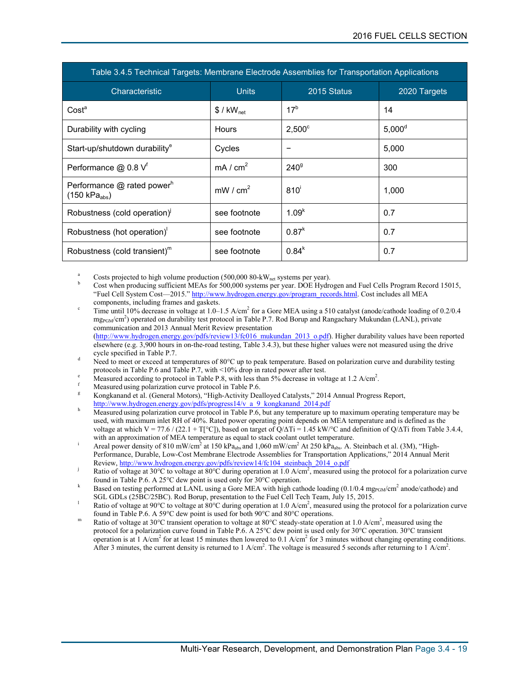| Table 3.4.5 Technical Targets: Membrane Electrode Assemblies for Transportation Applications |                      |                  |              |  |  |
|----------------------------------------------------------------------------------------------|----------------------|------------------|--------------|--|--|
| Characteristic                                                                               | <b>Units</b>         | 2015 Status      | 2020 Targets |  |  |
| Cost <sup>a</sup>                                                                            | $$ / kW_{net}$       | 17 <sup>b</sup>  | 14           |  |  |
| Durability with cycling                                                                      | <b>Hours</b>         | $2,500^{\circ}$  | $5,000^d$    |  |  |
| Start-up/shutdown durability <sup>e</sup>                                                    | Cycles               |                  | 5,000        |  |  |
| Performance $@$ 0.8 $V^f$                                                                    | mA/cm <sup>2</sup>   | 240 <sup>9</sup> | 300          |  |  |
| Performance @ rated power <sup>h</sup><br>$(150 \text{ kPa}_{\text{abs}})$                   | mW / cm <sup>2</sup> | 810 <sup>1</sup> | 1,000        |  |  |
| Robustness (cold operation) <sup><math>\prime</math></sup>                                   | see footnote         | $1.09^{k}$       | 0.7          |  |  |
| Robustness (hot operation) <sup>1</sup>                                                      | see footnote         | $0.87^{k}$       | 0.7          |  |  |
| Robustness (cold transient) $m$                                                              | see footnote         | $0.84^{k}$       | 0.7          |  |  |

Costs projected to high volume production (500,000 80-kW<sub>net</sub> systems per year). Cost when producing sufficient MEAs for 500,000 systems per year. DOE Hydrogen and Fuel Cells Program Record 15015, "Fuel Cell System Cost—2015.[" http://www.hydrogen.energy.gov/program\\_records.html.](http://www.hydrogen.energy.gov/program_records.html) Cost includes all MEA components, including frames and gaskets.

- Time until 10% decrease in voltage at 1.0–1.5 A/cm<sup>2</sup> for a Gore MEA using a 510 catalyst (anode/cathode loading of 0.2/0.4 mg<sub>PGM</sub>/cm<sup>2</sup>) operated on durability test protocol in Table P.7. Rod Borup and Rangachary Mukundan (LANL), private communication and 2013 Annual Merit Review presentation [\(http://www.hydrogen.energy.gov/pdfs/review13/fc016\\_mukundan\\_2013\\_o.pdf\)](http://www.hydrogen.energy.gov/pdfs/review13/fc016_mukundan_2013_o.pdf). Higher durability values have been reported elsewhere (e.g. 3,900 hours in on-the-road testing, Table 3.4.3), but these higher values were not measured using the drive
- cycle specified in Table P.7.<br>Need to meet or exceed at temperatures of 80°C up to peak temperature. Based on polarization curve and durability testing<br>protocols in Table P.6 and Table P.7, with <10% drop in rated power a
- protocols in Table P.8, with less than 5% decrease in voltage at 1.2 A/cm<sup>2</sup>.<br>
Measured using polarization curve protocol in Table P.6.
- 
- E Measured using P.6. and the al. (General Motors), "High-Activity Dealloyed Catalysts," 2014 Annual Progress Report,  $\frac{http://www.hydrogen.energy.gov/pdfs/progress14/v a 9 kongkanand 2014.pdf}{http://www.hydrogen.energy.gov/pdfs/progress14/v a 9 kongkanand 2014.pdf}$
- 
- $h$  Measured using polarization curve protocol in Table P.6, but any temperature up to maximum operating temperature may be used, with maximum inlet RH of 40%. Rated power operating point depends on MEA temperature and is defined as the voltage at which V = 77.6 / (22.1 + T[°C]), based on target of  $Q/\Delta Ti$  = 1.45 kW/°C and definition of  $Q/\Delta Ti$  from Table 3.4.4, with an approximation of MEA temperature as equal to stack coolant outlet temperature.
- Areal power density of 810 mW/cm<sup>2</sup> at 150 kPa<sub>abs</sub> and 1,060 mW/cm<sup>2</sup> At 250 kPa<sub>abs</sub>. A. Steinbach et al. (3M), "High-Performance, Durable, Low-Cost Membrane Electrode Assemblies for Transportation Applications," 2014 Annual Merit Review, [http://www.hydrogen.energy.gov/pdfs/review14/fc104\\_steinbach\\_2014\\_o.pdf](http://www.hydrogen.energy.gov/pdfs/review14/fc104_steinbach_2014_o.pdf)
- Ratio of voltage at 30°C to voltage at 80°C during operation at  $\overline{1.0}$  A/cm<sup>2</sup>, measured using the protocol for a polarization curve found in Table P.6. A 25°C dew point is used only for 30°C operation.<br>Based on testing performed at LANL using a Gore MEA with high cathode loading (0.1/0.4 mg<sub>PGM</sub>/cm<sup>2</sup> anode/cathode) and
- 
- SGL GDLs (25BC/25BC). Rod Borup, presentation to the Fuel Cell Tech Team, July 15, 2015.<br>Ratio of voltage at 90°C to voltage at 80°C during operation at 1.0 A/cm<sup>2</sup>, measured using the protocol for a polarization curve
- found in Table P.6. A 59°C dew point is used for both 90°C and 80°C operations.<br><sup>m</sup> Ratio of voltage at 30°C transient operation to voltage at 80°C steady-state operation at 1.0 A/cm<sup>2</sup>, measured using the protocol for a polarization curve found in Table P.6. A 25°C dew point is used only for 30°C operation. 30°C transient operation is at 1 A/cm<sup>2</sup> for at least 15 minutes then lowered to 0.1 A/cm<sup>2</sup> for 3 minutes without changing operating conditions. After 3 minutes, the current density is returned to 1 A/cm<sup>2</sup>. The voltage is measured 5 seconds after returning to  $1$  A/cm<sup>2</sup>.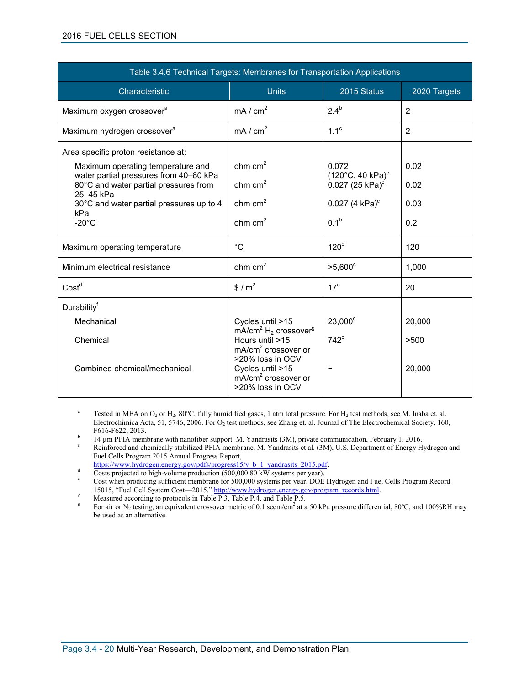| Table 3.4.6 Technical Targets: Membranes for Transportation Applications                                                                                                                                                                       |                                                                                                                                                                                       |                                                                                                           |                             |  |
|------------------------------------------------------------------------------------------------------------------------------------------------------------------------------------------------------------------------------------------------|---------------------------------------------------------------------------------------------------------------------------------------------------------------------------------------|-----------------------------------------------------------------------------------------------------------|-----------------------------|--|
| Characteristic                                                                                                                                                                                                                                 | <b>Units</b>                                                                                                                                                                          | 2015 Status                                                                                               | 2020 Targets                |  |
| Maximum oxygen crossover <sup>a</sup>                                                                                                                                                                                                          | mA / cm <sup>2</sup>                                                                                                                                                                  | 2.4 <sup>b</sup>                                                                                          | 2                           |  |
| Maximum hydrogen crossover <sup>a</sup>                                                                                                                                                                                                        | mA / cm <sup>2</sup>                                                                                                                                                                  | $1.1^\circ$                                                                                               | 2                           |  |
| Area specific proton resistance at:<br>Maximum operating temperature and<br>water partial pressures from 40-80 kPa<br>80°C and water partial pressures from<br>25-45 kPa<br>30°C and water partial pressures up to 4<br>kPa<br>$-20^{\circ}$ C | ohm $cm2$<br>ohm $cm2$<br>ohm $cm2$<br>ohm $cm2$                                                                                                                                      | 0.072<br>$(120^{\circ}C, 40 kPa)^{c}$<br>$0.027(25 kPa)^{c}$<br>$0.027$ (4 kPa) <sup>c</sup><br>$0.1^{b}$ | 0.02<br>0.02<br>0.03<br>0.2 |  |
| Maximum operating temperature                                                                                                                                                                                                                  | $^{\circ}C$                                                                                                                                                                           | $120^\circ$                                                                                               | 120                         |  |
| Minimum electrical resistance                                                                                                                                                                                                                  | $ohm$ $cm2$                                                                                                                                                                           | $>5,600^{\circ}$                                                                                          | 1,000                       |  |
| Cost <sup>d</sup>                                                                                                                                                                                                                              | $$/m^2$                                                                                                                                                                               | 17 <sup>e</sup>                                                                                           | 20                          |  |
| Durability <sup>f</sup><br>Mechanical<br>Chemical<br>Combined chemical/mechanical                                                                                                                                                              | Cycles until >15<br>$mA/cm2 H2 crossoverg$<br>Hours until >15<br>mA/cm <sup>2</sup> crossover or<br>>20% loss in OCV<br>Cycles until >15<br>$mA/cm2$ crossover or<br>>20% loss in OCV | $23,000^\circ$<br>$742^{\circ}$                                                                           | 20,000<br>>500<br>20,000    |  |

- <sup>a</sup> Tested in MEA on  $O_2$  or H<sub>2</sub>, 80°C, fully humidified gases, 1 atm total pressure. For H<sub>2</sub> test methods, see M. Inaba et. al. Electrochimica Acta, 51, 5746, 2006. For O2 test methods, see Zhang et. al. Journal of The Electrochemical Society, 160,
- F616-F622, 2013.<br><sup>b</sup> 14 µm PFIA membrane with nanofiber support. M. Yandrasits (3M), private communication, February 1, 2016.<br><sup>c</sup> Reinforced and chemically stabilized PFIA membrane. M. Yandrasits et al. (3M), U.S. Departme

- 
- Costs projected to high-volume production (500,000 80 kW systems per year).<br>
Cost when producing sufficient membrane for 500,000 systems per year. DOE Hydrogen and Fuel Cells Program Record<br>
15015, "Fuel Cell System Cost—2
- 

Measured according to protocols in Table P.3, Table P.4, and Table P.5.<br>
For air or N<sub>2</sub> testing, an equivalent crossover metric of 0.1 sccm/cm<sup>2</sup> at a 50 kPa pressure differential, 80°C, and 100%RH may be used as an alternative.

Fuel Cells Program 2015 Annual Progress Report,<br>https://www.hydrogen.energy.gov/pdfs/progress15/v\_b\_1\_yandrasits\_2015.pdf.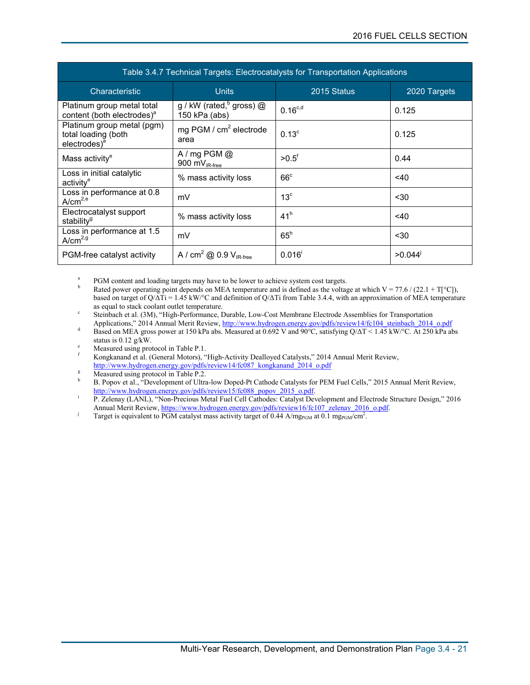| Table 3.4.7 Technical Targets: Electrocatalysts for Transportation Applications |                                                                |                  |              |  |
|---------------------------------------------------------------------------------|----------------------------------------------------------------|------------------|--------------|--|
| Characteristic                                                                  | <b>Units</b>                                                   | 2015 Status      | 2020 Targets |  |
| Platinum group metal total<br>content (both electrodes) <sup>a</sup>            | $g / kW$ (rated, p gross) $@$<br>150 kPa (abs)                 | $0.16^{c,d}$     | 0.125        |  |
| Platinum group metal (pgm)<br>total loading (both<br>$electrodes)^a$            | mg PGM / $cm2$ electrode<br>area                               | $0.13^c$         | 0.125        |  |
| Mass activity <sup>e</sup>                                                      | $A/mg$ PGM $@$<br>900 mV <sub>iR-free</sub>                    | $>0.5^{\dagger}$ | 0.44         |  |
| Loss in initial catalytic<br>activity <sup>e</sup>                              | % mass activity loss                                           | $66^{\circ}$     | $<$ 40       |  |
| Loss in performance at 0.8<br>A/cm <sup>2,e</sup>                               | mV                                                             | $13^{\circ}$     | $30$         |  |
| Electrocatalyst support<br>stability <sup>9</sup>                               | % mass activity loss                                           | 41 <sup>h</sup>  | $<$ 40       |  |
| Loss in performance at 1.5<br>A/cm <sup>2,9</sup>                               | mV                                                             | $65^h$           | $30$         |  |
| PGM-free catalyst activity                                                      | A / cm <sup>2</sup> $\textcircled{a}$ 0.9 V <sub>IR-free</sub> | 0.016            | >0.044       |  |

<sup>a</sup> PGM content and loading targets may have to be lower to achieve system cost targets.<br><sup>b</sup> Rated power operating point depends on MEA temperature and is defined as the voltage at which V = 77.6 / (22.1 + T[°C]), based on target of  $Q/\Delta Ti = 1.45$  kW/°C and definition of  $Q/\Delta Ti$  from Table 3.4.4, with an approximation of MEA temperature as equal to stack coolant outlet temperature.

<sup>e</sup> Steinbach et al. (3M), "High-Performance, Durable, Low-Cost Membrane Electrode Assemblies for Transportation<br>Applications," 2014 Annual Merit Review, http://www.hydrogen.energy.gov/pdfs/review14/fc104\_steinbach\_2014\_o.

- Based on MEA gross power at 150 kPa abs. Measured at 0.692 V and 90°C, satisfying  $Q/\Delta T < 1.45$  kW/°C. At 250 kPa abs
- 

status is 0.12 g/kW.<br>
e Measured using protocol in Table P.1.<br>
Kongkanand et al. (General Motors), "High-Activity Dealloyed Catalysts," 2014 Annual Merit Review,<br>
http://www.hydrogen.energy.gov/pdfs/review14/fc087 kongkana

<sup>8</sup><br>
B. Popov et al., "Development of Ultra-low Doped-Pt Cathode Catalysts for PEM Fuel Cells," 2015 Annual Merit Review,<br>
http://www.hydrogen.energy.gov/pdfs/review15/fc088 popov 2015 o.pdf.

<sup>i</sup> P. Zelenay (LANL), "Non-Precious Metal Fuel Cell Cathodes: Catalyst Development and Electrode Structure Design," 2016 Annual Merit Review, https://www.hydrogen.energy.gov/pdfs/review16/fc107\_zelenay\_2016\_o.pdf.

Target is equivalent to PGM catalyst mass activity target of 0.44 A/mg<sub>PGM</sub> at  $0.\overline{1}$  mg<sub>PGM</sub>/cm<sup>2</sup>.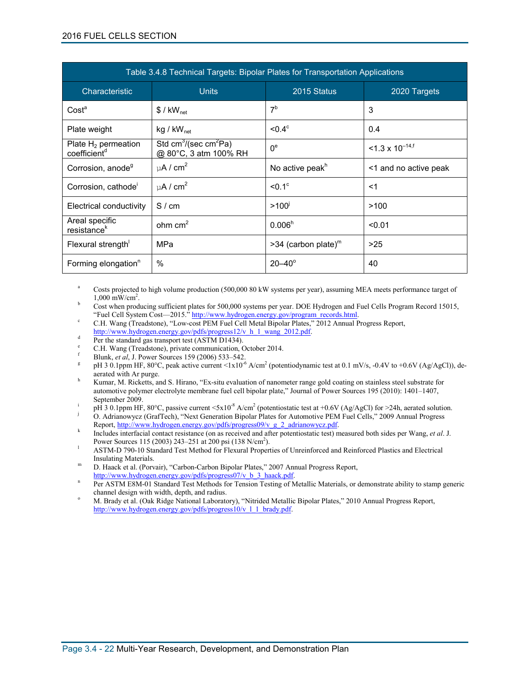| Table 3.4.8 Technical Targets: Bipolar Plates for Transportation Applications |                                                                        |                                   |                               |  |  |  |
|-------------------------------------------------------------------------------|------------------------------------------------------------------------|-----------------------------------|-------------------------------|--|--|--|
| Characteristic                                                                | <b>Units</b><br>2015 Status<br>2020 Targets                            |                                   |                               |  |  |  |
| Cost <sup>a</sup>                                                             | $$ / kW_{net}$                                                         | 7 <sup>b</sup>                    | 3                             |  |  |  |
| Plate weight                                                                  | $kg / kW_{net}$                                                        | $< 0.4$ <sup>c</sup>              | 0.4                           |  |  |  |
| Plate $H_2$ permeation<br>coefficient <sup>d</sup>                            | Std cm <sup>3</sup> /(sec cm <sup>2</sup> Pa)<br>@ 80°C, 3 atm 100% RH | 0 <sup>e</sup>                    | $<$ 1.3 x 10 <sup>-14,f</sup> |  |  |  |
| Corrosion, anode <sup>9</sup>                                                 | $\mu$ A / cm <sup>2</sup>                                              | No active peak <sup>h</sup>       | <1 and no active peak         |  |  |  |
| Corrosion, cathode'                                                           | $\mu$ A / cm <sup>2</sup>                                              | $< 0.1$ <sup>c</sup>              | $<$ 1                         |  |  |  |
| Electrical conductivity                                                       | S/cm                                                                   | $>100^{j}$                        | >100                          |  |  |  |
| Areal specific<br>resistance <sup>k</sup>                                     | ohm $cm2$                                                              | 0.006 <sup>h</sup>                | < 0.01                        |  |  |  |
| Flexural strength                                                             | MPa                                                                    | $>34$ (carbon plate) <sup>m</sup> | >25                           |  |  |  |
| Forming elongation"                                                           | $\%$                                                                   | $20 - 40^{\circ}$                 | 40                            |  |  |  |

Costs projected to high volume production (500,000 80 kW systems per year), assuming MEA meets performance target of  $1,000 \text{ mW/cm}^2$ .

Cost when producing sufficient plates for 500,000 systems per year. DOE Hydrogen and Fuel Cells Program Record 15015, "Fuel Cell System Cost—2015." http://www.hydrogen.energy.gov/program records.html.

- <sup>e</sup> C.H. Wang (Treadstone), "Low-cost PEM Fuel Cell Metal Bipolar Plates," 2012 Annual Progress Report,
- 
- 
- 
- $\frac{\frac{\text{http://www.hydrogen.energy.gov/pdfs/progress12/v h 1wang 2012.pdf}}{\text{Per the standard gas transport test (ASTM D1434)}}.$ Fer the standard gas transport test (ASTM D1434).<br>
C.H. Wang (Treadstone), private communication, October 2014.<br>
Blunk, *et al*, J. Power Sources 159 (2006) 533–542.
- aerated with Ar purge.<br>h Kumar, M. Ricketts, and S. Hirano, "Ex-situ evaluation of nanometer range gold coating on stainless steel substrate for automotive polymer electrolyte membrane fuel cell bipolar plate," Journal of Power Sources 195 (2010): 1401–1407,
- $\mu$  pH 3 0.1ppm HF, 80°C, passive current  $\langle 5x10^{-8} A/cm^2$  (potentiostatic test at +0.6V (Ag/AgCl) for >24h, aerated solution.
- O. Adrianowycz (GrafTech), "Next Generation Bipolar Plates for Automotive PEM Fuel Cells," 2009 Annual Progress Report, http://www.hydrogen.energy.gov/pdfs/progress09/v\_g\_2\_adrianowycz.pdf.

Report, *https://www.majazogadrianog/gov/partylengtergressom\_gov/partylengtergress*. Power Sources 115 (2003) 243–251 at 200 psi (138 N/cm<sup>2</sup>).

<sup>1</sup> ASTM-D 790-10 Standard Test Method for Flexural Properties of Unreinforced and Reinforced Plastics and Electrical

Insulating Materials.<br>
m D. Haack et al. (Porvair), "Carbon-Carbon Bipolar Plates," 2007 Annual Progress Report,<br>
http://www.hydrogen.energy.gov/pdfs/progress07/v\_b\_3\_haack.pdf.

- Per ASTM E8M-01 Standard Test Methods for Tension Testing of Metallic Materials, or demonstrate ability to stamp generic channel design with width, depth, and radius.<br>
<sup>o</sup> M. Brady et al. (Oak Ridge National Laboratory), "Nitrided Metallic Bipolar Plates," 2010 Annual Progress Report,
- [http://www.hydrogen.energy.gov/pdfs/progress10/v\\_l\\_1\\_brady.pdf.](http://www.hydrogen.energy.gov/pdfs/progress10/v_l_1_brady.pdf)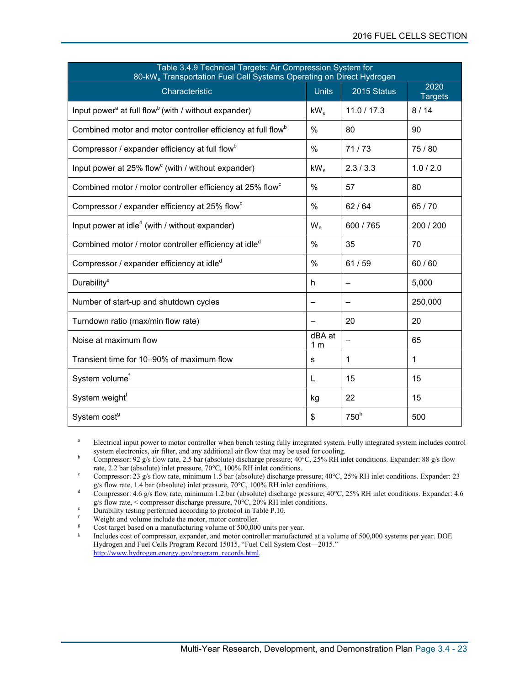| Table 3.4.9 Technical Targets: Air Compression System for<br>80-kW <sub>e</sub> Transportation Fuel Cell Systems Operating on Direct Hydrogen |                          |                  |                        |  |
|-----------------------------------------------------------------------------------------------------------------------------------------------|--------------------------|------------------|------------------------|--|
| Characteristic                                                                                                                                | <b>Units</b>             | 2015 Status      | 2020<br><b>Targets</b> |  |
| Input power <sup>a</sup> at full flow <sup>b</sup> (with / without expander)                                                                  | $kW_{e}$                 | 11.0 / 17.3      | 8/14                   |  |
| Combined motor and motor controller efficiency at full flow <sup>b</sup>                                                                      | $\%$                     | 80               | 90                     |  |
| Compressor / expander efficiency at full flow <sup>b</sup>                                                                                    | $\%$                     | 71/73            | 75/80                  |  |
| Input power at 25% flow <sup>c</sup> (with / without expander)                                                                                | $kW_{\rm e}$             | 2.3/3.3          | 1.0/2.0                |  |
| Combined motor / motor controller efficiency at 25% flow <sup>c</sup>                                                                         | $\frac{0}{0}$            | 57               | 80                     |  |
| Compressor / expander efficiency at 25% flow <sup>c</sup>                                                                                     | %                        | 62/64            | 65 / 70                |  |
| Input power at idle <sup>d</sup> (with / without expander)                                                                                    | $W_{\rm e}$              | 600 / 765        | 200 / 200              |  |
| Combined motor / motor controller efficiency at idle <sup>d</sup>                                                                             | $\%$                     | 35               | 70                     |  |
| Compressor / expander efficiency at idle <sup>d</sup>                                                                                         | %                        | 61/59            | 60/60                  |  |
| Durability <sup>e</sup>                                                                                                                       | h.                       |                  | 5,000                  |  |
| Number of start-up and shutdown cycles                                                                                                        |                          |                  | 250,000                |  |
| Turndown ratio (max/min flow rate)                                                                                                            |                          | 20               | 20                     |  |
| Noise at maximum flow                                                                                                                         | dBA at<br>1 <sub>m</sub> |                  | 65                     |  |
| Transient time for 10–90% of maximum flow                                                                                                     | s                        | 1                | 1                      |  |
| System volume <sup>f</sup>                                                                                                                    | L                        | 15               | 15                     |  |
| System weight <sup>f</sup>                                                                                                                    | kg                       | 22               | 15                     |  |
| System cost <sup>9</sup>                                                                                                                      | \$                       | 750 <sup>h</sup> | 500                    |  |

<sup>a</sup> Electrical input power to motor controller when bench testing fully integrated system. Fully integrated system includes control system electronics, air filter, and any additional air flow that may be used for cooling.

 $\frac{1}{2}$  Compressor: 92 g/s flow rate, 2.5 bar (absolute) discharge pressure; 40°C, 25% RH inlet conditions. Expander: 88 g/s flow

rate, 2.2 bar (absolute) inlet pressure, 70°C, 100% RH inlet conditions.<br>Compressor: 23 g/s flow rate, minimum 1.5 bar (absolute) discharge pressure; 40°C, 25% RH inlet conditions. Expander: 23 g/s flow rate, 1.4 bar (absolute) inlet pressure, 70°C, 100% RH inlet conditions.

d Compressor: 4.6 g/s flow rate, minimum 1.2 bar (absolute) discharge pressure; 40°C, 25% RH inlet conditions. Expander: 4.6 g/s flow rate,  $\leq$  compressor discharge pressure, 70°C, 20% RH inlet conditions.

<sup>e</sup><br>Durability testing performed according to protocol in Table P.10.<br>Weight and volume include the motor, motor controller.<br>Executively cost target based on a manufacturing volume of 500,000 units per year.

h Includes cost of compressor, expander, and motor controller manufactured at a volume of 500,000 systems per year. DOE Hydrogen and Fuel Cells Program Record 15015, "Fuel Cell System Cost—2015." [http://www.hydrogen.energy.gov/program\\_records.html.](http://www.hydrogen.energy.gov/program_records.html)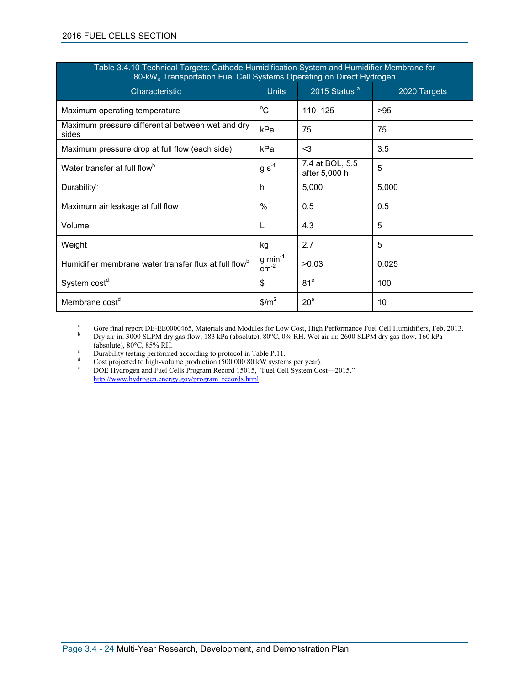| Table 5.4. TO Technical Targets. Catricule Humidification System and Humidifier Membrarie for<br>80-kW <sub>e</sub> Transportation Fuel Cell Systems Operating on Direct Hydrogen |                                             |                                  |              |  |  |
|-----------------------------------------------------------------------------------------------------------------------------------------------------------------------------------|---------------------------------------------|----------------------------------|--------------|--|--|
| Characteristic                                                                                                                                                                    | <b>Units</b>                                | 2015 Status <sup>a</sup>         | 2020 Targets |  |  |
| Maximum operating temperature                                                                                                                                                     | $^{\circ}$ C                                | 110-125                          | >95          |  |  |
| Maximum pressure differential between wet and dry<br>sides                                                                                                                        | kPa                                         | 75                               | 75           |  |  |
| Maximum pressure drop at full flow (each side)                                                                                                                                    | kPa                                         | $3$                              | 3.5          |  |  |
| Water transfer at full flow <sup>b</sup>                                                                                                                                          | $g s^{-1}$                                  | 7.4 at BOL, 5.5<br>after 5,000 h | 5            |  |  |
| Durability <sup>c</sup>                                                                                                                                                           | h                                           | 5,000                            | 5,000        |  |  |
| Maximum air leakage at full flow                                                                                                                                                  | $\%$                                        | 0.5                              | 0.5          |  |  |
| Volume                                                                                                                                                                            |                                             | 4.3                              | 5            |  |  |
| Weight                                                                                                                                                                            | kg                                          | 2.7                              | 5            |  |  |
| Humidifier membrane water transfer flux at full flow <sup>b</sup>                                                                                                                 | g min <sup>-1</sup><br>$\rm \tilde{cm}^{2}$ | >0.03                            | 0.025        |  |  |
| System cost <sup>d</sup>                                                                                                                                                          | \$                                          | 81 <sup>e</sup>                  | 100          |  |  |
| Membrane cost <sup>d</sup>                                                                                                                                                        | \$/m <sup>2</sup>                           | 20 <sup>e</sup>                  | 10           |  |  |

| Table 3.4.10 Technical Targets: Cathode Humidification System and Humidifier Membrane for |
|-------------------------------------------------------------------------------------------|
| 80-kW <sub>s</sub> Transportation Fuel Cell Systems Operating on Direct Hydrogen          |

<sup>a</sup> Gore final report DE-EE0000465, Materials and Modules for Low Cost, High Performance Fuel Cell Humidifiers, Feb. 2013.<br>
Dry air in: 3000 SLPM dry gas flow, 183 kPa (absolute), 80°C, 0% RH. Wet air in: 2600 SLPM dry ga

Controllery of the Cost and Figure and Figure and Figure 2015."<br>Cost projected to high-volume production (500,000 80 kW systems per year).<br>POE Hydrogen and Fuel Cells Program Record 15015, "Fuel Cell System Cost—2015." [http://www.hydrogen.energy.gov/program\\_records.html.](http://www.hydrogen.energy.gov/program_records.html)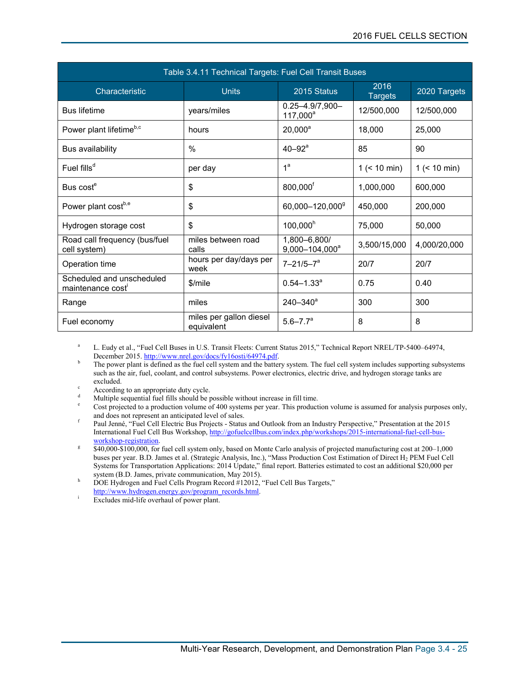| Table 3.4.11 Technical Targets: Fuel Cell Transit Buses |                                       |                                     |                        |              |
|---------------------------------------------------------|---------------------------------------|-------------------------------------|------------------------|--------------|
| Characteristic                                          | <b>Units</b>                          | 2015 Status                         | 2016<br><b>Targets</b> | 2020 Targets |
| <b>Bus lifetime</b>                                     | years/miles                           | $0.25 - 4.97,900 -$<br>$117,000^a$  | 12/500,000             | 12/500,000   |
| Power plant lifetime <sup>b,c</sup>                     | hours                                 | $20,000^a$                          | 18,000                 | 25,000       |
| Bus availability                                        | $\%$                                  | $40 - 92$ <sup>a</sup>              | 85                     | 90           |
| Fuel fills <sup>d</sup>                                 | per day                               | 1 <sup>a</sup>                      | 1 (< 10 min)           | 1 (< 10 min) |
| Bus cost <sup>e</sup>                                   | \$                                    | 800,000 <sup>f</sup>                | 1,000,000              | 600,000      |
| Power plant cost <sup>b,e</sup>                         | \$                                    | 60,000-120,000 <sup>9</sup>         | 450,000                | 200,000      |
| Hydrogen storage cost                                   | \$                                    | 100,000 <sup>h</sup>                | 75,000                 | 50,000       |
| Road call frequency (bus/fuel<br>cell system)           | miles between road<br>calls           | 1,800-6,800/<br>$9,000 - 104,000^a$ | 3,500/15,000           | 4,000/20,000 |
| Operation time                                          | hours per day/days per<br>week        | $7 - 21/5 - 7^a$                    | 20/7                   | 20/7         |
| Scheduled and unscheduled<br>maintenance cost           | \$/mile                               | $0.54 - 1.33^{\circ}$               | 0.75                   | 0.40         |
| Range                                                   | miles                                 | $240 - 340^a$                       | 300                    | 300          |
| Fuel economy                                            | miles per gallon diesel<br>equivalent | $5.6 - 7.7a$                        | 8                      | 8            |

<sup>a</sup> L. Eudy et al., "Fuel Cell Buses in U.S. Transit Fleets: Current Status 2015," Technical Report NREL/TP-5400–64974, December 2015. http://www.nrel.gov/docs/fy16osti/64974.pdf.

- <sup>b</sup> The power plant is defined as the fuel cell system and the battery system. The fuel cell system includes supporting subsystems such as the air, fuel, coolant, and control subsystems. Power electronics, electric drive, and hydrogen storage tanks are excluded.<br>
Contains to an appropriate duty cycle.<br>
According to an appropriate duty cycle.<br>
Multiple sequential fuel fills should be possible without increase in fill time.<br>
Cost projected to a production volume of 400 sys
- 
- 
- 
- and does not represent an anticipated level of sales.<br>F Paul Jenné, "Fuel Cell Electric Bus Projects Status and Outlook from an Industry Perspective," Presentation at the 2015 International Fuel Cell Bus Workshop, [http://gofuelcellbus.com/index.php/workshops/2015-international-fuel-cell-bus](http://gofuelcellbus.com/index.php/workshops/2015-international-fuel-cell-bus-workshop-registration)[workshop-registration.](http://gofuelcellbus.com/index.php/workshops/2015-international-fuel-cell-bus-workshop-registration)<br>
<sup>[g](http://gofuelcellbus.com/index.php/workshops/2015-international-fuel-cell-bus-workshop-registration)</sup> \$40,000-\$100,000, for fuel cell system only, based on Monte Carlo analysis of projected manufacturing cost at 200–1,000
- buses per year. B.D. James et al. (Strategic Analysis, Inc.), "Mass Production Cost Estimation of Direct H<sub>2</sub> PEM Fuel Cell Systems for Transportation Applications: 2014 Update," final report. Batteries estimated to cost an additional \$20,000 per
- system (B.D. James, private communication, May 2015).<br>
DOE Hydrogen and Fuel Cells Program Record #12012, "Fuel Cell Bus Targets,"
- [http://www.hydrogen.energy.gov/program\\_records.html.](http://www.hydrogen.energy.gov/program_records.html)<br>Excludes mid-life overhaul of power plant.
-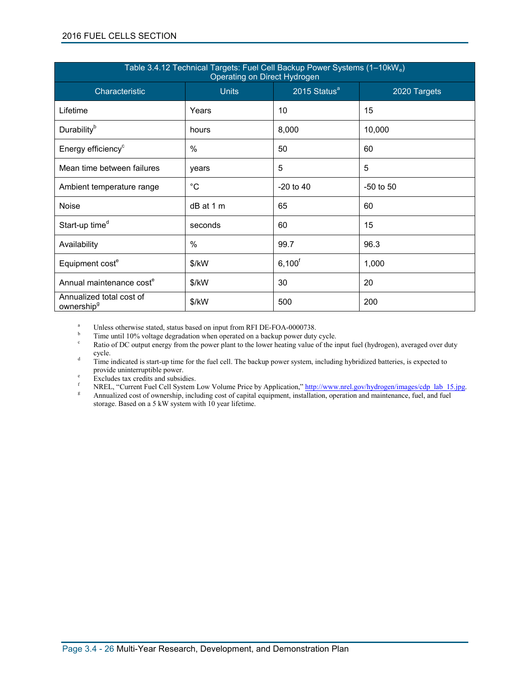| Table 3.4.12 Technical Targets: Fuel Cell Backup Power Systems (1-10kWe)<br>Operating on Direct Hydrogen |               |                          |               |  |
|----------------------------------------------------------------------------------------------------------|---------------|--------------------------|---------------|--|
| Characteristic                                                                                           | <b>Units</b>  | 2015 Status <sup>a</sup> | 2020 Targets  |  |
| Lifetime                                                                                                 | Years         | 10                       | 15            |  |
| Durability <sup>b</sup>                                                                                  | hours         | 8,000                    | 10,000        |  |
| Energy efficiency <sup>c</sup>                                                                           | $\%$          | 50                       | 60            |  |
| Mean time between failures                                                                               | years         | 5                        | 5             |  |
| Ambient temperature range                                                                                | $^{\circ}$ C  | $-20$ to $40$            | $-50$ to $50$ |  |
| <b>Noise</b>                                                                                             | dB at 1 m     | 65                       | 60            |  |
| Start-up time <sup>d</sup>                                                                               | seconds       | 60                       | 15            |  |
| Availability                                                                                             | $\frac{0}{0}$ | 99.7                     | 96.3          |  |
| Equipment cost <sup>e</sup>                                                                              | \$/kW         | $6,100^f$                | 1,000         |  |
| Annual maintenance cost <sup>e</sup>                                                                     | \$/kW         | 30                       | 20            |  |
| Annualized total cost of<br>ownership <sup>9</sup>                                                       | \$/kW         | 500                      | 200           |  |

<sup>a</sup><br>
Unless otherwise stated, status based on input from RFI DE-FOA-0000738.<br>
<sup>b</sup><br>
Ratio of DC output energy from the power plant to the lower heating value of the input fuel (hydrogen), averaged over duty<br>
cycle.

<sup>d</sup> Time indicated is start-up time for the fuel cell. The backup power system, including hybridized batteries, is expected to provide uninterruptible power.

Excludes tax credits and subsidies.<br>
INREL, "Current Fuel Cell System Low Volume Price by Application," http://www.nrel.gov/hydrogen/images/cdp\_lab\_15.jpg.<br>
<sup>8</sup> Annualized cost of ownership, including cost of capital equip storage. Based on a 5 kW system with 10 year lifetime.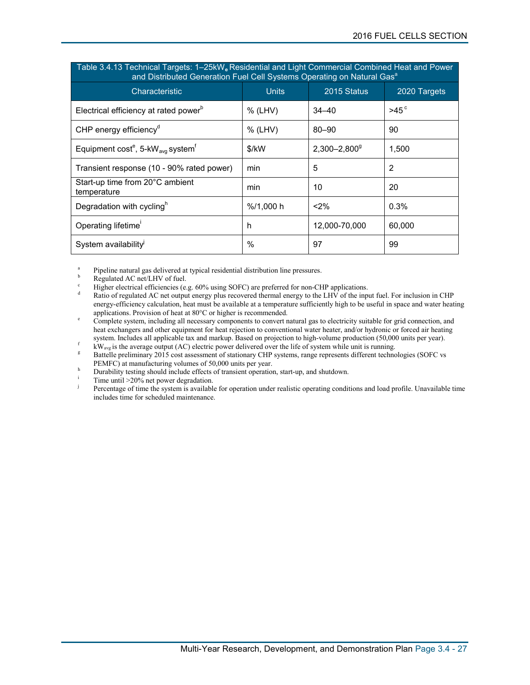| and Distributed Generation Fuel Cell Systems Operating on Natural Gas <sup>a</sup> |              |                   |              |  |
|------------------------------------------------------------------------------------|--------------|-------------------|--------------|--|
| Characteristic                                                                     | <b>Units</b> | 2015 Status       | 2020 Targets |  |
| Electrical efficiency at rated power <sup>b</sup>                                  | $%$ (LHV)    | $34 - 40$         | $>45$ °      |  |
| CHP energy efficiency <sup>d</sup>                                                 | $%$ (LHV)    | $80 - 90$         | 90           |  |
| Equipment cost <sup>e</sup> , 5-kW <sub>avg</sub> system <sup>f</sup>              | \$/kW        | $2,300 - 2,800^9$ | 1,500        |  |
| Transient response (10 - 90% rated power)                                          | min          | 5                 | 2            |  |
| Start-up time from 20°C ambient<br>temperature                                     | min          | 10                | 20           |  |
| Degradation with cycling <sup>h</sup>                                              | % / 1,000 h  | $2\%$             | 0.3%         |  |
| Operating lifetime <sup>1</sup>                                                    | h            | 12,000-70,000     | 60,000       |  |
| System availability <sup>j</sup>                                                   | $\%$         | 97                | 99           |  |

Table 3.4.13 Technical Targets: 1–25kW**<sup>e</sup>** Residential and Light Commercial Combined Heat and Power

Pipeline natural gas delivered at typical residential distribution line pressures.<br>
Pipeline natural gas delivered at typical residential distribution line pressures.<br>
Pigher electrical efficiencies (e.g. 60% using SOFC) a energy-efficiency calculation, heat must be available at a temperature sufficiently high to be useful in space and water heating applications. Provision of heat at 80°C or higher is recommended.

<sup>e</sup> Complete system, including all necessary components to convert natural gas to electricity suitable for grid connection, and heat exchangers and other equipment for heat rejection to conventional water heater, and/or hydronic or forced air heating system. Includes all applicable tax and markup. Based on projection to high-volume production (50,0

EXECUTE: FOR SERVING PROPERTY AND FIND TO BE THE SERVING PROPERTY. THE SERVING BY STRING BY A BATTER BY A BATTER BATTER STATES BATTER STATES BATTER STATES AND FEMALE PREMIXED at manufacturing volumes of 50,000 units per y

PEMFC) at manufacturing volume of 50,000 units per year.<br>Durability testing should include effects of transient operation, start-up, and shutdown.<br> $\frac{1}{2}$  Personation of time the outcome is qualible for poetring under r

Percentage of time the system is available for operation under realistic operating conditions and load profile. Unavailable time includes time for scheduled maintenance.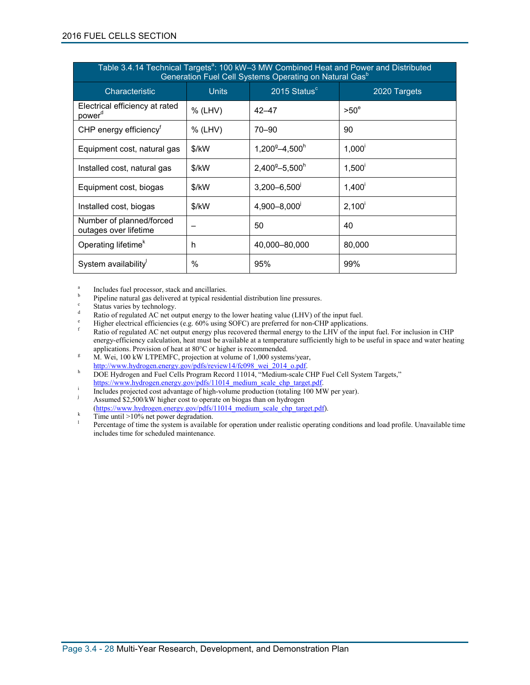| Table 3.4.14 Technical Targets <sup>a</sup> : 100 kW–3 MW Combined Heat and Power and Distributed<br>Generation Fuel Cell Systems Operating on Natural Gas <sup>b</sup> |              |                          |              |  |
|-------------------------------------------------------------------------------------------------------------------------------------------------------------------------|--------------|--------------------------|--------------|--|
| Characteristic                                                                                                                                                          | <b>Units</b> | 2015 Status <sup>c</sup> | 2020 Targets |  |
| Electrical efficiency at rated<br>power <sup>d</sup>                                                                                                                    | % (LHV)      | $42 - 47$                | $>50^\circ$  |  |
| CHP energy efficiency <sup>f</sup>                                                                                                                                      | % (LHV)      | 70–90                    | 90           |  |
| Equipment cost, natural gas                                                                                                                                             | \$/kW        | $1,200^9 - 4,500^h$      | 1,000'       |  |
| Installed cost, natural gas                                                                                                                                             | \$/kW        | $2,400^9 - 5,500^h$      | 1,500'       |  |
| Equipment cost, biogas                                                                                                                                                  | \$/kW        | $3,200 - 6,500$          | 1,400'       |  |
| Installed cost, biogas                                                                                                                                                  | \$/kW        | $4,900 - 8,000$          | 2,100'       |  |
| Number of planned/forced<br>outages over lifetime                                                                                                                       |              | 50                       | 40           |  |
| Operating lifetime <sup>k</sup>                                                                                                                                         | h            | 40,000-80,000            | 80,000       |  |
| System availability                                                                                                                                                     | $\%$         | 95%                      | 99%          |  |

- 
- 
- Includes fuel processor, stack and ancillaries.<br>
pipeline natural gas delivered at typical residential distribution line pressures.<br>
Contains varies by technology.<br>
Ratio of regulated AC net output energy to the lower heat energy-efficiency calculation, heat must be available at a temperature sufficiently high to be useful in space and water heating
- applications. Provision of heat at 80°C or higher is recommended.<br>M. Wei, 100 kW LTPEMFC, projection at volume of 1,000 systems/year,<br>http://www.hydrogen.energy.gov/pdfs/review14/fc098\_wei\_2014\_o.pdf.
- 
- https://www.hydrogen.energy.gov/pdfs/11014\_medium-scale CHP Fuel Cell System Targets,"<br>https://www.hydrogen.energy.gov/pdfs/11014\_medium\_scale\_chp\_target.pdf.
- 
- $\frac{m_{\text{p}}}{m_{\text{p}}}\frac{m_{\text{p}}}{m_{\text{p}}}\frac{m_{\text{p}}}{m_{\text{p}}}\frac{m_{\text{p}}}{m_{\text{p}}}\frac{m_{\text{p}}}{m_{\text{p}}}\frac{m_{\text{p}}}{m_{\text{p}}}\frac{m_{\text{p}}}{m_{\text{p}}}\frac{m_{\text{p}}}{m_{\text{p}}}\frac{m_{\text{p}}}{m_{\text{p}}}\frac{m_{\text{p}}}{m_{\text{p}}}\frac{m_{\text{p}}}{m_{\text{p}}}\frac{m_{\text{p}}}{m_{\text{p}}}\frac{m$
- Assumed \$2,500/kW higher cost to operate on biogas than on hydrogen (https://www.hydrogen.energy.gov/pdfs/11014 medium scale chp target.pdf).
- 
- 
- Fime until >10% net power degradation.<br>Percentage of time the system is available for operation under realistic operating conditions and load profile. Unavailable time includes time for scheduled maintenance.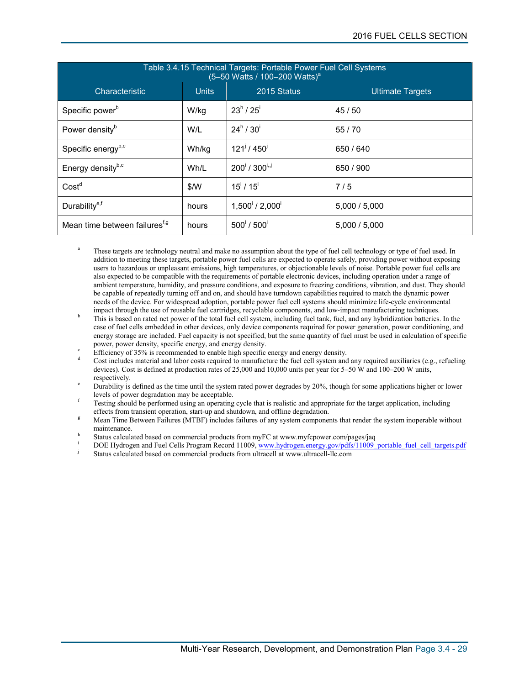| Table 3.4.15 Technical Targets: Portable Power Fuel Cell Systems<br>(5-50 Watts / 100-200 Watts) <sup>a</sup> |              |                                    |                         |  |
|---------------------------------------------------------------------------------------------------------------|--------------|------------------------------------|-------------------------|--|
| Characteristic                                                                                                | <b>Units</b> | 2015 Status                        | <b>Ultimate Targets</b> |  |
| Specific power <sup>b</sup>                                                                                   | W/kg         | $23^h / 25^i$                      | 45/50                   |  |
| Power density <sup>b</sup>                                                                                    | W/L          | $24^h / 30^i$                      | 55/70                   |  |
| Specific energyb,c                                                                                            | Wh/kg        | $121^{j}$ / 450 <sup>j</sup>       | 650 / 640               |  |
| Energy densityb,c                                                                                             | Wh/L         | $200^{\rm i}$ / $300^{\rm i,j}$    | 650 / 900               |  |
| Cost <sup>d</sup>                                                                                             | \$/W         | $15^{\rm i}$ / $15^{\rm i}$        | 7/5                     |  |
| Durability <sup>e,f</sup>                                                                                     | hours        | $1,500^{\rm i}$ / 2,000 $^{\rm i}$ | 5,000 / 5,000           |  |
| Mean time between failures <sup>f,g</sup>                                                                     | hours        | $500^{\rm i}$ / $500^{\rm i}$      | 5,000 / 5,000           |  |

These targets are technology neutral and make no assumption about the type of fuel cell technology or type of fuel used. In addition to meeting these targets, portable power fuel cells are expected to operate safely, providing power without exposing users to hazardous or unpleasant emissions, high temperatures, or objectionable levels of noise. Portable power fuel cells are also expected to be compatible with the requirements of portable electronic devices, including operation under a range of ambient temperature, humidity, and pressure conditions, and exposure to freezing conditions, vibration, and dust. They should be capable of repeatedly turning off and on, and should have turndown capabilities required to match the dynamic power needs of the device. For widespread adoption, portable power fuel cell systems should minimize life-cycle environmental

- impact through the use of reusable fuel cartridges, recyclable components, and low-impact manufacturing techniques.<br>This is based on rated net power of the total fuel cell system, including fuel tank, fuel, and any hybridi case of fuel cells embedded in other devices, only device components required for power generation, power conditioning, and energy storage are included. Fuel capacity is not specified, but the same quantity of fuel must be used in calculation of specific power, power density, specific energy, and energy density.<br>Efficiency of 35% is recommended to enable high specific energy and energy density.<br>Cost includes material and labor costs required to manufacture the fuel cell sy
- 
- devices). Cost is defined at production rates of 25,000 and 10,000 units per year for 5–50 W and 100–200 W units,
- respectively.<br>Durability is defined as the time until the system rated power degrades by 20%, though for some applications higher or lower<br>levels of power degradation may be acceptable.
- Fullection may be acceptable performed using an operating cycle that is realistic and appropriate for the target application, including effects from transient operation, start-up and shutdown, and offline degradation.
- $e<sup>g</sup>$  Mean Time Between Failures (MTBF) includes failures of any system components that render the system inoperable without
- 
- maintenance.<br>
h Status calculated based on commercial products from myFC at www.myfcpower.com/pages/jaq<br>
DOE Hydrogen and Fuel Cells Program Record 11009[, www.hydrogen.energy.gov/pdfs/11009\\_portable\\_fuel\\_cell\\_targets.pdf](http://www.hydrogen.energy.gov/pdfs/11009_portable_fuel_cell_targets.pdf)<br>
- Status calculated based on commercial products from ultracell at www.ultracell-llc.com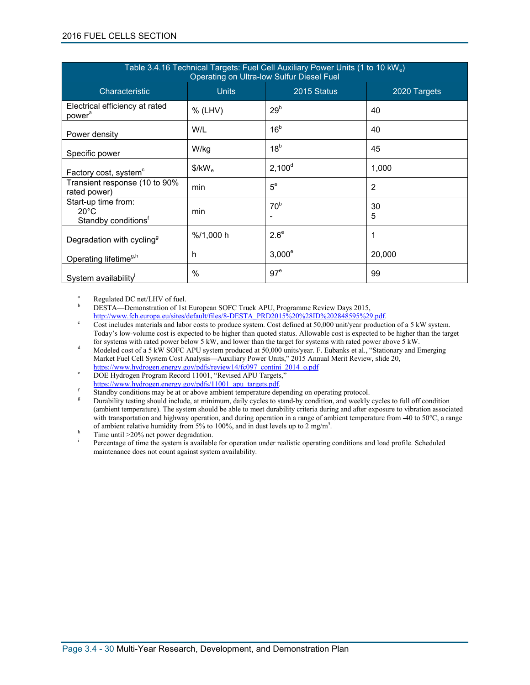| Table 3.4.16 Technical Targets: Fuel Cell Auxiliary Power Units (1 to 10 kWe)<br>Operating on Ultra-low Sulfur Diesel Fuel |                      |                 |                |  |
|----------------------------------------------------------------------------------------------------------------------------|----------------------|-----------------|----------------|--|
| Characteristic                                                                                                             | <b>Units</b>         | 2015 Status     | 2020 Targets   |  |
| Electrical efficiency at rated<br>power <sup>a</sup>                                                                       | % (LHV)              | 29 <sup>b</sup> | 40             |  |
| Power density                                                                                                              | W/L                  | 16 <sup>b</sup> | 40             |  |
| Specific power                                                                                                             | W/kg                 | 18 <sup>b</sup> | 45             |  |
| Factory cost, system <sup>c</sup>                                                                                          | $%$ /kW <sub>e</sub> | $2,100^d$       | 1,000          |  |
| Transient response (10 to 90%<br>rated power)                                                                              | min                  | $5^e$           | $\overline{2}$ |  |
| Start-up time from:<br>$20^{\circ}$ C<br>Standby conditions <sup>f</sup>                                                   | min                  | 70 <sup>b</sup> | 30<br>5        |  |
| Degradation with cycling <sup>9</sup>                                                                                      | %/1,000 h            | $2.6^e$         | 1              |  |
| Operating lifetime <sup>g,h</sup>                                                                                          | h                    | $3,000^e$       | 20,000         |  |
| System availability                                                                                                        | $\frac{0}{0}$        | 97 <sup>e</sup> | 99             |  |

<sup>a</sup> Regulated DC net/LHV of fuel.<br>b DESTA—Demonstration of 1st European SOFC Truck APU, Programme Review Days 2015,<br>http://www.fch.europa.eu/sites/default/files/8-DESTA\_PRD2015%20%28ID%202848595%29.pdf.

Cost includes materials and labor costs to produce system. Cost defined at 50,000 unit/year production of a 5 kW system. Today's low-volume cost is expected to be higher than quoted status. Allowable cost is expected to be higher than the target

for systems with rated power below 5 kW, and lower than the target for systems with rated power above 5 kW. Modeled cost of a 5 kW SOFC APU system produced at 50,000 units/year. F. Eubanks et al., "Stationary and Emerging Market Fuel Cell System Cost Analysis—Auxiliary Power Units," 2015 Annual Merit Review, slide 20, https://www.hydrogen.energy.gov/pdfs/review14/fc097\_contini\_2014\_0.pdf

e DOE Hydrogen Program Record 11001, "Revised APU Targets,"<br>https://www.hydrogen.energy.gov/pdfs/11001\_apu\_targets.pdf.

Standby conditions may be at or above ambient temperature depending on operating protocol.<br><sup>8</sup> Durability testing should include, at minimum, daily cycles to stand-by condition, and weekly cycles to full off condition (ambient temperature). The system should be able to meet durability criteria during and after exposure to vibration associated with transportation and highway operation, and during operation in a range of ambient temperature from -40 to 50°C, a range of ambient relative humidity from 5% to 100%, and in dust levels up to 2 mg/m<sup>3</sup>. Time until >20% net power degradation.

Figure 1 Time until  $>20\%$  net power degradation.<br>i Percentage of time the system is available for operation under realistic operating conditions and load profile. Scheduled maintenance does not count against system availability.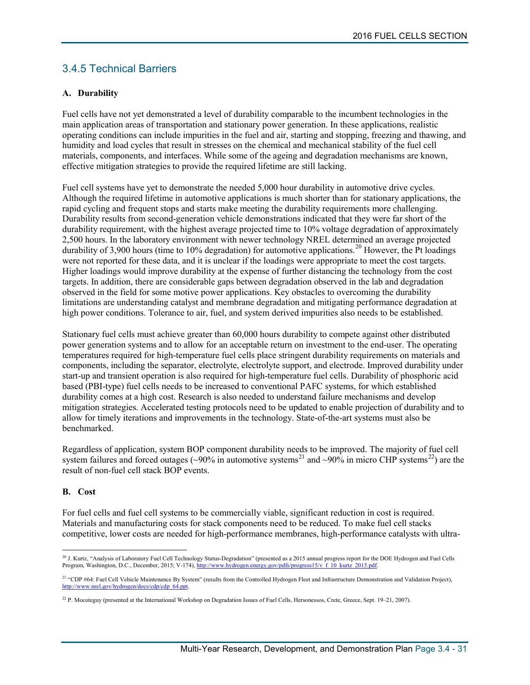# 3.4.5 Technical Barriers

## **A. Durability**

Fuel cells have not yet demonstrated a level of durability comparable to the incumbent technologies in the main application areas of transportation and stationary power generation. In these applications, realistic operating conditions can include impurities in the fuel and air, starting and stopping, freezing and thawing, and humidity and load cycles that result in stresses on the chemical and mechanical stability of the fuel cell materials, components, and interfaces. While some of the ageing and degradation mechanisms are known, effective mitigation strategies to provide the required lifetime are still lacking.

Fuel cell systems have yet to demonstrate the needed 5,000 hour durability in automotive drive cycles. Although the required lifetime in automotive applications is much shorter than for stationary applications, the rapid cycling and frequent stops and starts make meeting the durability requirements more challenging. Durability results from second-generation vehicle demonstrations indicated that they were far short of the durability requirement, with the highest average projected time to 10% voltage degradation of approximately 2,500 hours. In the laboratory environment with newer technology NREL determined an average projected durability of 3,900 hours (time to 10% degradation) for automotive applications.<sup>20</sup> However, the Pt loadings were not reported for these data, and it is unclear if the loadings were appropriate to meet the cost targets. Higher loadings would improve durability at the expense of further distancing the technology from the cost targets. In addition, there are considerable gaps between degradation observed in the lab and degradation observed in the field for some motive power applications. Key obstacles to overcoming the durability limitations are understanding catalyst and membrane degradation and mitigating performance degradation at high power conditions. Tolerance to air, fuel, and system derived impurities also needs to be established.

Stationary fuel cells must achieve greater than 60,000 hours durability to compete against other distributed power generation systems and to allow for an acceptable return on investment to the end-user. The operating temperatures required for high-temperature fuel cells place stringent durability requirements on materials and components, including the separator, electrolyte, electrolyte support, and electrode. Improved durability under start-up and transient operation is also required for high-temperature fuel cells. Durability of phosphoric acid based (PBI-type) fuel cells needs to be increased to conventional PAFC systems, for which established durability comes at a high cost. Research is also needed to understand failure mechanisms and develop mitigation strategies. Accelerated testing protocols need to be updated to enable projection of durability and to allow for timely iterations and improvements in the technology. State-of-the-art systems must also be benchmarked.

Regardless of application, system BOP component durability needs to be improved. The majority of fuel cell system failures and forced outages ( $\sim$ 90% in automotive systems<sup>[21](#page-30-1)</sup> and  $\sim$ 90% in micro CHP systems<sup>22</sup>) are the result of non-fuel cell stack BOP events.

## **B. Cost**

For fuel cells and fuel cell systems to be commercially viable, significant reduction in cost is required. Materials and manufacturing costs for stack components need to be reduced. To make fuel cell stacks competitive, lower costs are needed for high-performance membranes, high-performance catalysts with ultra-

<span id="page-30-0"></span><sup>&</sup>lt;sup>20</sup> J. Kurtz, "Analysis of Laboratory Fuel Cell Technology Status-Degradation" (presented as a 2015 annual progress report for the DOE Hydrogen and Fuel Cells Program, Washington, D.C., December, 2015; V-174), http://www.hydrogen.energy.gov/pdfs/progress15/v\_f\_10\_kurtz\_2015.pdf.

<span id="page-30-1"></span><sup>&</sup>lt;sup>21</sup> "CDP #64: Fuel Cell Vehicle Maintenance By System" (results from the Controlled Hydrogen Fleet and Infrastructure Demonstration and Validation Project), [http://www.nrel.gov/hydrogen/docs/cdp/cdp\\_64.ppt.](http://www.nrel.gov/hydrogen/docs/cdp/cdp_64.ppt)

<span id="page-30-2"></span><sup>&</sup>lt;sup>22</sup> P. Mocoteguy (presented at the International Workshop on Degradation Issues of Fuel Cells, Hersonessos, Crete, Greece, Sept. 19-21, 2007).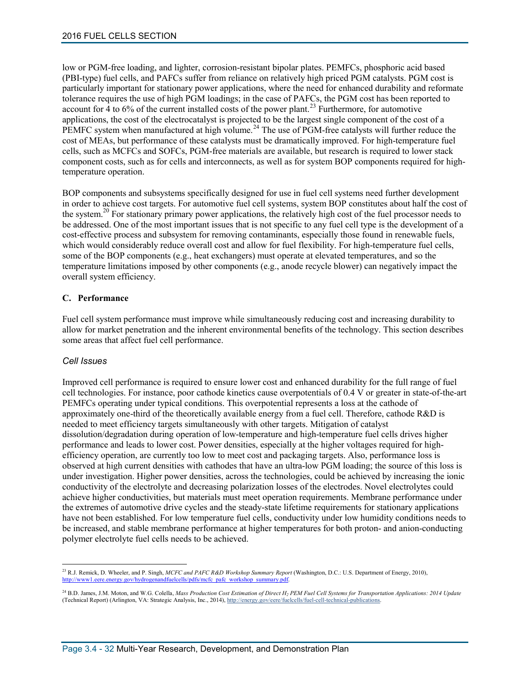low or PGM-free loading, and lighter, corrosion-resistant bipolar plates. PEMFCs, phosphoric acid based (PBI-type) fuel cells, and PAFCs suffer from reliance on relatively high priced PGM catalysts. PGM cost is particularly important for stationary power applications, where the need for enhanced durability and reformate tolerance requires the use of high PGM loadings; in the case of PAFCs, the PGM cost has been reported to account for  $\frac{1}{4}$  to 6% of the current installed costs of the power plant.<sup>[23](#page-31-0)</sup> Furthermore, for automotive applications, the cost of the electrocatalyst is projected to be the largest single component of the cost of a PEMFC system when manufactured at high volume.<sup>[24](#page-31-1)</sup> The use of PGM-free catalysts will further reduce the cost of MEAs, but performance of these catalysts must be dramatically improved. For high-temperature fuel cells, such as MCFCs and SOFCs, PGM-free materials are available, but research is required to lower stack component costs, such as for cells and interconnects, as well as for system BOP components required for hightemperature operation.

BOP components and subsystems specifically designed for use in fuel cell systems need further development in order to achieve cost targets. For automotive fuel cell systems, system BOP constitutes about half the cost of the system.<sup>20</sup> For stationary primary power applications, the relatively high cost of the fuel processor needs to be addressed. One of the most important issues that is not specific to any fuel cell type is the development of a cost-effective process and subsystem for removing contaminants, especially those found in renewable fuels, which would considerably reduce overall cost and allow for fuel flexibility. For high-temperature fuel cells, some of the BOP components (e.g., heat exchangers) must operate at elevated temperatures, and so the temperature limitations imposed by other components (e.g., anode recycle blower) can negatively impact the overall system efficiency.

## **C. Performance**

Fuel cell system performance must improve while simultaneously reducing cost and increasing durability to allow for market penetration and the inherent environmental benefits of the technology. This section describes some areas that affect fuel cell performance.

## *Cell Issues*

Improved cell performance is required to ensure lower cost and enhanced durability for the full range of fuel cell technologies. For instance, poor cathode kinetics cause overpotentials of 0.4 V or greater in state-of-the-art PEMFCs operating under typical conditions. This overpotential represents a loss at the cathode of approximately one-third of the theoretically available energy from a fuel cell. Therefore, cathode R&D is needed to meet efficiency targets simultaneously with other targets. Mitigation of catalyst dissolution/degradation during operation of low-temperature and high-temperature fuel cells drives higher performance and leads to lower cost. Power densities, especially at the higher voltages required for highefficiency operation, are currently too low to meet cost and packaging targets. Also, performance loss is observed at high current densities with cathodes that have an ultra-low PGM loading; the source of this loss is under investigation. Higher power densities, across the technologies, could be achieved by increasing the ionic conductivity of the electrolyte and decreasing polarization losses of the electrodes. Novel electrolytes could achieve higher conductivities, but materials must meet operation requirements. Membrane performance under the extremes of automotive drive cycles and the steady-state lifetime requirements for stationary applications have not been established. For low temperature fuel cells, conductivity under low humidity conditions needs to be increased, and stable membrane performance at higher temperatures for both proton- and anion-conducting polymer electrolyte fuel cells needs to be achieved.

<span id="page-31-0"></span><sup>&</sup>lt;sup>23</sup> R.J. Remick, D. Wheeler, and P. Singh, *MCFC and PAFC R&D Workshop Summary Report* (Washington, D.C.: U.S. Department of Energy, 2010), http://www1.eere.energy.gov/hydrogenandfuelcells/pdfs/mcfc\_pafc\_workshop\_summary. energy.gov/hydrogenandfuelcells/pdfs/mcfc\_pafc\_workshop\_summary.pdf.

<span id="page-31-1"></span><sup>&</sup>lt;sup>24</sup> B.D. James, J.M. Moton, and W.G. Colella, *Mass Production Cost Estimation of Direct H<sub>2</sub> PEM Fuel Cell Systems for Transportation Applications: 2014 Update* (Technical Report) (Arlington, VA: Strategic Analysis, Inc., 2014)[, http://energy.gov/eere/fuelcells/fuel-cell-technical-publications.](http://energy.gov/eere/fuelcells/fuel-cell-technical-publications)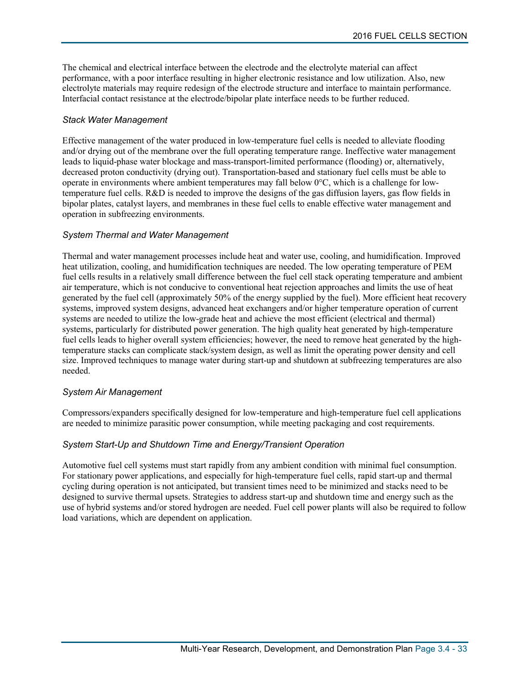The chemical and electrical interface between the electrode and the electrolyte material can affect performance, with a poor interface resulting in higher electronic resistance and low utilization. Also, new electrolyte materials may require redesign of the electrode structure and interface to maintain performance. Interfacial contact resistance at the electrode/bipolar plate interface needs to be further reduced.

### *Stack Water Management*

Effective management of the water produced in low-temperature fuel cells is needed to alleviate flooding and/or drying out of the membrane over the full operating temperature range. Ineffective water management leads to liquid-phase water blockage and mass-transport-limited performance (flooding) or, alternatively, decreased proton conductivity (drying out). Transportation-based and stationary fuel cells must be able to operate in environments where ambient temperatures may fall below  $0^{\circ}$ C, which is a challenge for lowtemperature fuel cells. R&D is needed to improve the designs of the gas diffusion layers, gas flow fields in bipolar plates, catalyst layers, and membranes in these fuel cells to enable effective water management and operation in subfreezing environments.

#### *System Thermal and Water Management*

Thermal and water management processes include heat and water use, cooling, and humidification. Improved heat utilization, cooling, and humidification techniques are needed. The low operating temperature of PEM fuel cells results in a relatively small difference between the fuel cell stack operating temperature and ambient air temperature, which is not conducive to conventional heat rejection approaches and limits the use of heat generated by the fuel cell (approximately 50% of the energy supplied by the fuel). More efficient heat recovery systems, improved system designs, advanced heat exchangers and/or higher temperature operation of current systems are needed to utilize the low-grade heat and achieve the most efficient (electrical and thermal) systems, particularly for distributed power generation. The high quality heat generated by high-temperature fuel cells leads to higher overall system efficiencies; however, the need to remove heat generated by the hightemperature stacks can complicate stack/system design, as well as limit the operating power density and cell size. Improved techniques to manage water during start-up and shutdown at subfreezing temperatures are also needed.

## *System Air Management*

Compressors/expanders specifically designed for low-temperature and high-temperature fuel cell applications are needed to minimize parasitic power consumption, while meeting packaging and cost requirements.

## *System Start-Up and Shutdown Time and Energy/Transient Operation*

Automotive fuel cell systems must start rapidly from any ambient condition with minimal fuel consumption. For stationary power applications, and especially for high-temperature fuel cells, rapid start-up and thermal cycling during operation is not anticipated, but transient times need to be minimized and stacks need to be designed to survive thermal upsets. Strategies to address start-up and shutdown time and energy such as the use of hybrid systems and/or stored hydrogen are needed. Fuel cell power plants will also be required to follow load variations, which are dependent on application.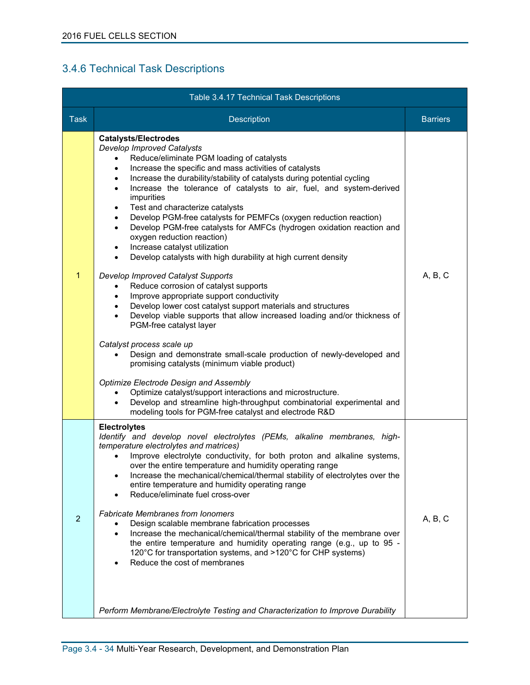# 3.4.6 Technical Task Descriptions

|                | Table 3.4.17 Technical Task Descriptions                                                                                                                                                                                                                                                                                                                                                                                                                                                                                                                                                                                                                                                                                                                                                                                                                                                                                                                                                                                                                                                                                                                                                                                                                                                                                                                                                                                                                                                                      |                 |  |  |  |
|----------------|---------------------------------------------------------------------------------------------------------------------------------------------------------------------------------------------------------------------------------------------------------------------------------------------------------------------------------------------------------------------------------------------------------------------------------------------------------------------------------------------------------------------------------------------------------------------------------------------------------------------------------------------------------------------------------------------------------------------------------------------------------------------------------------------------------------------------------------------------------------------------------------------------------------------------------------------------------------------------------------------------------------------------------------------------------------------------------------------------------------------------------------------------------------------------------------------------------------------------------------------------------------------------------------------------------------------------------------------------------------------------------------------------------------------------------------------------------------------------------------------------------------|-----------------|--|--|--|
| <b>Task</b>    | <b>Description</b>                                                                                                                                                                                                                                                                                                                                                                                                                                                                                                                                                                                                                                                                                                                                                                                                                                                                                                                                                                                                                                                                                                                                                                                                                                                                                                                                                                                                                                                                                            | <b>Barriers</b> |  |  |  |
| $\mathbf{1}$   | <b>Catalysts/Electrodes</b><br><b>Develop Improved Catalysts</b><br>Reduce/eliminate PGM loading of catalysts<br>$\bullet$<br>Increase the specific and mass activities of catalysts<br>$\bullet$<br>Increase the durability/stability of catalysts during potential cycling<br>$\bullet$<br>Increase the tolerance of catalysts to air, fuel, and system-derived<br>$\bullet$<br>impurities<br>Test and characterize catalysts<br>٠<br>Develop PGM-free catalysts for PEMFCs (oxygen reduction reaction)<br>$\bullet$<br>Develop PGM-free catalysts for AMFCs (hydrogen oxidation reaction and<br>$\bullet$<br>oxygen reduction reaction)<br>Increase catalyst utilization<br>$\bullet$<br>Develop catalysts with high durability at high current density<br>$\bullet$<br>Develop Improved Catalyst Supports<br>Reduce corrosion of catalyst supports<br>٠<br>Improve appropriate support conductivity<br>٠<br>Develop lower cost catalyst support materials and structures<br>$\bullet$<br>Develop viable supports that allow increased loading and/or thickness of<br>PGM-free catalyst layer<br>Catalyst process scale up<br>Design and demonstrate small-scale production of newly-developed and<br>promising catalysts (minimum viable product)<br>Optimize Electrode Design and Assembly<br>Optimize catalyst/support interactions and microstructure.<br>Develop and streamline high-throughput combinatorial experimental and<br>$\bullet$<br>modeling tools for PGM-free catalyst and electrode R&D | A, B, C         |  |  |  |
| $\overline{2}$ | <b>Electrolytes</b><br>Identify and develop novel electrolytes (PEMs, alkaline membranes, high-<br>temperature electrolytes and matrices)<br>Improve electrolyte conductivity, for both proton and alkaline systems,<br>over the entire temperature and humidity operating range<br>Increase the mechanical/chemical/thermal stability of electrolytes over the<br>entire temperature and humidity operating range<br>Reduce/eliminate fuel cross-over<br><b>Fabricate Membranes from Ionomers</b><br>Design scalable membrane fabrication processes<br>Increase the mechanical/chemical/thermal stability of the membrane over<br>$\bullet$<br>the entire temperature and humidity operating range (e.g., up to 95 -<br>120°C for transportation systems, and >120°C for CHP systems)<br>Reduce the cost of membranes<br>Perform Membrane/Electrolyte Testing and Characterization to Improve Durability                                                                                                                                                                                                                                                                                                                                                                                                                                                                                                                                                                                                     | A, B, C         |  |  |  |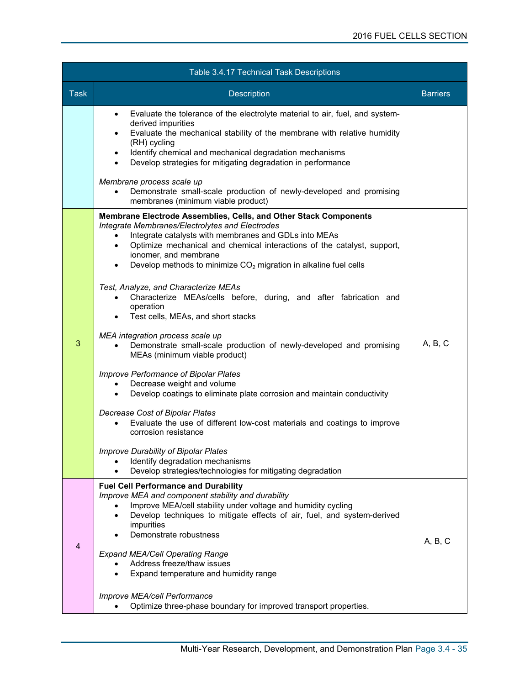|             | Table 3.4.17 Technical Task Descriptions                                                                                                                                                                                                                                                                                                                                                                                                                                                                                                                                                                                                                                                                                                                                                                                                                                                                                                                                                                                                                                                                                                                                     |                 |
|-------------|------------------------------------------------------------------------------------------------------------------------------------------------------------------------------------------------------------------------------------------------------------------------------------------------------------------------------------------------------------------------------------------------------------------------------------------------------------------------------------------------------------------------------------------------------------------------------------------------------------------------------------------------------------------------------------------------------------------------------------------------------------------------------------------------------------------------------------------------------------------------------------------------------------------------------------------------------------------------------------------------------------------------------------------------------------------------------------------------------------------------------------------------------------------------------|-----------------|
| <b>Task</b> | Description                                                                                                                                                                                                                                                                                                                                                                                                                                                                                                                                                                                                                                                                                                                                                                                                                                                                                                                                                                                                                                                                                                                                                                  | <b>Barriers</b> |
|             | Evaluate the tolerance of the electrolyte material to air, fuel, and system-<br>derived impurities<br>Evaluate the mechanical stability of the membrane with relative humidity<br>$\bullet$<br>(RH) cycling<br>Identify chemical and mechanical degradation mechanisms<br>$\bullet$<br>Develop strategies for mitigating degradation in performance<br>Membrane process scale up<br>Demonstrate small-scale production of newly-developed and promising<br>membranes (minimum viable product)                                                                                                                                                                                                                                                                                                                                                                                                                                                                                                                                                                                                                                                                                |                 |
| 3           | Membrane Electrode Assemblies, Cells, and Other Stack Components<br>Integrate Membranes/Electrolytes and Electrodes<br>Integrate catalysts with membranes and GDLs into MEAs<br>Optimize mechanical and chemical interactions of the catalyst, support,<br>$\bullet$<br>ionomer, and membrane<br>Develop methods to minimize $CO2$ migration in alkaline fuel cells<br>Test, Analyze, and Characterize MEAs<br>Characterize MEAs/cells before, during, and after fabrication and<br>operation<br>Test cells, MEAs, and short stacks<br>MEA integration process scale up<br>Demonstrate small-scale production of newly-developed and promising<br>MEAs (minimum viable product)<br>Improve Performance of Bipolar Plates<br>Decrease weight and volume<br>$\bullet$<br>Develop coatings to eliminate plate corrosion and maintain conductivity<br>$\bullet$<br><b>Decrease Cost of Bipolar Plates</b><br>Evaluate the use of different low-cost materials and coatings to improve<br>$\bullet$<br>corrosion resistance<br>Improve Durability of Bipolar Plates<br>Identify degradation mechanisms<br>Develop strategies/technologies for mitigating degradation<br>$\bullet$ | A, B, C         |
| 4           | <b>Fuel Cell Performance and Durability</b><br>Improve MEA and component stability and durability<br>Improve MEA/cell stability under voltage and humidity cycling<br>Develop techniques to mitigate effects of air, fuel, and system-derived<br>$\bullet$<br>impurities<br>Demonstrate robustness<br><b>Expand MEA/Cell Operating Range</b><br>Address freeze/thaw issues<br>Expand temperature and humidity range<br>Improve MEA/cell Performance<br>Optimize three-phase boundary for improved transport properties.                                                                                                                                                                                                                                                                                                                                                                                                                                                                                                                                                                                                                                                      | A, B, C         |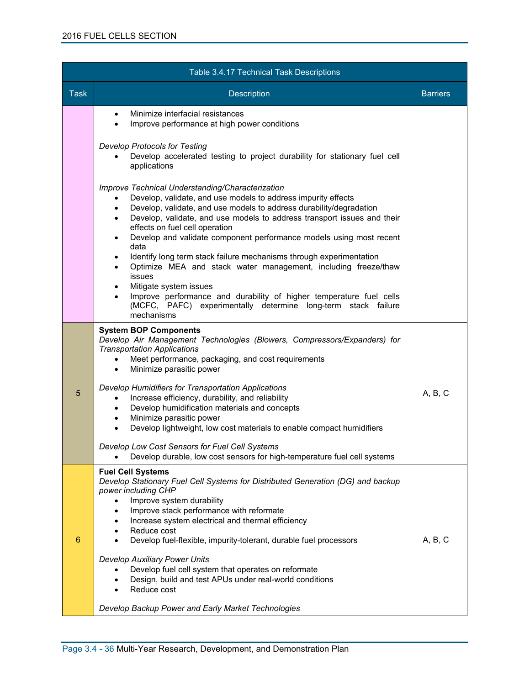| Table 3.4.17 Technical Task Descriptions |                                                                                                                                                                                                                                                                                                                                                                                                                                                                                                                                                       |                 |  |  |
|------------------------------------------|-------------------------------------------------------------------------------------------------------------------------------------------------------------------------------------------------------------------------------------------------------------------------------------------------------------------------------------------------------------------------------------------------------------------------------------------------------------------------------------------------------------------------------------------------------|-----------------|--|--|
| <b>Task</b>                              | <b>Description</b>                                                                                                                                                                                                                                                                                                                                                                                                                                                                                                                                    | <b>Barriers</b> |  |  |
|                                          | Minimize interfacial resistances<br>$\bullet$<br>Improve performance at high power conditions<br>$\bullet$                                                                                                                                                                                                                                                                                                                                                                                                                                            |                 |  |  |
|                                          | <b>Develop Protocols for Testing</b><br>Develop accelerated testing to project durability for stationary fuel cell<br>applications                                                                                                                                                                                                                                                                                                                                                                                                                    |                 |  |  |
|                                          | Improve Technical Understanding/Characterization<br>Develop, validate, and use models to address impurity effects<br>Develop, validate, and use models to address durability/degradation<br>$\bullet$<br>Develop, validate, and use models to address transport issues and their<br>$\bullet$<br>effects on fuel cell operation<br>Develop and validate component performance models using most recent<br>$\bullet$<br>data                                                                                                                           |                 |  |  |
|                                          | Identify long term stack failure mechanisms through experimentation<br>$\bullet$<br>Optimize MEA and stack water management, including freeze/thaw<br>issues<br>Mitigate system issues<br>Improve performance and durability of higher temperature fuel cells<br>(MCFC, PAFC) experimentally determine long-term stack failure<br>mechanisms                                                                                                                                                                                                          |                 |  |  |
| 5                                        | <b>System BOP Components</b><br>Develop Air Management Technologies (Blowers, Compressors/Expanders) for<br><b>Transportation Applications</b><br>Meet performance, packaging, and cost requirements<br>Minimize parasitic power<br>$\bullet$<br>Develop Humidifiers for Transportation Applications<br>Increase efficiency, durability, and reliability<br>Develop humidification materials and concepts<br>$\bullet$<br>Minimize parasitic power<br>$\bullet$<br>Develop lightweight, low cost materials to enable compact humidifiers<br>$\bullet$ | A, B, C         |  |  |
|                                          | Develop Low Cost Sensors for Fuel Cell Systems<br>Develop durable, low cost sensors for high-temperature fuel cell systems                                                                                                                                                                                                                                                                                                                                                                                                                            |                 |  |  |
| 6                                        | <b>Fuel Cell Systems</b><br>Develop Stationary Fuel Cell Systems for Distributed Generation (DG) and backup<br>power including CHP<br>Improve system durability<br>Improve stack performance with reformate<br>$\bullet$<br>Increase system electrical and thermal efficiency<br>Reduce cost<br>Develop fuel-flexible, impurity-tolerant, durable fuel processors                                                                                                                                                                                     | A, B, C         |  |  |
|                                          | Develop Auxiliary Power Units<br>Develop fuel cell system that operates on reformate<br>Design, build and test APUs under real-world conditions<br>Reduce cost<br>٠<br>Develop Backup Power and Early Market Technologies                                                                                                                                                                                                                                                                                                                             |                 |  |  |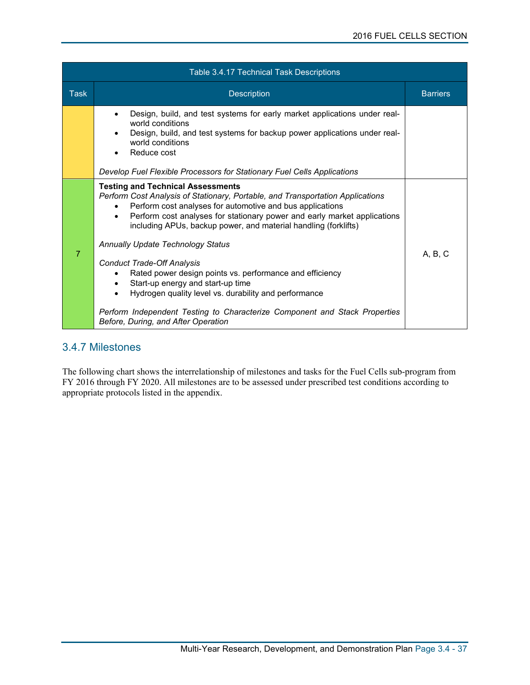| Table 3.4.17 Technical Task Descriptions |                                                                                                                                                                                                                                                                                                                                                                                                                                                                                                                                                                                                                                                                                                                                                            |                 |  |  |
|------------------------------------------|------------------------------------------------------------------------------------------------------------------------------------------------------------------------------------------------------------------------------------------------------------------------------------------------------------------------------------------------------------------------------------------------------------------------------------------------------------------------------------------------------------------------------------------------------------------------------------------------------------------------------------------------------------------------------------------------------------------------------------------------------------|-----------------|--|--|
| <b>Task</b>                              | <b>Description</b>                                                                                                                                                                                                                                                                                                                                                                                                                                                                                                                                                                                                                                                                                                                                         | <b>Barriers</b> |  |  |
|                                          | Design, build, and test systems for early market applications under real-<br>world conditions<br>Design, build, and test systems for backup power applications under real-<br>$\bullet$<br>world conditions<br>Reduce cost<br>Develop Fuel Flexible Processors for Stationary Fuel Cells Applications                                                                                                                                                                                                                                                                                                                                                                                                                                                      |                 |  |  |
| 7                                        | <b>Testing and Technical Assessments</b><br>Perform Cost Analysis of Stationary, Portable, and Transportation Applications<br>Perform cost analyses for automotive and bus applications<br>$\bullet$<br>Perform cost analyses for stationary power and early market applications<br>$\bullet$<br>including APUs, backup power, and material handling (forklifts)<br><b>Annually Update Technology Status</b><br><b>Conduct Trade-Off Analysis</b><br>Rated power design points vs. performance and efficiency<br>Start-up energy and start-up time<br>$\bullet$<br>Hydrogen quality level vs. durability and performance<br>$\bullet$<br>Perform Independent Testing to Characterize Component and Stack Properties<br>Before, During, and After Operation | A, B, C         |  |  |

## 3.4.7 Milestones

The following chart shows the interrelationship of milestones and tasks for the Fuel Cells sub-program from FY 2016 through FY 2020. All milestones are to be assessed under prescribed test conditions according to appropriate protocols listed in the appendix.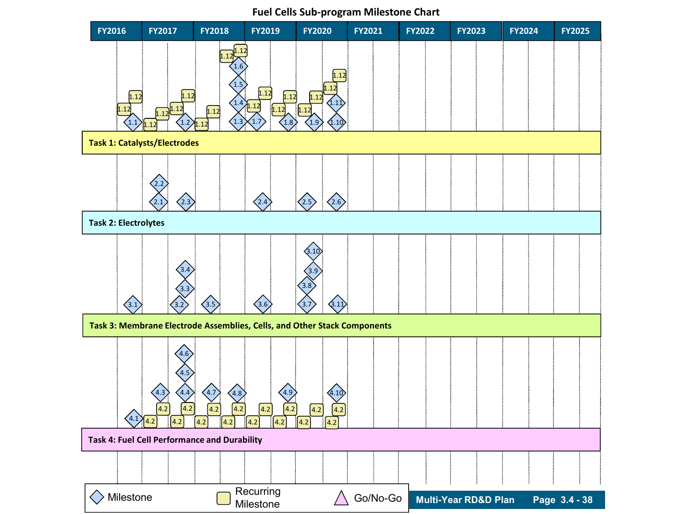Fuel Cells Sub-program Milestone Chart

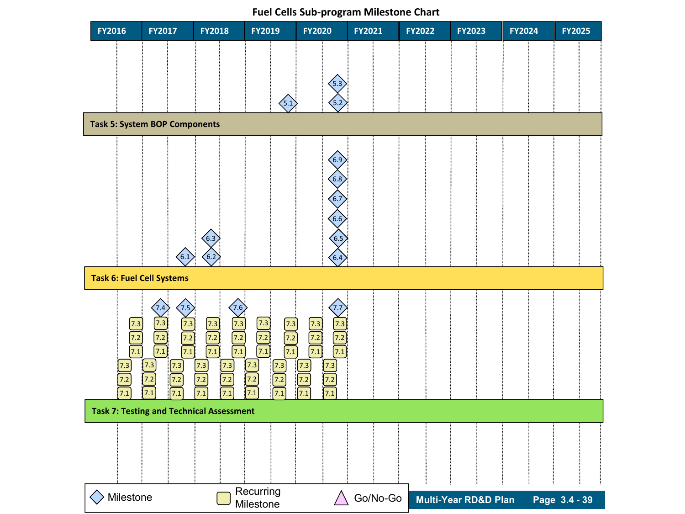

## Fuel Cells Sub-program Milestone Chart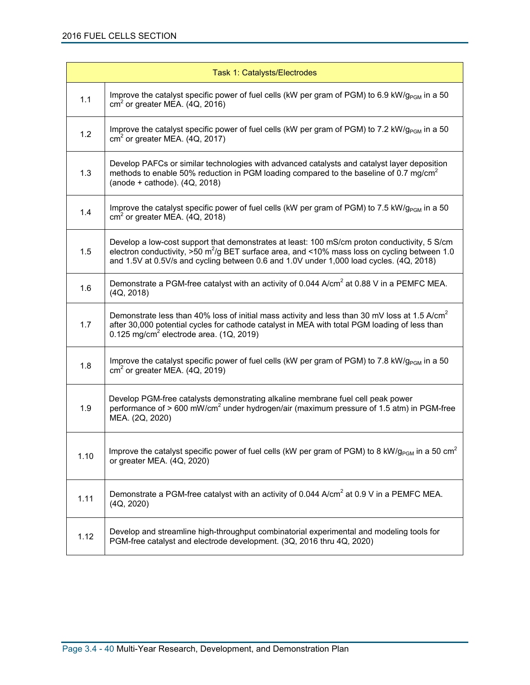| Task 1: Catalysts/Electrodes |                                                                                                                                                                                                                                                                                            |  |
|------------------------------|--------------------------------------------------------------------------------------------------------------------------------------------------------------------------------------------------------------------------------------------------------------------------------------------|--|
| 1.1                          | Improve the catalyst specific power of fuel cells (kW per gram of PGM) to 6.9 kW/g <sub>PGM</sub> in a 50<br>$cm2$ or greater MEA. (4Q, 2016)                                                                                                                                              |  |
| 1.2                          | Improve the catalyst specific power of fuel cells (kW per gram of PGM) to 7.2 kW/g <sub>PGM</sub> in a 50<br>$\text{cm}^2$ or greater MEA. (4Q, 2017)                                                                                                                                      |  |
| 1.3                          | Develop PAFCs or similar technologies with advanced catalysts and catalyst layer deposition<br>methods to enable 50% reduction in PGM loading compared to the baseline of 0.7 mg/cm <sup>2</sup><br>(anode + cathode). (4Q, 2018)                                                          |  |
| 1.4                          | Improve the catalyst specific power of fuel cells (kW per gram of PGM) to 7.5 kW/ $g_{\text{PGM}}$ in a 50<br>$\text{cm}^2$ or greater MEA. (4Q, 2018)                                                                                                                                     |  |
| 1.5                          | Develop a low-cost support that demonstrates at least: 100 mS/cm proton conductivity, 5 S/cm<br>electron conductivity, >50 $m^2$ /g BET surface area, and <10% mass loss on cycling between 1.0<br>and 1.5V at 0.5V/s and cycling between 0.6 and 1.0V under 1,000 load cycles. (4Q, 2018) |  |
| 1.6                          | Demonstrate a PGM-free catalyst with an activity of 0.044 A/cm <sup>2</sup> at 0.88 V in a PEMFC MEA.<br>(4Q, 2018)                                                                                                                                                                        |  |
| 1.7                          | Demonstrate less than 40% loss of initial mass activity and less than 30 mV loss at 1.5 A/cm <sup>2</sup><br>after 30,000 potential cycles for cathode catalyst in MEA with total PGM loading of less than<br>$0.125$ mg/cm <sup>2</sup> electrode area. (1Q, 2019)                        |  |
| 1.8                          | Improve the catalyst specific power of fuel cells (kW per gram of PGM) to 7.8 kW/g <sub>PGM</sub> in a 50<br>$\text{cm}^2$ or greater MEA. (4Q, 2019)                                                                                                                                      |  |
| 1.9                          | Develop PGM-free catalysts demonstrating alkaline membrane fuel cell peak power<br>performance of > 600 mW/cm <sup>2</sup> under hydrogen/air (maximum pressure of 1.5 atm) in PGM-free<br>MEA. (2Q, 2020)                                                                                 |  |
| 1.10                         | Improve the catalyst specific power of fuel cells (kW per gram of PGM) to 8 kW/ $g_{PGM}$ in a 50 cm <sup>2</sup><br>or greater MEA. (4Q, 2020)                                                                                                                                            |  |
| 1.11                         | Demonstrate a PGM-free catalyst with an activity of 0.044 A/cm <sup>2</sup> at 0.9 V in a PEMFC MEA.<br>(4Q, 2020)                                                                                                                                                                         |  |
| 1.12                         | Develop and streamline high-throughput combinatorial experimental and modeling tools for<br>PGM-free catalyst and electrode development. (3Q, 2016 thru 4Q, 2020)                                                                                                                          |  |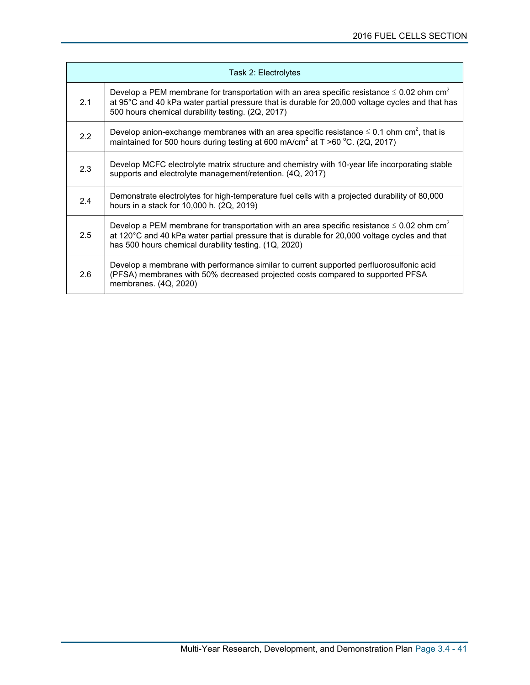| Task 2: Electrolytes |                                                                                                                                                                                                                                                                      |  |
|----------------------|----------------------------------------------------------------------------------------------------------------------------------------------------------------------------------------------------------------------------------------------------------------------|--|
| 2.1                  | Develop a PEM membrane for transportation with an area specific resistance $\leq 0.02$ ohm cm <sup>2</sup><br>at 95°C and 40 kPa water partial pressure that is durable for 20,000 voltage cycles and that has<br>500 hours chemical durability testing. (2Q, 2017)  |  |
| 2.2                  | Develop anion-exchange membranes with an area specific resistance $\leq 0.1$ ohm cm <sup>2</sup> , that is<br>maintained for 500 hours during testing at 600 mA/cm <sup>2</sup> at $T > 60$ °C. (2Q, 2017)                                                           |  |
| 2.3                  | Develop MCFC electrolyte matrix structure and chemistry with 10-year life incorporating stable<br>supports and electrolyte management/retention. (4Q, 2017)                                                                                                          |  |
| 2.4                  | Demonstrate electrolytes for high-temperature fuel cells with a projected durability of 80,000<br>hours in a stack for 10,000 h. (2Q, 2019)                                                                                                                          |  |
| 2.5                  | Develop a PEM membrane for transportation with an area specific resistance $\leq 0.02$ ohm cm <sup>2</sup><br>at 120°C and 40 kPa water partial pressure that is durable for 20,000 voltage cycles and that<br>has 500 hours chemical durability testing. (1Q, 2020) |  |
| 2.6                  | Develop a membrane with performance similar to current supported perfluorosulfonic acid<br>(PFSA) membranes with 50% decreased projected costs compared to supported PFSA<br>membranes. (4Q, 2020)                                                                   |  |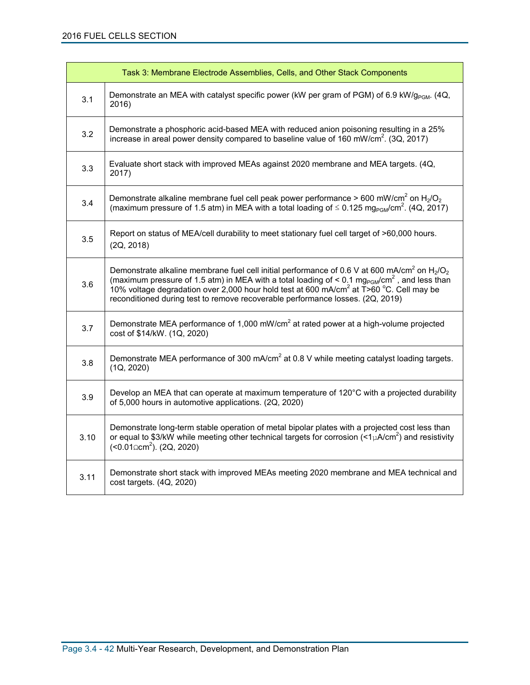| Task 3: Membrane Electrode Assemblies, Cells, and Other Stack Components |                                                                                                                                                                                                                                                                                                                                                                                                                                                    |  |
|--------------------------------------------------------------------------|----------------------------------------------------------------------------------------------------------------------------------------------------------------------------------------------------------------------------------------------------------------------------------------------------------------------------------------------------------------------------------------------------------------------------------------------------|--|
| 3.1                                                                      | Demonstrate an MEA with catalyst specific power (kW per gram of PGM) of 6.9 kW/g <sub>PGM</sub> . (4Q,<br>2016)                                                                                                                                                                                                                                                                                                                                    |  |
| 3.2                                                                      | Demonstrate a phosphoric acid-based MEA with reduced anion poisoning resulting in a 25%<br>increase in areal power density compared to baseline value of 160 mW/cm <sup>2</sup> . (3Q, 2017)                                                                                                                                                                                                                                                       |  |
| 3.3                                                                      | Evaluate short stack with improved MEAs against 2020 membrane and MEA targets. (4Q,<br>2017)                                                                                                                                                                                                                                                                                                                                                       |  |
| 3.4                                                                      | Demonstrate alkaline membrane fuel cell peak power performance > 600 mW/cm <sup>2</sup> on H <sub>2</sub> /O <sub>2</sub><br>(maximum pressure of 1.5 atm) in MEA with a total loading of $\leq$ 0.125 mg <sub>PGM</sub> /cm <sup>2</sup> . (4Q, 2017)                                                                                                                                                                                             |  |
| 3.5                                                                      | Report on status of MEA/cell durability to meet stationary fuel cell target of >60,000 hours.<br>(2Q, 2018)                                                                                                                                                                                                                                                                                                                                        |  |
| 3.6                                                                      | Demonstrate alkaline membrane fuel cell initial performance of 0.6 V at 600 mA/cm <sup>2</sup> on H <sub>2</sub> /O <sub>2</sub><br>(maximum pressure of 1.5 atm) in MEA with a total loading of < 0.1 mg <sub>PGM</sub> /cm <sup>2</sup> , and less than<br>10% voltage degradation over 2,000 hour hold test at 600 mA/cm <sup>2</sup> at T>60 °C. Cell may be<br>reconditioned during test to remove recoverable performance losses. (2Q, 2019) |  |
| 3.7                                                                      | Demonstrate MEA performance of 1,000 mW/cm <sup>2</sup> at rated power at a high-volume projected<br>cost of \$14/kW. (1Q, 2020)                                                                                                                                                                                                                                                                                                                   |  |
| 3.8                                                                      | Demonstrate MEA performance of 300 mA/cm <sup>2</sup> at 0.8 V while meeting catalyst loading targets.<br>(1Q, 2020)                                                                                                                                                                                                                                                                                                                               |  |
| 3.9                                                                      | Develop an MEA that can operate at maximum temperature of 120°C with a projected durability<br>of 5,000 hours in automotive applications. (2Q, 2020)                                                                                                                                                                                                                                                                                               |  |
| 3.10                                                                     | Demonstrate long-term stable operation of metal bipolar plates with a projected cost less than<br>or equal to \$3/kW while meeting other technical targets for corrosion ( $\leq$ 1µA/cm <sup>2</sup> ) and resistivity<br>$($ < 0.01 $\Omega$ cm <sup>2</sup> $)$ . (2Q, 2020)                                                                                                                                                                    |  |
| 3.11                                                                     | Demonstrate short stack with improved MEAs meeting 2020 membrane and MEA technical and<br>cost targets. (4Q, 2020)                                                                                                                                                                                                                                                                                                                                 |  |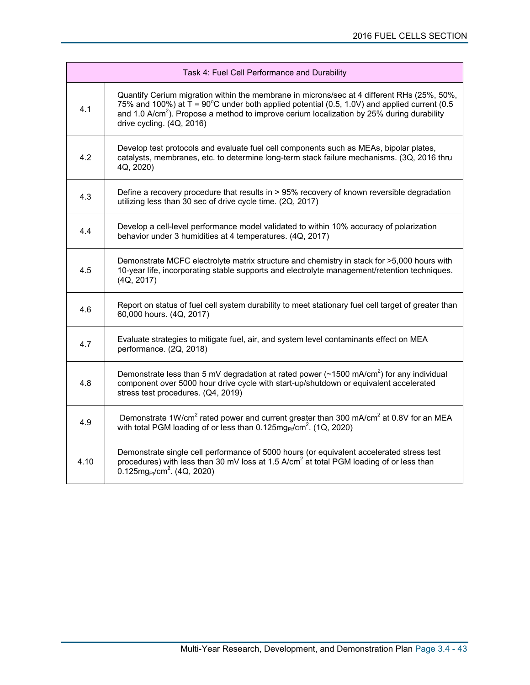| Task 4: Fuel Cell Performance and Durability |                                                                                                                                                                                                                                                                                                                                         |  |
|----------------------------------------------|-----------------------------------------------------------------------------------------------------------------------------------------------------------------------------------------------------------------------------------------------------------------------------------------------------------------------------------------|--|
| 4.1                                          | Quantify Cerium migration within the membrane in microns/sec at 4 different RHs (25%, 50%,<br>75% and 100%) at $\bar{T}$ = 90°C under both applied potential (0.5, 1.0V) and applied current (0.5<br>and 1.0 A/cm <sup>2</sup> ). Propose a method to improve cerium localization by 25% during durability<br>drive cycling. (4Q, 2016) |  |
| 4.2                                          | Develop test protocols and evaluate fuel cell components such as MEAs, bipolar plates,<br>catalysts, membranes, etc. to determine long-term stack failure mechanisms. (3Q, 2016 thru<br>4Q, 2020)                                                                                                                                       |  |
| 4.3                                          | Define a recovery procedure that results in > 95% recovery of known reversible degradation<br>utilizing less than 30 sec of drive cycle time. (2Q, 2017)                                                                                                                                                                                |  |
| 4.4                                          | Develop a cell-level performance model validated to within 10% accuracy of polarization<br>behavior under 3 humidities at 4 temperatures. (4Q, 2017)                                                                                                                                                                                    |  |
| 4.5                                          | Demonstrate MCFC electrolyte matrix structure and chemistry in stack for >5,000 hours with<br>10-year life, incorporating stable supports and electrolyte management/retention techniques.<br>(4Q, 2017)                                                                                                                                |  |
| 4.6                                          | Report on status of fuel cell system durability to meet stationary fuel cell target of greater than<br>60,000 hours. (4Q, 2017)                                                                                                                                                                                                         |  |
| 4.7                                          | Evaluate strategies to mitigate fuel, air, and system level contaminants effect on MEA<br>performance. (2Q, 2018)                                                                                                                                                                                                                       |  |
| 4.8                                          | Demonstrate less than 5 mV degradation at rated power ( $\sim$ 1500 mA/cm <sup>2</sup> ) for any individual<br>component over 5000 hour drive cycle with start-up/shutdown or equivalent accelerated<br>stress test procedures. (Q4, 2019)                                                                                              |  |
| 4.9                                          | Demonstrate 1W/cm <sup>2</sup> rated power and current greater than 300 mA/cm <sup>2</sup> at 0.8V for an MEA<br>with total PGM loading of or less than $0.125mg_{\text{Pl}}/cm^2$ . (1Q, 2020)                                                                                                                                         |  |
| 4.10                                         | Demonstrate single cell performance of 5000 hours (or equivalent accelerated stress test<br>procedures) with less than 30 mV loss at 1.5 A/cm <sup>2</sup> at total PGM loading of or less than<br>0.125mg <sub>Pt</sub> /cm <sup>2</sup> . (4Q, 2020)                                                                                  |  |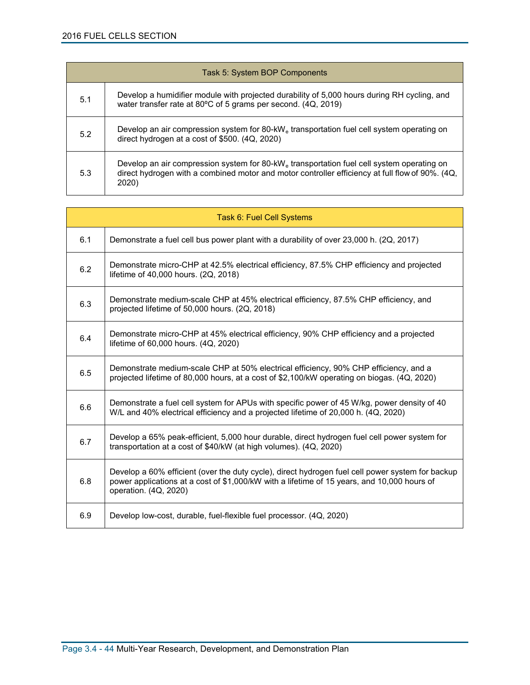| Task 5: System BOP Components |                                                                                                                                                                                                                   |  |
|-------------------------------|-------------------------------------------------------------------------------------------------------------------------------------------------------------------------------------------------------------------|--|
| 5.1                           | Develop a humidifier module with projected durability of 5,000 hours during RH cycling, and<br>water transfer rate at 80°C of 5 grams per second. (4Q, 2019)                                                      |  |
| 5.2                           | Develop an air compression system for 80-kW <sub>e</sub> transportation fuel cell system operating on<br>direct hydrogen at a cost of \$500. (4Q, 2020)                                                           |  |
| 5.3                           | Develop an air compression system for 80-kW <sub>e</sub> transportation fuel cell system operating on<br>direct hydrogen with a combined motor and motor controller efficiency at full flow of 90%. (4Q,<br>2020) |  |

| Task 6: Fuel Cell Systems |                                                                                                                                                                                                                          |  |
|---------------------------|--------------------------------------------------------------------------------------------------------------------------------------------------------------------------------------------------------------------------|--|
| 6.1                       | Demonstrate a fuel cell bus power plant with a durability of over 23,000 h. (2Q, 2017)                                                                                                                                   |  |
| 6.2                       | Demonstrate micro-CHP at 42.5% electrical efficiency, 87.5% CHP efficiency and projected<br>lifetime of 40,000 hours. (2Q, 2018)                                                                                         |  |
| 6.3                       | Demonstrate medium-scale CHP at 45% electrical efficiency, 87.5% CHP efficiency, and<br>projected lifetime of 50,000 hours. (2Q, 2018)                                                                                   |  |
| 6.4                       | Demonstrate micro-CHP at 45% electrical efficiency, 90% CHP efficiency and a projected<br>lifetime of 60,000 hours. (4Q, 2020)                                                                                           |  |
| 6.5                       | Demonstrate medium-scale CHP at 50% electrical efficiency, 90% CHP efficiency, and a<br>projected lifetime of 80,000 hours, at a cost of \$2,100/kW operating on biogas. (4Q, 2020)                                      |  |
| 6.6                       | Demonstrate a fuel cell system for APUs with specific power of 45 W/kg, power density of 40<br>W/L and 40% electrical efficiency and a projected lifetime of 20,000 h. (4Q, 2020)                                        |  |
| 6.7                       | Develop a 65% peak-efficient, 5,000 hour durable, direct hydrogen fuel cell power system for<br>transportation at a cost of \$40/kW (at high volumes). (4Q, 2020)                                                        |  |
| 6.8                       | Develop a 60% efficient (over the duty cycle), direct hydrogen fuel cell power system for backup<br>power applications at a cost of \$1,000/kW with a lifetime of 15 years, and 10,000 hours of<br>operation. (4Q, 2020) |  |
| 6.9                       | Develop low-cost, durable, fuel-flexible fuel processor. (4Q, 2020)                                                                                                                                                      |  |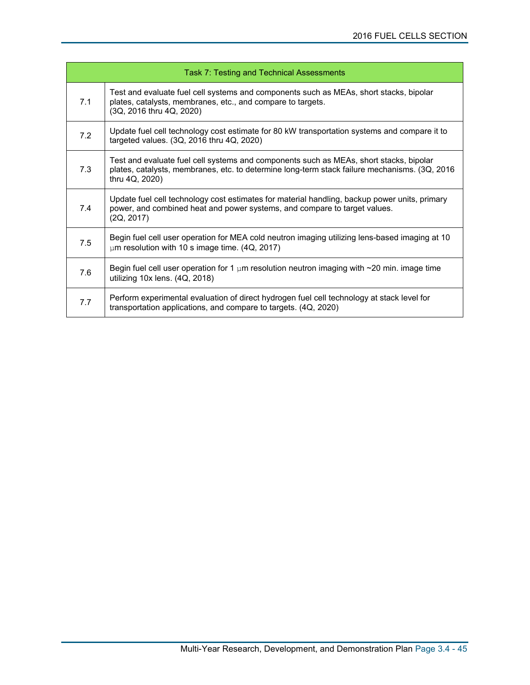| Task 7: Testing and Technical Assessments |                                                                                                                                                                                                            |  |
|-------------------------------------------|------------------------------------------------------------------------------------------------------------------------------------------------------------------------------------------------------------|--|
| 7.1                                       | Test and evaluate fuel cell systems and components such as MEAs, short stacks, bipolar<br>plates, catalysts, membranes, etc., and compare to targets.<br>(3Q, 2016 thru 4Q, 2020)                          |  |
| 7.2                                       | Update fuel cell technology cost estimate for 80 kW transportation systems and compare it to<br>targeted values. (3Q, 2016 thru 4Q, 2020)                                                                  |  |
| 7.3                                       | Test and evaluate fuel cell systems and components such as MEAs, short stacks, bipolar<br>plates, catalysts, membranes, etc. to determine long-term stack failure mechanisms. (3Q, 2016)<br>thru 4Q, 2020) |  |
| 7.4                                       | Update fuel cell technology cost estimates for material handling, backup power units, primary<br>power, and combined heat and power systems, and compare to target values.<br>(2Q, 2017)                   |  |
| 7.5                                       | Begin fuel cell user operation for MEA cold neutron imaging utilizing lens-based imaging at 10<br>$\mu$ m resolution with 10 s image time. (4Q, 2017)                                                      |  |
| 7.6                                       | Begin fuel cell user operation for 1 $\mu$ m resolution neutron imaging with ~20 min. image time<br>utilizing $10x$ lens. $(4Q, 2018)$                                                                     |  |
| 7.7                                       | Perform experimental evaluation of direct hydrogen fuel cell technology at stack level for<br>transportation applications, and compare to targets. (4Q, 2020)                                              |  |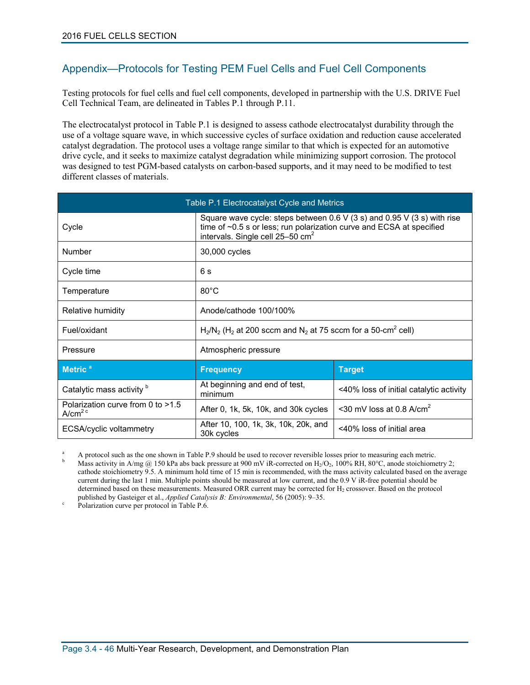# Appendix—Protocols for Testing PEM Fuel Cells and Fuel Cell Components

Testing protocols for fuel cells and fuel cell components, developed in partnership with the U.S. DRIVE Fuel Cell Technical Team, are delineated in Tables P.1 through P.11.

The electrocatalyst protocol in Table P.1 is designed to assess cathode electrocatalyst durability through the use of a voltage square wave, in which successive cycles of surface oxidation and reduction cause accelerated catalyst degradation. The protocol uses a voltage range similar to that which is expected for an automotive drive cycle, and it seeks to maximize catalyst degradation while minimizing support corrosion. The protocol was designed to test PGM-based catalysts on carbon-based supports, and it may need to be modified to test different classes of materials.

| Table P.1 Electrocatalyst Cycle and Metrics                 |                                                                                                                                                                                                 |                                         |  |
|-------------------------------------------------------------|-------------------------------------------------------------------------------------------------------------------------------------------------------------------------------------------------|-----------------------------------------|--|
| Cycle                                                       | Square wave cycle: steps between 0.6 V (3 s) and 0.95 V (3 s) with rise<br>time of ~0.5 s or less; run polarization curve and ECSA at specified<br>intervals. Single cell 25-50 cm <sup>2</sup> |                                         |  |
| <b>Number</b>                                               | 30,000 cycles                                                                                                                                                                                   |                                         |  |
| Cycle time                                                  | 6 s                                                                                                                                                                                             |                                         |  |
| Temperature                                                 | $80^{\circ}$ C                                                                                                                                                                                  |                                         |  |
| Relative humidity                                           | Anode/cathode 100/100%                                                                                                                                                                          |                                         |  |
| Fuel/oxidant                                                | $H_2/N_2$ (H <sub>2</sub> at 200 sccm and N <sub>2</sub> at 75 sccm for a 50-cm <sup>2</sup> cell)                                                                                              |                                         |  |
| Pressure                                                    | Atmospheric pressure                                                                                                                                                                            |                                         |  |
| Metric <sup>a</sup>                                         | <b>Frequency</b>                                                                                                                                                                                | <b>Target</b>                           |  |
| Catalytic mass activity <sup>b</sup>                        | At beginning and end of test,<br>minimum                                                                                                                                                        | <40% loss of initial catalytic activity |  |
| Polarization curve from 0 to $>1.5$<br>$A/cm2$ <sup>c</sup> | After 0, 1k, 5k, 10k, and 30k cycles                                                                                                                                                            | <30 mV loss at 0.8 $A/cm2$              |  |
| ECSA/cyclic voltammetry                                     | After 10, 100, 1k, 3k, 10k, 20k, and<br>30k cycles                                                                                                                                              | <40% loss of initial area               |  |

A protocol such as the one shown in Table P.9 should be used to recover reversible losses prior to measuring each metric.<br>Mass activity in A/mg @ 150 kPa abs back pressure at 900 mV iR-corrected on H<sub>2</sub>/O<sub>2</sub>, 100% RH, 80° cathode stoichiometry 9.5. A minimum hold time of 15 min is recommended, with the mass activity calculated based on the average

current during the last 1 min. Multiple points should be measured at low current, and the 0.9 V iR-free potential should be determined based on these measurements. Measured ORR current may be corrected for H<sub>2</sub> crossover. Based on the protocol published by Gasteiger et al., *Applied Catalysis B: Environmental*, 56 (2005): 9–35. Polarization curve per protocol in Table P.6.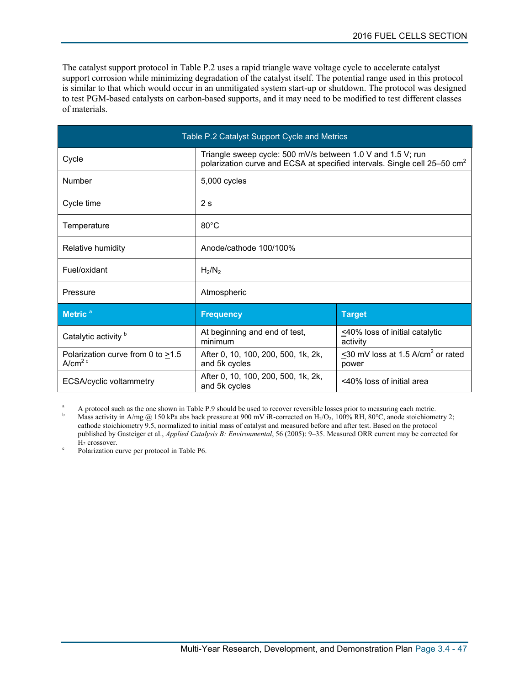The catalyst support protocol in Table P.2 uses a rapid triangle wave voltage cycle to accelerate catalyst support corrosion while minimizing degradation of the catalyst itself. The potential range used in this protocol is similar to that which would occur in an unmitigated system start-up or shutdown. The protocol was designed to test PGM-based catalysts on carbon-based supports, and it may need to be modified to test different classes of materials.

| Table P.2 Catalyst Support Cycle and Metrics                   |                                                                                                                                                      |                                                              |  |
|----------------------------------------------------------------|------------------------------------------------------------------------------------------------------------------------------------------------------|--------------------------------------------------------------|--|
| Cycle                                                          | Triangle sweep cycle: 500 mV/s between 1.0 V and 1.5 V; run<br>polarization curve and ECSA at specified intervals. Single cell 25-50 cm <sup>2</sup> |                                                              |  |
| Number                                                         | 5,000 cycles                                                                                                                                         |                                                              |  |
| Cycle time                                                     | 2s                                                                                                                                                   |                                                              |  |
| Temperature                                                    | $80^{\circ}$ C                                                                                                                                       |                                                              |  |
| Relative humidity                                              | Anode/cathode 100/100%                                                                                                                               |                                                              |  |
| Fuel/oxidant                                                   | $H_2/N_2$                                                                                                                                            |                                                              |  |
| Pressure                                                       | Atmospheric                                                                                                                                          |                                                              |  |
| Metric <sup>a</sup>                                            | <b>Frequency</b>                                                                                                                                     | <b>Target</b>                                                |  |
| Catalytic activity <sup>b</sup>                                | At beginning and end of test,<br>minimum                                                                                                             | $\leq$ 40% loss of initial catalytic<br>activity             |  |
| Polarization curve from 0 to $\geq 1.5$<br>A/cm <sup>2 c</sup> | After 0, 10, 100, 200, 500, 1k, 2k,<br>and 5k cycles                                                                                                 | $\leq$ 30 mV loss at 1.5 A/cm <sup>2</sup> or rated<br>power |  |
| ECSA/cyclic voltammetry                                        | After 0, 10, 100, 200, 500, 1k, 2k,<br>and 5k cycles                                                                                                 | <40% loss of initial area                                    |  |

A protocol such as the one shown in Table P.9 should be used to recover reversible losses prior to measuring each metric.<br>Mass activity in A/mg  $@$  150 kPa abs back pressure at 900 mV iR-corrected on H<sub>2</sub>/O<sub>2</sub>, 100% RH, 8 cathode stoichiometry 9.5, normalized to initial mass of catalyst and measured before and after test. Based on the protocol published by Gasteiger et al., *Applied Catalysis B: Environmental*, 56 (2005): 9–35. Measured ORR current may be corrected for  $H_2$  crossover.<br>
Polarization curve per protocol in Table P6.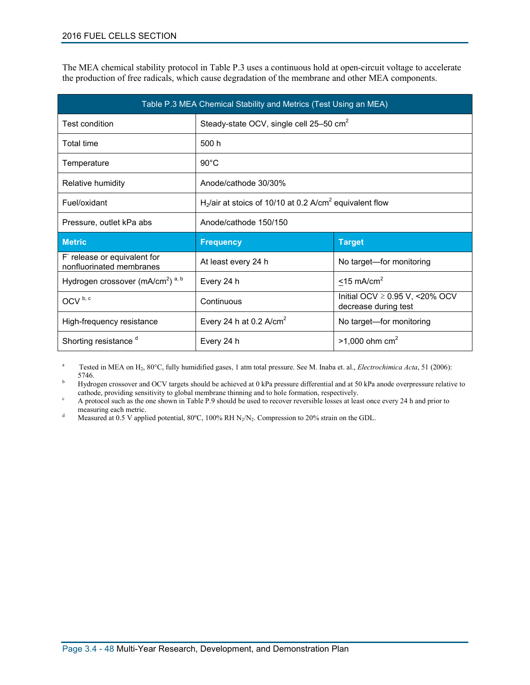The MEA chemical stability protocol in Table P.3 uses a continuous hold at open-circuit voltage to accelerate the production of free radicals, which cause degradation of the membrane and other MEA components.

| Table P.3 MEA Chemical Stability and Metrics (Test Using an MEA) |                                                                      |                                                             |  |
|------------------------------------------------------------------|----------------------------------------------------------------------|-------------------------------------------------------------|--|
| <b>Test condition</b>                                            | Steady-state OCV, single cell 25-50 cm <sup>2</sup>                  |                                                             |  |
| <b>Total time</b>                                                | 500h                                                                 |                                                             |  |
| Temperature                                                      | $90^{\circ}$ C                                                       |                                                             |  |
| Relative humidity                                                | Anode/cathode 30/30%                                                 |                                                             |  |
| Fuel/oxidant                                                     | $H2/air$ at stoics of 10/10 at 0.2 A/cm <sup>2</sup> equivalent flow |                                                             |  |
| Pressure, outlet kPa abs                                         | Anode/cathode 150/150                                                |                                                             |  |
| <b>Metric</b>                                                    | <b>Frequency</b>                                                     | <b>Target</b>                                               |  |
| F release or equivalent for<br>nonfluorinated membranes          | At least every 24 h                                                  | No target-for monitoring                                    |  |
| Hydrogen crossover (mA/cm <sup>2</sup> ) <sup>a, b</sup>         | Every 24 h                                                           | $<$ 15 mA/cm <sup>2</sup>                                   |  |
| OCV b, c                                                         | Continuous                                                           | Initial OCV $\geq$ 0.95 V, <20% OCV<br>decrease during test |  |
| High-frequency resistance                                        | Every 24 h at 0.2 A/cm <sup>2</sup>                                  | No target-for monitoring                                    |  |
| Shorting resistance d                                            | Every 24 h                                                           | $>1,000$ ohm cm <sup>2</sup>                                |  |

<sup>a</sup> Tested in MEA on H<sub>2</sub>, 80°C, fully humidified gases, 1 atm total pressure. See M. Inaba et. al., *Electrochimica Acta*, 51 (2006):

<sup>b</sup> Hydrogen crossover and OCV targets should be achieved at 0 kPa pressure differential and at 50 kPa anode overpressure relative to cathode, providing sensitivity to global membrane thinning and to hole formation, respec

<sup>c</sup> A protocol such as the one shown in Table P.9 should be used to recover reversible losses at least once every 24 h and prior to measuring each metric.

<sup>d</sup> Measured at 0.5 V applied potential, 80°C, 100% RH N<sub>2</sub>/N<sub>2</sub>. Compression to 20% strain on the GDL.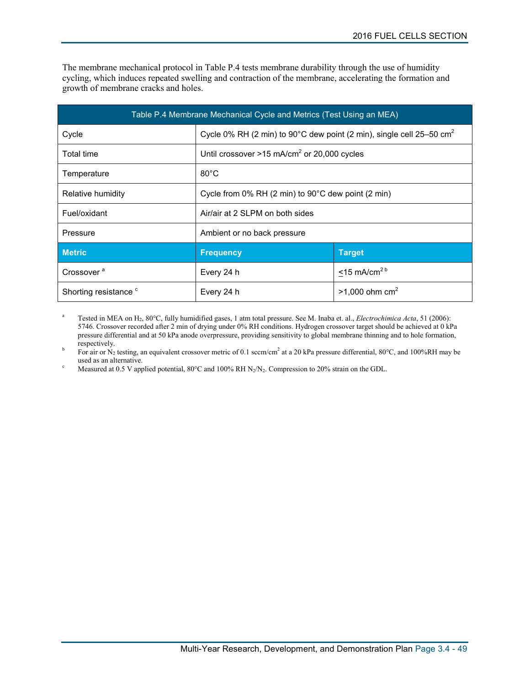The membrane mechanical protocol in Table P.4 tests membrane durability through the use of humidity cycling, which induces repeated swelling and contraction of the membrane, accelerating the formation and growth of membrane cracks and holes.

| Table P.4 Membrane Mechanical Cycle and Metrics (Test Using an MEA) |                                                                                  |                              |  |
|---------------------------------------------------------------------|----------------------------------------------------------------------------------|------------------------------|--|
| Cycle                                                               | Cycle 0% RH (2 min) to 90°C dew point (2 min), single cell 25–50 cm <sup>2</sup> |                              |  |
| Total time                                                          | Until crossover >15 mA/cm <sup>2</sup> or 20,000 cycles                          |                              |  |
| Temperature                                                         | $80^{\circ}$ C                                                                   |                              |  |
| Relative humidity                                                   | Cycle from $0\%$ RH (2 min) to $90^{\circ}$ C dew point (2 min)                  |                              |  |
| Fuel/oxidant                                                        | Air/air at 2 SLPM on both sides                                                  |                              |  |
| Pressure                                                            | Ambient or no back pressure                                                      |                              |  |
| <b>Metric</b>                                                       | <b>Frequency</b>                                                                 | <b>Target</b>                |  |
| Crossover <sup>a</sup>                                              | Every 24 h                                                                       | $<$ 15 mA/cm <sup>2 b</sup>  |  |
| Shorting resistance c                                               | Every 24 h                                                                       | $>1,000$ ohm cm <sup>2</sup> |  |

<sup>a</sup> Tested in MEA on H<sub>2</sub>, 80°C, fully humidified gases, 1 atm total pressure. See M. Inaba et. al., *Electrochimica Acta*, 51 (2006): 5746. Crossover recorded after 2 min of drying under 0% RH conditions. Hydrogen crossover target should be achieved at 0 kPa pressure differential and at 50 kPa anode overpressure, providing sensitivity to global membrane thinning and to hole formation,

- For air or N<sub>2</sub> testing, an equivalent crossover metric of 0.1 sccm/cm<sup>2</sup> at a 20 kPa pressure differential, 80°C, and 100%RH may be used as an alternative.
- <sup>c</sup> Measured at 0.5 V applied potential, 80°C and 100% RH N<sub>2</sub>/N<sub>2</sub>. Compression to 20% strain on the GDL.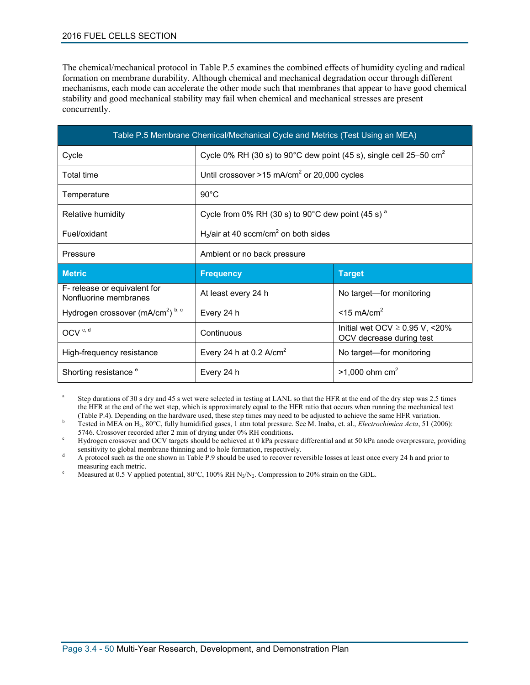The chemical/mechanical protocol in Table P.5 examines the combined effects of humidity cycling and radical formation on membrane durability. Although chemical and mechanical degradation occur through different mechanisms, each mode can accelerate the other mode such that membranes that appear to have good chemical stability and good mechanical stability may fail when chemical and mechanical stresses are present concurrently.

| Table P.5 Membrane Chemical/Mechanical Cycle and Metrics (Test Using an MEA) |                                                                                |                                                                 |  |
|------------------------------------------------------------------------------|--------------------------------------------------------------------------------|-----------------------------------------------------------------|--|
| Cycle                                                                        | Cycle 0% RH (30 s) to 90°C dew point (45 s), single cell 25–50 cm <sup>2</sup> |                                                                 |  |
| <b>Total time</b>                                                            | Until crossover >15 mA/cm <sup>2</sup> or 20,000 cycles                        |                                                                 |  |
| Temperature                                                                  | $90^{\circ}$ C                                                                 |                                                                 |  |
| Relative humidity                                                            | Cycle from 0% RH (30 s) to 90 $^{\circ}$ C dew point (45 s) <sup>a</sup>       |                                                                 |  |
| Fuel/oxidant                                                                 | $H2/air$ at 40 sccm/cm <sup>2</sup> on both sides                              |                                                                 |  |
| Pressure                                                                     | Ambient or no back pressure                                                    |                                                                 |  |
| <b>Metric</b>                                                                | <b>Frequency</b>                                                               | <b>Target</b>                                                   |  |
| F- release or equivalent for<br>Nonfluorine membranes                        | At least every 24 h                                                            | No target—for monitoring                                        |  |
| Hydrogen crossover (mA/cm <sup>2</sup> ) <sup>b, c</sup>                     | Every 24 h                                                                     | $<$ 15 mA/cm <sup>2</sup>                                       |  |
| OCV <sup>c, d</sup>                                                          | Continuous                                                                     | Initial wet OCV $\geq$ 0.95 V, <20%<br>OCV decrease during test |  |
| High-frequency resistance                                                    | Every 24 h at 0.2 A/cm <sup>2</sup>                                            | No target-for monitoring                                        |  |
| Shorting resistance <sup>e</sup>                                             | Every 24 h                                                                     | $>1,000$ ohm cm <sup>2</sup>                                    |  |

Step durations of 30 s dry and 45 s wet were selected in testing at LANL so that the HFR at the end of the dry step was 2.5 times the HFR at the end of the wet step, which is approximately equal to the HFR ratio that occurs when running the mechanical test

(Table P.4). Depending on the hardware used, these step times may need to be adjusted to achieve the same HFR variation.<br>
Tested in MEA on H<sub>2</sub>, 80°C, fully humidified gases, 1 atm total pressure. See M. Inaba, et. al., *E* 

Hydrogen crossover and OCV targets should be achieved at 0 kPa pressure differential and at 50 kPa anode overpressure, providing sensitivity to global membrane thinning and to hole formation, respectively.

 $\frac{d}{dx}$  A protocol such as the one shown in Table P.9 should be used to recover reversible losses at least once every 24 h and prior to measuring each metric.

Measured at 0.5 V applied potential, 80°C, 100% RH N<sub>2</sub>/N<sub>2</sub>. Compression to 20% strain on the GDL.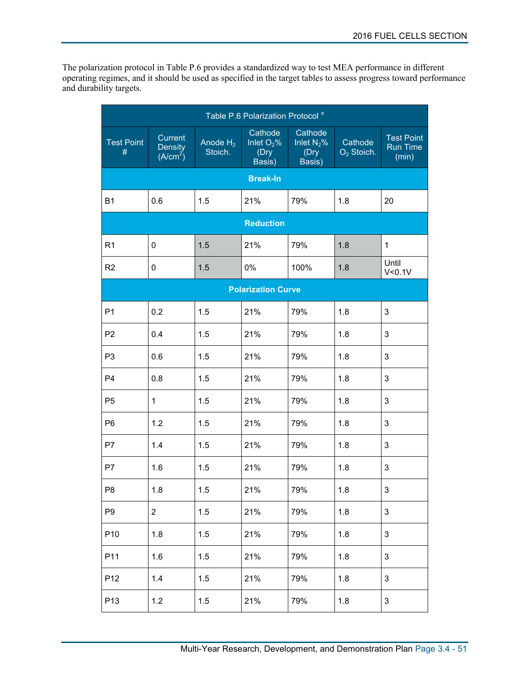The polarization protocol in Table P.6 provides a standardized way to test MEA performance in different operating regimes, and it should be used as specified in the target tables to assess progress toward performance and durability targets.

|                        | Table P.6 Polarization Protocol <sup>a</sup> |                        |                                            |                                            |                         |                                               |
|------------------------|----------------------------------------------|------------------------|--------------------------------------------|--------------------------------------------|-------------------------|-----------------------------------------------|
| <b>Test Point</b><br># | Current<br>Density<br>(A/cm <sup>2</sup> )   | Anode $H_2$<br>Stoich. | Cathode<br>Inlet $O_2\%$<br>(Dry<br>Basis) | Cathode<br>Inlet $N_2\%$<br>(Dry<br>Basis) | Cathode<br>$O2$ Stoich. | <b>Test Point</b><br><b>Run Time</b><br>(min) |
|                        |                                              |                        | <b>Break-In</b>                            |                                            |                         |                                               |
| <b>B1</b>              | 0.6                                          | 1.5                    | 21%                                        | 79%                                        | 1.8                     | 20                                            |
|                        |                                              |                        | <b>Reduction</b>                           |                                            |                         |                                               |
| R <sub>1</sub>         | 0                                            | 1.5                    | 21%                                        | 79%                                        | 1.8                     | $\mathbf{1}$                                  |
| R <sub>2</sub>         | 0                                            | 1.5                    | 0%                                         | 100%                                       | 1.8                     | Until<br>V<0.1V                               |
|                        |                                              |                        | <b>Polarization Curve</b>                  |                                            |                         |                                               |
| P <sub>1</sub>         | 0.2                                          | 1.5                    | 21%                                        | 79%                                        | 1.8                     | 3                                             |
| P <sub>2</sub>         | 0.4                                          | 1.5                    | 21%                                        | 79%                                        | 1.8                     | 3                                             |
| P <sub>3</sub>         | 0.6                                          | 1.5                    | 21%                                        | 79%                                        | 1.8                     | 3                                             |
| P <sub>4</sub>         | 0.8                                          | 1.5                    | 21%                                        | 79%                                        | 1.8                     | 3                                             |
| P <sub>5</sub>         | 1                                            | 1.5                    | 21%                                        | 79%                                        | 1.8                     | 3                                             |
| P <sub>6</sub>         | 1.2                                          | 1.5                    | 21%                                        | 79%                                        | 1.8                     | 3                                             |
| P7                     | 1.4                                          | 1.5                    | 21%                                        | 79%                                        | 1.8                     | 3                                             |
| P7                     | 1.6                                          | 1.5                    | 21%                                        | 79%                                        | 1.8                     | 3                                             |
| P <sub>8</sub>         | 1.8                                          | 1.5                    | 21%                                        | 79%                                        | 1.8                     | 3                                             |
| P <sub>9</sub>         | $\overline{\mathbf{c}}$                      | 1.5                    | 21%                                        | 79%                                        | 1.8                     | 3                                             |
| P <sub>10</sub>        | 1.8                                          | 1.5                    | 21%                                        | 79%                                        | 1.8                     | 3                                             |
| P11                    | 1.6                                          | 1.5                    | 21%                                        | 79%                                        | 1.8                     | 3                                             |
| P12                    | 1.4                                          | 1.5                    | 21%                                        | 79%                                        | 1.8                     | 3                                             |
| P <sub>13</sub>        | 1.2                                          | 1.5                    | 21%                                        | 79%                                        | 1.8                     | 3                                             |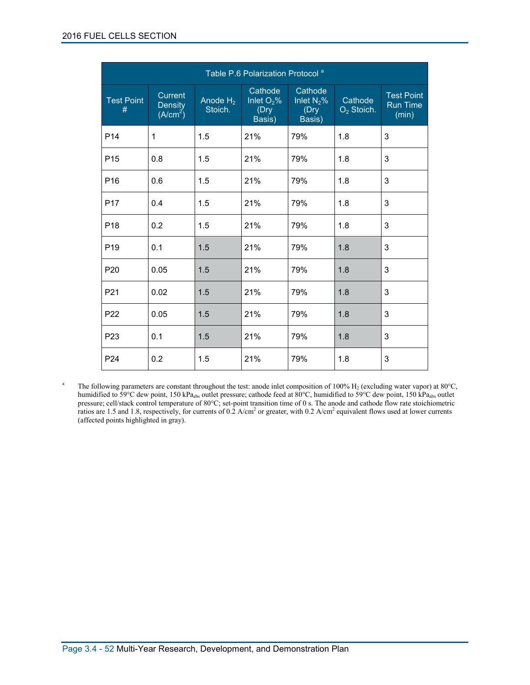| Table P.6 Polarization Protocol <sup>a</sup> |                                                          |                        |                                             |                                            |                         |                                               |
|----------------------------------------------|----------------------------------------------------------|------------------------|---------------------------------------------|--------------------------------------------|-------------------------|-----------------------------------------------|
| <b>Test Point</b><br>#                       | <b>Current</b><br><b>Density</b><br>(A/cm <sup>2</sup> ) | Anode $H_2$<br>Stoich. | Cathode<br>Inlet $O_2\%$<br>(Dry)<br>Basis) | Cathode<br>Inlet $N_2\%$<br>(Dry<br>Basis) | Cathode<br>$O2$ Stoich. | <b>Test Point</b><br><b>Run Time</b><br>(min) |
| P <sub>14</sub>                              | 1                                                        | 1.5                    | 21%                                         | 79%                                        | 1.8                     | 3                                             |
| P <sub>15</sub>                              | 0.8                                                      | 1.5                    | 21%                                         | 79%                                        | 1.8                     | 3                                             |
| P <sub>16</sub>                              | 0.6                                                      | 1.5                    | 21%                                         | 79%                                        | 1.8                     | 3                                             |
| P <sub>17</sub>                              | 0.4                                                      | 1.5                    | 21%                                         | 79%                                        | 1.8                     | 3                                             |
| P <sub>18</sub>                              | 0.2                                                      | 1.5                    | 21%                                         | 79%                                        | 1.8                     | 3                                             |
| P <sub>19</sub>                              | 0.1                                                      | 1.5                    | 21%                                         | 79%                                        | 1.8                     | 3                                             |
| P <sub>20</sub>                              | 0.05                                                     | 1.5                    | 21%                                         | 79%                                        | 1.8                     | 3                                             |
| P21                                          | 0.02                                                     | 1.5                    | 21%                                         | 79%                                        | 1.8                     | 3                                             |
| P <sub>22</sub>                              | 0.05                                                     | 1.5                    | 21%                                         | 79%                                        | 1.8                     | 3                                             |
| P23                                          | 0.1                                                      | 1.5                    | 21%                                         | 79%                                        | 1.8                     | 3                                             |
| P <sub>24</sub>                              | 0.2                                                      | 1.5                    | 21%                                         | 79%                                        | 1.8                     | 3                                             |

<sup>a</sup> The following parameters are constant throughout the test: anode inlet composition of 100%  $H_2$  (excluding water vapor) at 80°C, humidified to 59°C dew point, 150 kPaabs outlet pressure; cathode feed at 80°C, humidified to 59°C dew point, 150 kPaabs outlet pressure; cell/stack control temperature of 80°C; set-point transition time of 0 s. The anode and cathode flow rate stoichiometric ratios are 1.5 and 1.8, respectively, for currents of 0.2 A/cm<sup>2</sup> or greater, with 0.2 A/cm<sup>2</sup> equivalent flows used at lower currents (affected points highlighted in gray).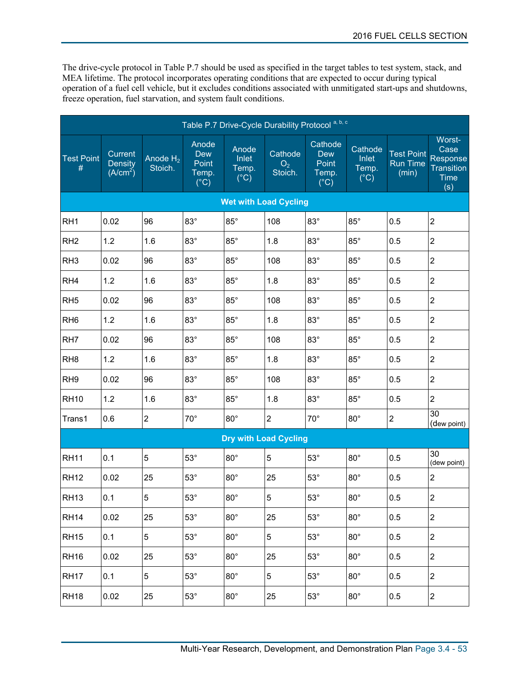The drive-cycle protocol in Table P.7 should be used as specified in the target tables to test system, stack, and MEA lifetime. The protocol incorporates operating conditions that are expected to occur during typical operation of a fuel cell vehicle, but it excludes conditions associated with unmitigated start-ups and shutdowns, freeze operation, fuel starvation, and system fault conditions.

|                        | Table P.7 Drive-Cycle Durability Protocol <sup>a, b, c</sup> |                        |                                                        |                                          |                                      |                                                          |                                            |                                               |                                                                       |
|------------------------|--------------------------------------------------------------|------------------------|--------------------------------------------------------|------------------------------------------|--------------------------------------|----------------------------------------------------------|--------------------------------------------|-----------------------------------------------|-----------------------------------------------------------------------|
| <b>Test Point</b><br># | Current<br><b>Density</b><br>(A/cm <sup>2</sup> )            | Anode $H_2$<br>Stoich. | Anode<br><b>Dew</b><br>Point<br>Temp.<br>$(^{\circ}C)$ | Anode<br>Inlet<br>Temp.<br>$(^{\circ}C)$ | Cathode<br>O <sub>2</sub><br>Stoich. | Cathode<br><b>Dew</b><br>Point<br>Temp.<br>$(^{\circ}C)$ | Cathode<br>Inlet<br>Temp.<br>$(^{\circ}C)$ | <b>Test Point</b><br><b>Run Time</b><br>(min) | Worst-<br>Case<br>Response<br><b>Transition</b><br><b>Time</b><br>(s) |
|                        |                                                              |                        |                                                        | <b>Wet with Load Cycling</b>             |                                      |                                                          |                                            |                                               |                                                                       |
| RH <sub>1</sub>        | 0.02                                                         | 96                     | $83^\circ$                                             | $85^\circ$                               | 108                                  | $83^\circ$                                               | $85^\circ$                                 | 0.5                                           | $\overline{c}$                                                        |
| RH <sub>2</sub>        | 1.2                                                          | 1.6                    | $83^\circ$                                             | $85^\circ$                               | 1.8                                  | $83^\circ$                                               | $85^\circ$                                 | 0.5                                           | $\boldsymbol{2}$                                                      |
| RH <sub>3</sub>        | 0.02                                                         | 96                     | $83^\circ$                                             | $85^\circ$                               | 108                                  | $83^\circ$                                               | $85^\circ$                                 | 0.5                                           | $\overline{\mathbf{c}}$                                               |
| RH <sub>4</sub>        | 1.2                                                          | 1.6                    | $83^\circ$                                             | $85^\circ$                               | 1.8                                  | $83^\circ$                                               | $85^\circ$                                 | 0.5                                           | $\overline{c}$                                                        |
| RH <sub>5</sub>        | 0.02                                                         | 96                     | $83^\circ$                                             | $85^\circ$                               | 108                                  | $83^\circ$                                               | $85^\circ$                                 | 0.5                                           | $\overline{c}$                                                        |
| RH <sub>6</sub>        | 1.2                                                          | 1.6                    | $83^\circ$                                             | $85^\circ$                               | 1.8                                  | $83^\circ$                                               | $85^\circ$                                 | 0.5                                           | $\overline{c}$                                                        |
| RH <sub>7</sub>        | 0.02                                                         | 96                     | $83^\circ$                                             | $85^\circ$                               | 108                                  | $83^\circ$                                               | $85^\circ$                                 | 0.5                                           | $\overline{\mathbf{c}}$                                               |
| RH <sub>8</sub>        | 1.2                                                          | 1.6                    | $83^\circ$                                             | $85^\circ$                               | 1.8                                  | $83^\circ$                                               | $85^\circ$                                 | 0.5                                           | $\boldsymbol{2}$                                                      |
| RH <sub>9</sub>        | 0.02                                                         | 96                     | $83^\circ$                                             | $85^\circ$                               | 108                                  | $83^\circ$                                               | $85^\circ$                                 | 0.5                                           | $\boldsymbol{2}$                                                      |
| <b>RH10</b>            | 1.2                                                          | 1.6                    | $83^\circ$                                             | $85^\circ$                               | 1.8                                  | $83^\circ$                                               | $85^\circ$                                 | 0.5                                           | $\overline{\mathbf{c}}$                                               |
| Trans1                 | 0.6                                                          | $\overline{c}$         | $70^{\circ}$                                           | $80^\circ$                               | $\overline{2}$                       | $70^{\circ}$                                             | $80^\circ$                                 | $\overline{2}$                                | 30<br>(dew point)                                                     |
|                        |                                                              |                        |                                                        | <b>Dry with Load Cycling</b>             |                                      |                                                          |                                            |                                               |                                                                       |
| <b>RH11</b>            | 0.1                                                          | 5                      | $53^\circ$                                             | $80^\circ$                               | 5                                    | $53^\circ$                                               | $80^{\circ}$                               | 0.5                                           | 30<br>(dew point)                                                     |
| <b>RH12</b>            | 0.02                                                         | 25                     | $53^\circ$                                             | $80^{\circ}$                             | 25                                   | $53^\circ$                                               | $80^{\circ}$                               | 0.5                                           | $\overline{\mathbf{c}}$                                               |
| <b>RH13</b>            | 0.1                                                          | 5                      | $53^\circ$                                             | $80^\circ$                               | 5                                    | $53^\circ$                                               | $80^\circ$                                 | 0.5                                           | $\boldsymbol{2}$                                                      |
| <b>RH14</b>            | 0.02                                                         | 25                     | $53^\circ$                                             | $80^\circ$                               | 25                                   | $53^\circ$                                               | $80^{\circ}$                               | 0.5                                           | $\overline{c}$                                                        |
| <b>RH15</b>            | 0.1                                                          | 5                      | $53^\circ$                                             | $80^\circ$                               | 5                                    | $53^\circ$                                               | $80^\circ$                                 | 0.5                                           | $\overline{\mathbf{c}}$                                               |
| <b>RH16</b>            | 0.02                                                         | 25                     | $53^\circ$                                             | $80^{\circ}$                             | 25                                   | $53^\circ$                                               | $80^\circ$                                 | 0.5                                           | $\overline{\mathbf{c}}$                                               |
| <b>RH17</b>            | 0.1                                                          | 5                      | $53^\circ$                                             | $80^{\circ}$                             | 5                                    | $53^\circ$                                               | $80^{\circ}$                               | 0.5                                           | $\overline{c}$                                                        |
| <b>RH18</b>            | 0.02                                                         | 25                     | $53^\circ$                                             | $80^\circ$                               | 25                                   | $53^\circ$                                               | $80^\circ$                                 | 0.5                                           | $\boldsymbol{2}$                                                      |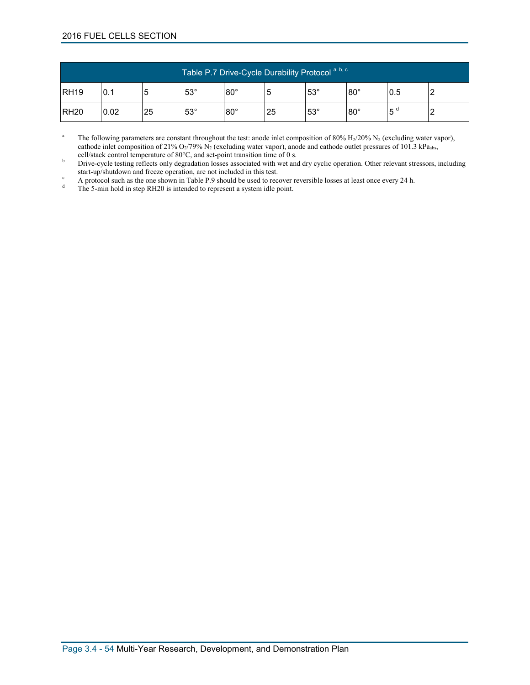|                  |      |    |             |            | Table P.7 Drive-Cycle Durability Protocol <sup>a, b, c</sup> |            |              |             |        |
|------------------|------|----|-------------|------------|--------------------------------------------------------------|------------|--------------|-------------|--------|
| RH <sub>19</sub> | 0.1  | đ  | $153^\circ$ | $80^\circ$ | b                                                            | $53^\circ$ | $80^{\circ}$ | 0.5         | റ<br>∸ |
| RH <sub>20</sub> | 0.02 | 25 | $53^\circ$  | $80^\circ$ | 25                                                           | $53^\circ$ | $80^\circ$   | $5^{\circ}$ | ົ      |

<sup>a</sup> The following parameters are constant throughout the test: anode inlet composition of 80% H<sub>2</sub>/20% N<sub>2</sub> (excluding water vapor), cathode inlet composition of 21% O<sub>2</sub>/79% N<sub>2</sub> (excluding water vapor), anode and cathode outlet pressures of 101.3 kPa<sub>abs</sub>, cell/stack control temperature of 80°C, and set-point transition time of 0 s.

<sup>b</sup> Drive-cycle testing reflects only degradation losses associated with wet and dry cyclic operation. Other relevant stressors, including start-up/shutdown and freeze operation, are not included in this test.

<sup>c</sup> A protocol such as the one shown in Table P.9 should be used to recover reversible losses at least once every 24 h.<br>The 5-min hold in step RH20 is intended to represent a system idle point.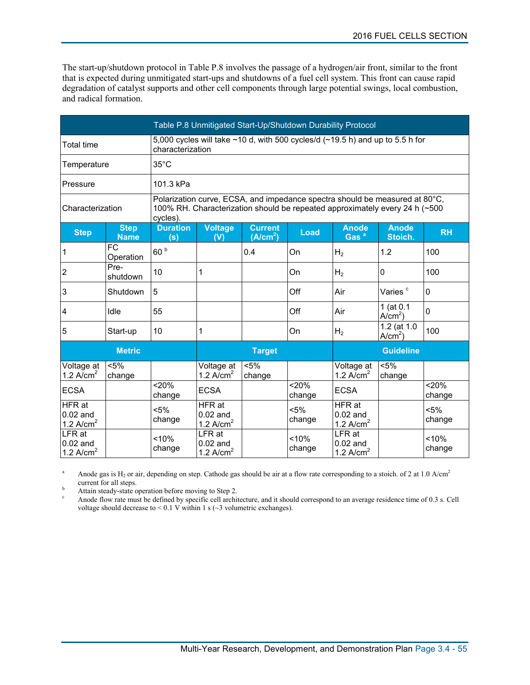The start-up/shutdown protocol in Table P.8 involves the passage of a hydrogen/air front, similar to the front that is expected during unmitigated start-ups and shutdowns of a fuel cell system. This front can cause rapid degradation of catalyst supports and other cell components through large potential swings, local combustion, and radical formation.

|                                                 |                              |                                                                                                   | Table P.8 Unmitigated Start-Up/Shutdown Durability Protocol |                                        |                   |                                                                                                                                                            |                          |                   |  |
|-------------------------------------------------|------------------------------|---------------------------------------------------------------------------------------------------|-------------------------------------------------------------|----------------------------------------|-------------------|------------------------------------------------------------------------------------------------------------------------------------------------------------|--------------------------|-------------------|--|
| <b>Total time</b>                               |                              | 5,000 cycles will take ~10 d, with 500 cycles/d (~19.5 h) and up to 5.5 h for<br>characterization |                                                             |                                        |                   |                                                                                                                                                            |                          |                   |  |
| Temperature                                     |                              | $35^{\circ}$ C                                                                                    |                                                             |                                        |                   |                                                                                                                                                            |                          |                   |  |
| Pressure                                        |                              | 101.3 kPa                                                                                         |                                                             |                                        |                   |                                                                                                                                                            |                          |                   |  |
| Characterization                                |                              | cycles).                                                                                          |                                                             |                                        |                   | Polarization curve, ECSA, and impedance spectra should be measured at 80°C,<br>100% RH. Characterization should be repeated approximately every 24 h (~500 |                          |                   |  |
| <b>Step</b>                                     | <b>Step</b><br><b>Name</b>   | <b>Duration</b><br>(s)                                                                            | Voltage<br>(V)                                              | <b>Current</b><br>(A/cm <sup>2</sup> ) | Load              | <b>Anode</b><br>Gas <sup>a</sup>                                                                                                                           | <b>Anode</b><br>Stoich.  | <b>RH</b>         |  |
| 1                                               | $\overline{FC}$<br>Operation | 60 <sup>b</sup>                                                                                   |                                                             | 0.4                                    | On                | H <sub>2</sub>                                                                                                                                             | 1.2                      | 100               |  |
| $\overline{2}$                                  | Pre-<br>shutdown             | 10                                                                                                | 1                                                           |                                        | On                | H <sub>2</sub>                                                                                                                                             | $\Omega$                 | 100               |  |
| 3                                               | Shutdown                     | 5                                                                                                 |                                                             |                                        | Off               | Air                                                                                                                                                        | Varies <sup>c</sup>      | $\Omega$          |  |
| $\overline{4}$                                  | Idle                         | 55                                                                                                |                                                             |                                        | Off               | Air                                                                                                                                                        | 1 (at $0.1$<br>$A/cm2$ ) | $\mathbf 0$       |  |
| 5                                               | Start-up                     | 10                                                                                                | 1                                                           |                                        | On                | H <sub>2</sub>                                                                                                                                             | 1.2 (at 1.0<br>$A/cm2$ ) | 100               |  |
|                                                 | <b>Metric</b>                |                                                                                                   |                                                             | <b>Target</b>                          |                   |                                                                                                                                                            | <b>Guideline</b>         |                   |  |
| Voltage at<br>1.2 $A/cm2$                       | $< 5\%$<br>change            |                                                                                                   | Voltage at<br>1.2 $A/cm2$                                   | $< 5\%$<br>change                      |                   | Voltage at<br>1.2 $A/cm2$                                                                                                                                  | < 5%<br>change           |                   |  |
| <b>ECSA</b>                                     |                              | < 20%<br>change                                                                                   | <b>ECSA</b>                                                 |                                        | 20%<br>change     | <b>ECSA</b>                                                                                                                                                |                          | < 20%<br>change   |  |
| HFR at<br>$0.02$ and<br>$1.2$ A/cm <sup>2</sup> |                              | $< 5\%$<br>change                                                                                 | <b>HFR</b> at<br>$0.02$ and<br>1.2 $A/cm2$                  |                                        | $< 5\%$<br>change | <b>HFR</b> at<br>$0.02$ and<br>1.2 $A/cm2$                                                                                                                 |                          | $< 5\%$<br>change |  |
| LFR at<br>$0.02$ and<br>1.2 $A/cm2$             |                              | < 10%<br>change                                                                                   | LFR at<br>$0.02$ and<br>1.2 $A/cm2$                         |                                        | < 10%<br>change   | LFR at<br>$0.02$ and<br>1.2 $A/cm2$                                                                                                                        |                          | < 10%<br>change   |  |

Anode gas is H<sub>2</sub> or air, depending on step. Cathode gas should be air at a flow rate corresponding to a stoich. of 2 at 1.0 A/cm<sup>2</sup> current for all steps.

current for all steps.<br>
Attain steady-state operation before moving to Step 2.<br>
Anode flow rate must be defined by specific cell architecture, and it should correspond to an average residence time of 0.3 s. Cell voltage should decrease to  $< 0.1$  V within 1 s ( $\sim$ 3 volumetric exchanges).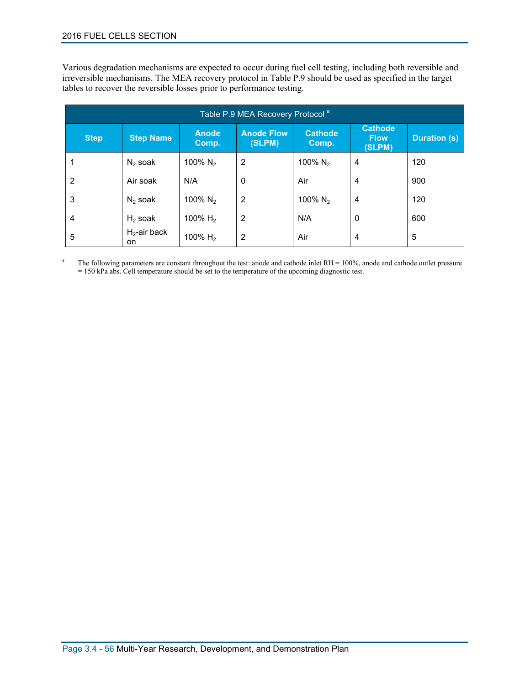Various degradation mechanisms are expected to occur during fuel cell testing, including both reversible and irreversible mechanisms. The MEA recovery protocol in Table P.9 should be used as specified in the target tables to recover the reversible losses prior to performance testing.

| Table P.9 MEA Recovery Protocol <sup>a</sup> |                       |                       |                             |                         |                                         |                     |
|----------------------------------------------|-----------------------|-----------------------|-----------------------------|-------------------------|-----------------------------------------|---------------------|
| <b>Step</b>                                  | <b>Step Name</b>      | <b>Anode</b><br>Comp. | <b>Anode Flow</b><br>(SLPM) | <b>Cathode</b><br>Comp. | <b>Cathode</b><br><b>Flow</b><br>(SLPM) | <b>Duration (s)</b> |
|                                              | $N_2$ soak            | 100% $N_2$            | 2                           | 100% $N_2$              | $\overline{4}$                          | 120                 |
| 2                                            | Air soak              | N/A                   | 0                           | Air                     | $\overline{4}$                          | 900                 |
| 3                                            | $N_2$ soak            | 100% $N_2$            | $\overline{2}$              | 100% $N_2$              | $\overline{4}$                          | 120                 |
| $\overline{4}$                               | $H_2$ soak            | 100% $H_2$            | 2                           | N/A                     | $\Omega$                                | 600                 |
| 5                                            | $H_2$ -air back<br>on | 100% $H_2$            | 2                           | Air                     | $\overline{4}$                          | 5                   |

<sup>a</sup> The following parameters are constant throughout the test: anode and cathode inlet  $RH = 100\%$ , anode and cathode outlet pressure = 150 kPa abs. Cell temperature should be set to the temperature of the upcoming diagnostic test.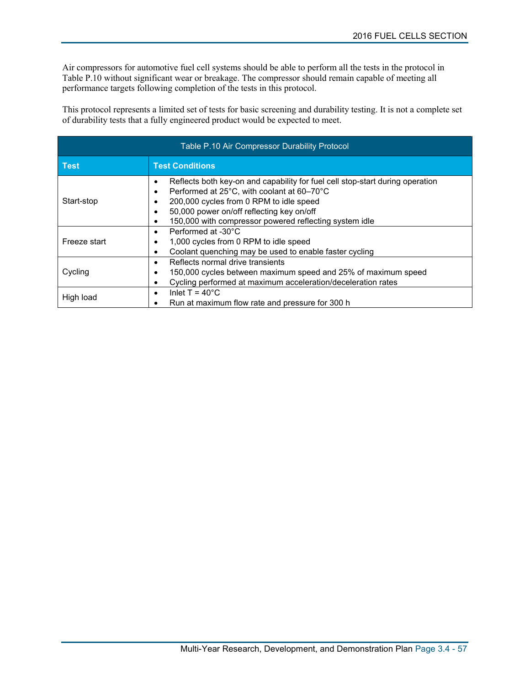Air compressors for automotive fuel cell systems should be able to perform all the tests in the protocol in Table P.10 without significant wear or breakage. The compressor should remain capable of meeting all performance targets following completion of the tests in this protocol.

This protocol represents a limited set of tests for basic screening and durability testing. It is not a complete set of durability tests that a fully engineered product would be expected to meet.

| Table P.10 Air Compressor Durability Protocol |                                                                                                                                                                                                                                                                                                                           |  |  |  |  |
|-----------------------------------------------|---------------------------------------------------------------------------------------------------------------------------------------------------------------------------------------------------------------------------------------------------------------------------------------------------------------------------|--|--|--|--|
| Test                                          | <b>Test Conditions</b>                                                                                                                                                                                                                                                                                                    |  |  |  |  |
| Start-stop                                    | Reflects both key-on and capability for fuel cell stop-start during operation<br>$\bullet$<br>Performed at 25°C, with coolant at 60-70°C<br>$\bullet$<br>200,000 cycles from 0 RPM to idle speed<br>٠<br>50,000 power on/off reflecting key on/off<br>$\bullet$<br>150,000 with compressor powered reflecting system idle |  |  |  |  |
| Freeze start                                  | Performed at -30°C<br>٠<br>1,000 cycles from 0 RPM to idle speed<br>٠<br>Coolant quenching may be used to enable faster cycling<br>$\bullet$                                                                                                                                                                              |  |  |  |  |
| Cycling                                       | Reflects normal drive transients<br>$\bullet$<br>150,000 cycles between maximum speed and 25% of maximum speed<br>٠<br>Cycling performed at maximum acceleration/deceleration rates<br>$\bullet$                                                                                                                          |  |  |  |  |
| High load                                     | Inlet $T = 40^{\circ}$ C<br>٠<br>Run at maximum flow rate and pressure for 300 h                                                                                                                                                                                                                                          |  |  |  |  |